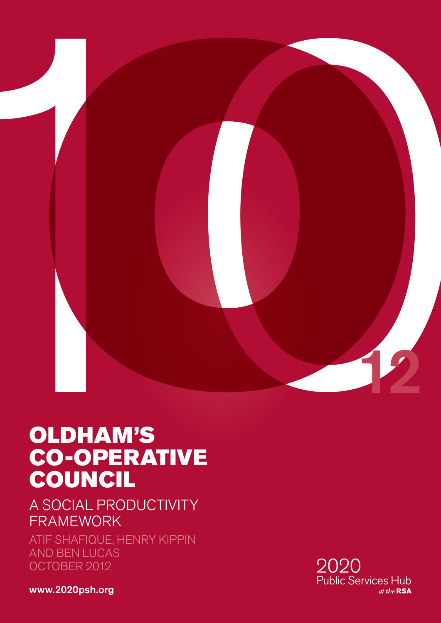

# OLDHAM'S CO-OPERATIVE COUNCIL

A SOCIAL PRODUCTIVITY FRAMEWORK

ATIF SHAFIQUE, HENRY KIPPIN AND BEN LUCAS OCTOBER 2012

2020 Public Services Hub at the RSA

<www.2020psh.org>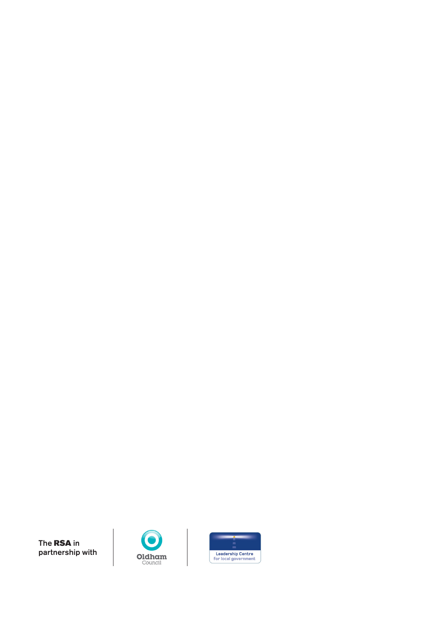



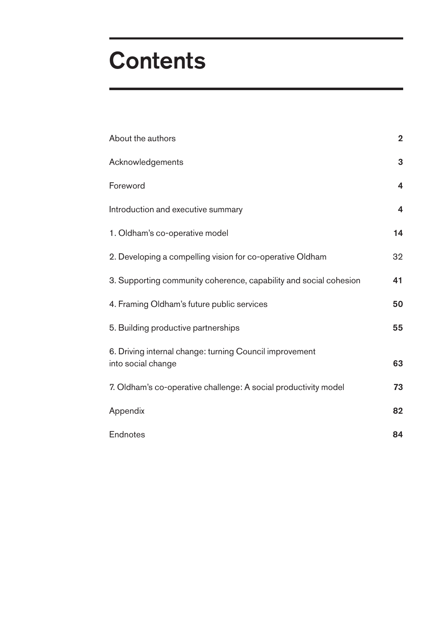# **Contents**

| About the authors                                                             | $\mathbf 2$             |
|-------------------------------------------------------------------------------|-------------------------|
| Acknowledgements                                                              | 3                       |
| Foreword                                                                      | 4                       |
| Introduction and executive summary                                            | $\overline{\mathbf{4}}$ |
| 1. Oldham's co-operative model                                                | 14                      |
| 2. Developing a compelling vision for co-operative Oldham                     | 32                      |
| 3. Supporting community coherence, capability and social cohesion             | 41                      |
| 4. Framing Oldham's future public services                                    | 50                      |
| 5. Building productive partnerships                                           | 55                      |
| 6. Driving internal change: turning Council improvement<br>into social change | 63                      |
| 7. Oldham's co-operative challenge: A social productivity model               | 73                      |
| Appendix                                                                      | 82                      |
| Endnotes                                                                      | 84                      |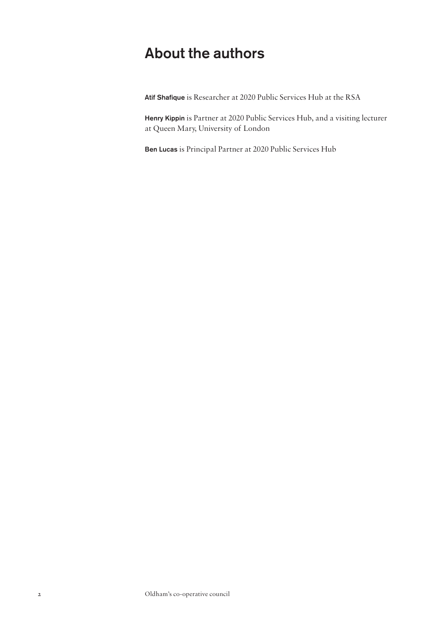## <span id="page-3-0"></span>About the authors

Atif Shafique is Researcher at 2020 Public Services Hub at the RSA

Henry Kippin is Partner at 2020 Public Services Hub, and a visiting lecturer at Queen Mary, University of London

Ben Lucas is Principal Partner at 2020 Public Services Hub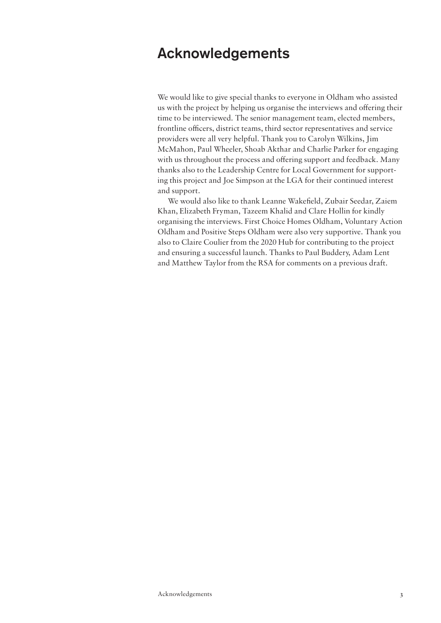## <span id="page-4-0"></span>Acknowledgements

We would like to give special thanks to everyone in Oldham who assisted us with the project by helping us organise the interviews and offering their time to be interviewed. The senior management team, elected members, frontline officers, district teams, third sector representatives and service providers were all very helpful. Thank you to Carolyn Wilkins, Jim McMahon, Paul Wheeler, Shoab Akthar and Charlie Parker for engaging with us throughout the process and offering support and feedback. Many thanks also to the Leadership Centre for Local Government for supporting this project and Joe Simpson at the LGA for their continued interest and support.

We would also like to thank Leanne Wakefield, Zubair Seedar, Zaiem Khan, Elizabeth Fryman, Tazeem Khalid and Clare Hollin for kindly organising the interviews. First Choice Homes Oldham, Voluntary Action Oldham and Positive Steps Oldham were also very supportive. Thank you also to Claire Coulier from the 2020 Hub for contributing to the project and ensuring a successful launch. Thanks to Paul Buddery, Adam Lent and Matthew Taylor from the RSA for comments on a previous draft.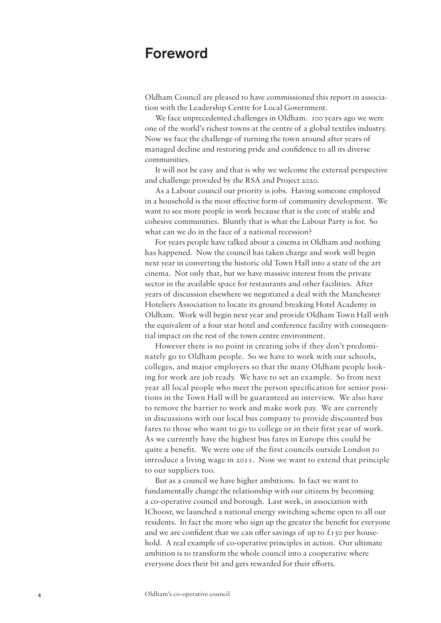## Foreword

Oldham Council are pleased to have commissioned this report in association with the Leadership Centre for Local Government.

We face unprecedented challenges in Oldham. 100 years ago we were one of the world's richest towns at the centre of a global textiles industry. Now we face the challenge of turning the town around after years of managed decline and restoring pride and confidence to all its diverse communities.

It will not be easy and that is why we welcome the external perspective and challenge provided by the RSA and Project 2020.

As a Labour council our priority is jobs. Having someone employed in a household is the most effective form of community development. We want to see more people in work because that is the core of stable and cohesive communities. Bluntly that is what the Labour Party is for. So what can we do in the face of a national recession?

For years people have talked about a cinema in Oldham and nothing has happened. Now the council has taken charge and work will begin next year in converting the historic old Town Hall into a state of the art cinema. Not only that, but we have massive interest from the private sector in the available space for restaurants and other facilities. After years of discussion elsewhere we negotiated a deal with the Manchester Hoteliers Association to locate its ground breaking Hotel Academy in Oldham. Work will begin next year and provide Oldham Town Hall with the equivalent of a four star hotel and conference facility with consequential impact on the rest of the town centre environment.

However there is no point in creating jobs if they don't predominately go to Oldham people. So we have to work with our schools, colleges, and major employers so that the many Oldham people looking for work are job ready. We have to set an example. So from next year all local people who meet the person specification for senior positions in the Town Hall will be guaranteed an interview. We also have to remove the barrier to work and make work pay. We are currently in discussions with our local bus company to provide discounted bus fares to those who want to go to college or in their first year of work. As we currently have the highest bus fares in Europe this could be quite a benefit. We were one of the first councils outside London to introduce a living wage in 2011. Now we want to extend that principle to our suppliers too.

But as a council we have higher ambitions. In fact we want to fundamentally change the relationship with our citizens by becoming a co-operative council and borough. Last week, in association with IChoosr, we launched a national energy switching scheme open to all our residents. In fact the more who sign up the greater the benefit for everyone and we are confident that we can offer savings of up to  $\mathcal{L}$ 150 per household. A real example of co-operative principles in action. Our ultimate ambition is to transform the whole council into a cooperative where everyone does their bit and gets rewarded for their efforts.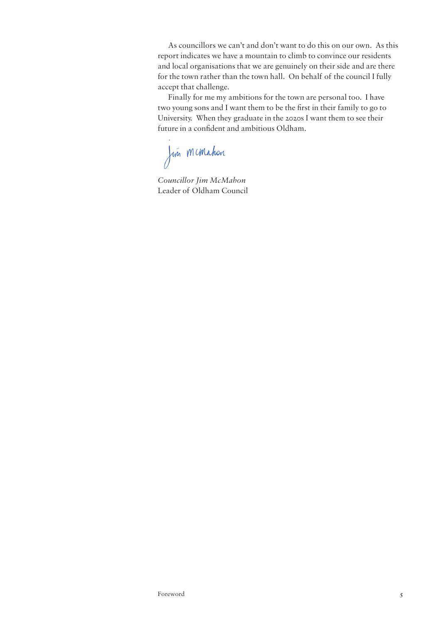As councillors we can't and don't want to do this on our own. As this report indicates we have a mountain to climb to convince our residents and local organisations that we are genuinely on their side and are there for the town rather than the town hall. On behalf of the council I fully accept that challenge.

Finally for me my ambitions for the town are personal too. I have two young sons and I want them to be the first in their family to go to University. When they graduate in the 2020s I want them to see their future in a confident and ambitious Oldham.

Jun McMahon

*Councillor Jim McMahon* Leader of Oldham Council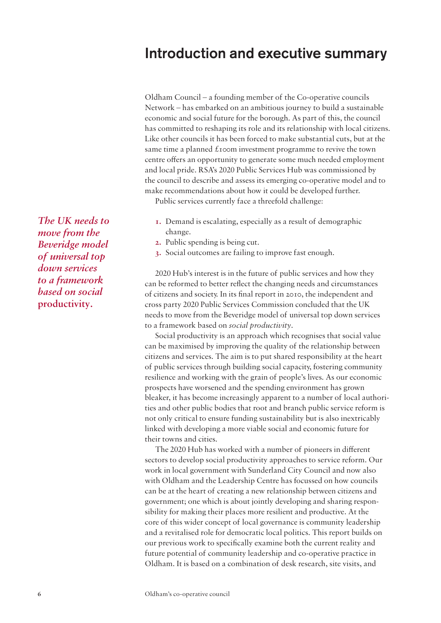## <span id="page-7-0"></span>Introduction and executive summary

Oldham Council – a founding member of the Co-operative councils Network – has embarked on an ambitious journey to build a sustainable economic and social future for the borough. As part of this, the council has committed to reshaping its role and its relationship with local citizens. Like other councils it has been forced to make substantial cuts, but at the same time a planned  $\pounds$ 100m investment programme to revive the town centre offers an opportunity to generate some much needed employment and local pride. RSA's 2020 Public Services Hub was commissioned by the council to describe and assess its emerging co-operative model and to make recommendations about how it could be developed further.

Public services currently face a threefold challenge:

- **1.** Demand is escalating, especially as a result of demographic change.
- **2.** Public spending is being cut.
- **3.** Social outcomes are failing to improve fast enough.

2020 Hub's interest is in the future of public services and how they can be reformed to better reflect the changing needs and circumstances of citizens and society. In its final report in 2010, the independent and cross party 2020 Public Services Commission concluded that the UK needs to move from the Beveridge model of universal top down services to a framework based on *social productivity*.

Social productivity is an approach which recognises that social value can be maximised by improving the quality of the relationship between citizens and services. The aim is to put shared responsibility at the heart of public services through building social capacity, fostering community resilience and working with the grain of people's lives. As our economic prospects have worsened and the spending environment has grown bleaker, it has become increasingly apparent to a number of local authorities and other public bodies that root and branch public service reform is not only critical to ensure funding sustainability but is also inextricably linked with developing a more viable social and economic future for their towns and cities.

The 2020 Hub has worked with a number of pioneers in different sectors to develop social productivity approaches to service reform. Our work in local government with Sunderland City Council and now also with Oldham and the Leadership Centre has focussed on how councils can be at the heart of creating a new relationship between citizens and government; one which is about jointly developing and sharing responsibility for making their places more resilient and productive. At the core of this wider concept of local governance is community leadership and a revitalised role for democratic local politics. This report builds on our previous work to specifically examine both the current reality and future potential of community leadership and co-operative practice in Oldham. It is based on a combination of desk research, site visits, and

*The UK needs to move from the Beveridge model of universal top down services to a framework based on social*  **productivity***.*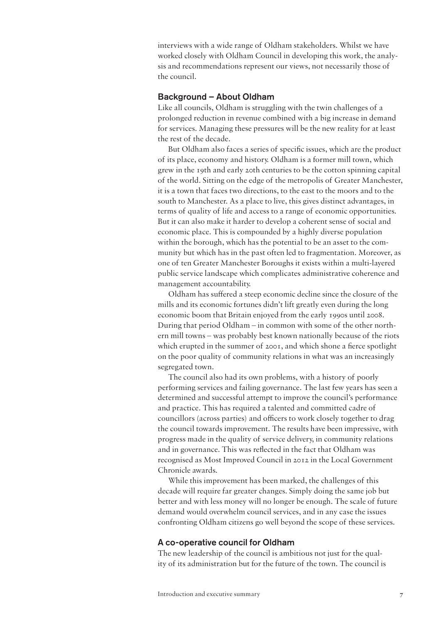interviews with a wide range of Oldham stakeholders. Whilst we have worked closely with Oldham Council in developing this work, the analysis and recommendations represent our views, not necessarily those of the council.

## Background – About Oldham

Like all councils, Oldham is struggling with the twin challenges of a prolonged reduction in revenue combined with a big increase in demand for services. Managing these pressures will be the new reality for at least the rest of the decade.

But Oldham also faces a series of specific issues, which are the product of its place, economy and history. Oldham is a former mill town, which grew in the 19th and early 20th centuries to be the cotton spinning capital of the world. Sitting on the edge of the metropolis of Greater Manchester, it is a town that faces two directions, to the east to the moors and to the south to Manchester. As a place to live, this gives distinct advantages, in terms of quality of life and access to a range of economic opportunities. But it can also make it harder to develop a coherent sense of social and economic place. This is compounded by a highly diverse population within the borough, which has the potential to be an asset to the community but which has in the past often led to fragmentation. Moreover, as one of ten Greater Manchester Boroughs it exists within a multi-layered public service landscape which complicates administrative coherence and management accountability.

Oldham has suffered a steep economic decline since the closure of the mills and its economic fortunes didn't lift greatly even during the long economic boom that Britain enjoyed from the early 1990s until 2008. During that period Oldham – in common with some of the other northern mill towns – was probably best known nationally because of the riots which erupted in the summer of 2001, and which shone a fierce spotlight on the poor quality of community relations in what was an increasingly segregated town.

The council also had its own problems, with a history of poorly performing services and failing governance. The last few years has seen a determined and successful attempt to improve the council's performance and practice. This has required a talented and committed cadre of councillors (across parties) and officers to work closely together to drag the council towards improvement. The results have been impressive, with progress made in the quality of service delivery, in community relations and in governance. This was reflected in the fact that Oldham was recognised as Most Improved Council in 2012 in the Local Government Chronicle awards.

While this improvement has been marked, the challenges of this decade will require far greater changes. Simply doing the same job but better and with less money will no longer be enough. The scale of future demand would overwhelm council services, and in any case the issues confronting Oldham citizens go well beyond the scope of these services.

## A co-operative council for Oldham

The new leadership of the council is ambitious not just for the quality of its administration but for the future of the town. The council is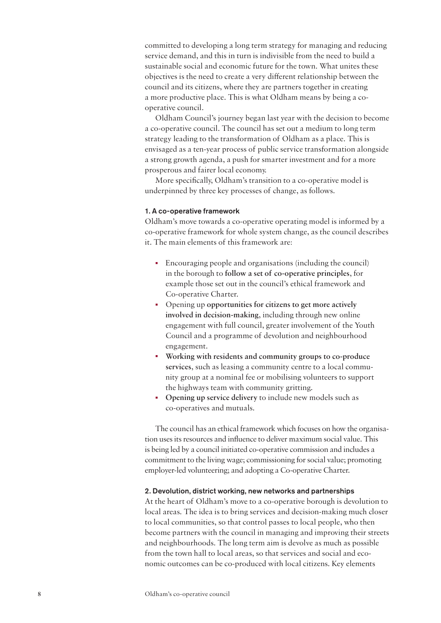committed to developing a long term strategy for managing and reducing service demand, and this in turn is indivisible from the need to build a sustainable social and economic future for the town. What unites these objectives is the need to create a very different relationship between the council and its citizens, where they are partners together in creating a more productive place. This is what Oldham means by being a cooperative council.

Oldham Council's journey began last year with the decision to become a co-operative council. The council has set out a medium to long term strategy leading to the transformation of Oldham as a place. This is envisaged as a ten-year process of public service transformation alongside a strong growth agenda, a push for smarter investment and for a more prosperous and fairer local economy.

More specifically, Oldham's transition to a co-operative model is underpinned by three key processes of change, as follows.

#### 1. A co-operative framework

Oldham's move towards a co-operative operating model is informed by a co-operative framework for whole system change, as the council describes it. The main elements of this framework are:

- Encouraging people and organisations (including the council) in the borough to **follow a set of co-operative principles**, for example those set out in the council's ethical framework and Co-operative Charter.
- Opening up **opportunities for citizens to get more actively involved in decision-making**, including through new online engagement with full council, greater involvement of the Youth Council and a programme of devolution and neighbourhood engagement.
- **Working with residents and community groups to co-produce services**, such as leasing a community centre to a local community group at a nominal fee or mobilising volunteers to support the highways team with community gritting.
- **Opening up service delivery** to include new models such as co-operatives and mutuals.

The council has an ethical framework which focuses on how the organisation uses its resources and influence to deliver maximum social value. This is being led by a council initiated co-operative commission and includes a commitment to the living wage; commissioning for social value; promoting employer-led volunteering; and adopting a Co-operative Charter.

## 2. Devolution, district working, new networks and partnerships

At the heart of Oldham's move to a co-operative borough is devolution to local areas. The idea is to bring services and decision-making much closer to local communities, so that control passes to local people, who then become partners with the council in managing and improving their streets and neighbourhoods. The long term aim is devolve as much as possible from the town hall to local areas, so that services and social and economic outcomes can be co-produced with local citizens. Key elements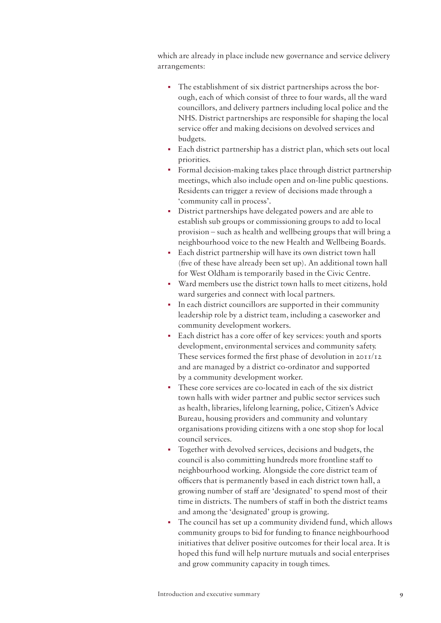which are already in place include new governance and service delivery arrangements:

- The establishment of six district partnerships across the borough, each of which consist of three to four wards, all the ward councillors, and delivery partners including local police and the NHS. District partnerships are responsible for shaping the local service offer and making decisions on devolved services and budgets.
- Each district partnership has a district plan, which sets out local priorities.
- Formal decision-making takes place through district partnership meetings, which also include open and on-line public questions. Residents can trigger a review of decisions made through a 'community call in process'.
- District partnerships have delegated powers and are able to establish sub groups or commissioning groups to add to local provision – such as health and wellbeing groups that will bring a neighbourhood voice to the new Health and Wellbeing Boards.
- Each district partnership will have its own district town hall (five of these have already been set up). An additional town hall for West Oldham is temporarily based in the Civic Centre.
- Ward members use the district town halls to meet citizens, hold ward surgeries and connect with local partners.
- In each district councillors are supported in their community leadership role by a district team, including a caseworker and community development workers.
- Each district has a core offer of key services: youth and sports development, environmental services and community safety. These services formed the first phase of devolution in 2011/12 and are managed by a district co-ordinator and supported by a community development worker.
- These core services are co-located in each of the six district town halls with wider partner and public sector services such as health, libraries, lifelong learning, police, Citizen's Advice Bureau, housing providers and community and voluntary organisations providing citizens with a one stop shop for local council services.
- Together with devolved services, decisions and budgets, the council is also committing hundreds more frontline staff to neighbourhood working. Alongside the core district team of officers that is permanently based in each district town hall, a growing number of staff are 'designated' to spend most of their time in districts. The numbers of staff in both the district teams and among the 'designated' group is growing.
- The council has set up a community dividend fund, which allows community groups to bid for funding to finance neighbourhood initiatives that deliver positive outcomes for their local area. It is hoped this fund will help nurture mutuals and social enterprises and grow community capacity in tough times.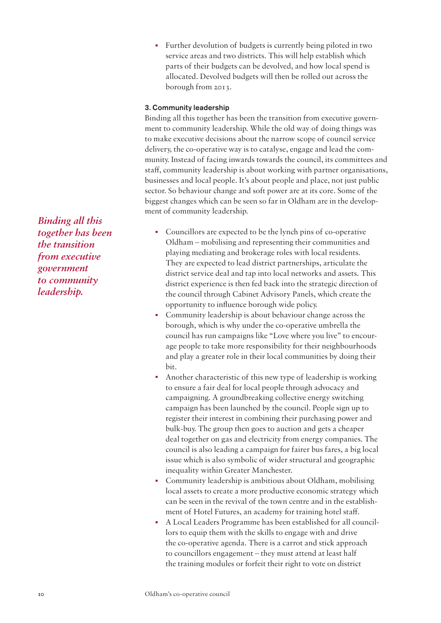• Further devolution of budgets is currently being piloted in two service areas and two districts. This will help establish which parts of their budgets can be devolved, and how local spend is allocated. Devolved budgets will then be rolled out across the borough from 2013.

## 3. Community leadership

Binding all this together has been the transition from executive government to community leadership. While the old way of doing things was to make executive decisions about the narrow scope of council service delivery, the co-operative way is to catalyse, engage and lead the community. Instead of facing inwards towards the council, its committees and staff, community leadership is about working with partner organisations, businesses and local people. It's about people and place, not just public sector. So behaviour change and soft power are at its core. Some of the biggest changes which can be seen so far in Oldham are in the development of community leadership.

- Councillors are expected to be the lynch pins of co-operative Oldham – mobilising and representing their communities and playing mediating and brokerage roles with local residents. They are expected to lead district partnerships, articulate the district service deal and tap into local networks and assets. This district experience is then fed back into the strategic direction of the council through Cabinet Advisory Panels, which create the opportunity to influence borough wide policy.
- Community leadership is about behaviour change across the borough, which is why under the co-operative umbrella the council has run campaigns like "Love where you live" to encourage people to take more responsibility for their neighbourhoods and play a greater role in their local communities by doing their bit.
- Another characteristic of this new type of leadership is working to ensure a fair deal for local people through advocacy and campaigning. A groundbreaking collective energy switching campaign has been launched by the council. People sign up to register their interest in combining their purchasing power and bulk-buy. The group then goes to auction and gets a cheaper deal together on gas and electricity from energy companies. The council is also leading a campaign for fairer bus fares, a big local issue which is also symbolic of wider structural and geographic inequality within Greater Manchester.
- Community leadership is ambitious about Oldham, mobilising local assets to create a more productive economic strategy which can be seen in the revival of the town centre and in the establishment of Hotel Futures, an academy for training hotel staff.
- A Local Leaders Programme has been established for all councillors to equip them with the skills to engage with and drive the co-operative agenda. There is a carrot and stick approach to councillors engagement – they must attend at least half the training modules or forfeit their right to vote on district

*Binding all this together has been the transition from executive government to community leadership.*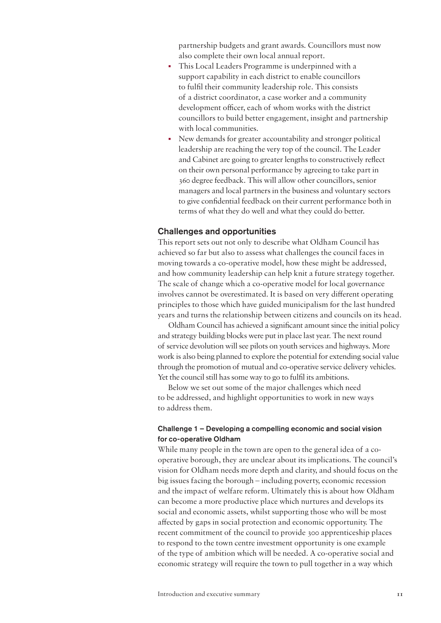partnership budgets and grant awards. Councillors must now also complete their own local annual report.

- This Local Leaders Programme is underpinned with a support capability in each district to enable councillors to fulfil their community leadership role. This consists of a district coordinator, a case worker and a community development officer, each of whom works with the district councillors to build better engagement, insight and partnership with local communities.
- New demands for greater accountability and stronger political leadership are reaching the very top of the council. The Leader and Cabinet are going to greater lengths to constructively reflect on their own personal performance by agreeing to take part in 360 degree feedback. This will allow other councillors, senior managers and local partners in the business and voluntary sectors to give confidential feedback on their current performance both in terms of what they do well and what they could do better.

## Challenges and opportunities

This report sets out not only to describe what Oldham Council has achieved so far but also to assess what challenges the council faces in moving towards a co-operative model, how these might be addressed, and how community leadership can help knit a future strategy together. The scale of change which a co-operative model for local governance involves cannot be overestimated. It is based on very different operating principles to those which have guided municipalism for the last hundred years and turns the relationship between citizens and councils on its head.

Oldham Council has achieved a significant amount since the initial policy and strategy building blocks were put in place last year. The next round of service devolution will see pilots on youth services and highways. More work is also being planned to explore the potential for extending social value through the promotion of mutual and co-operative service delivery vehicles. Yet the council still has some way to go to fulfil its ambitions.

Below we set out some of the major challenges which need to be addressed, and highlight opportunities to work in new ways to address them.

## Challenge 1 – Developing a compelling economic and social vision for co-operative Oldham

While many people in the town are open to the general idea of a cooperative borough, they are unclear about its implications. The council's vision for Oldham needs more depth and clarity, and should focus on the big issues facing the borough – including poverty, economic recession and the impact of welfare reform. Ultimately this is about how Oldham can become a more productive place which nurtures and develops its social and economic assets, whilst supporting those who will be most affected by gaps in social protection and economic opportunity. The recent commitment of the council to provide 300 apprenticeship places to respond to the town centre investment opportunity is one example of the type of ambition which will be needed. A co-operative social and economic strategy will require the town to pull together in a way which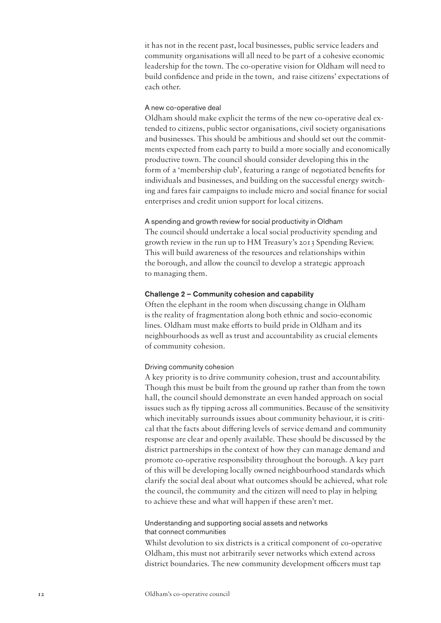it has not in the recent past, local businesses, public service leaders and community organisations will all need to be part of a cohesive economic leadership for the town. The co-operative vision for Oldham will need to build confidence and pride in the town, and raise citizens' expectations of each other.

### A new co-operative deal

Oldham should make explicit the terms of the new co-operative deal extended to citizens, public sector organisations, civil society organisations and businesses. This should be ambitious and should set out the commitments expected from each party to build a more socially and economically productive town. The council should consider developing this in the form of a 'membership club', featuring a range of negotiated benefits for individuals and businesses, and building on the successful energy switching and fares fair campaigns to include micro and social finance for social enterprises and credit union support for local citizens.

A spending and growth review for social productivity in Oldham The council should undertake a local social productivity spending and growth review in the run up to HM Treasury's 2013 Spending Review. This will build awareness of the resources and relationships within the borough, and allow the council to develop a strategic approach to managing them.

## Challenge 2 – Community cohesion and capability

Often the elephant in the room when discussing change in Oldham is the reality of fragmentation along both ethnic and socio-economic lines. Oldham must make efforts to build pride in Oldham and its neighbourhoods as well as trust and accountability as crucial elements of community cohesion.

## Driving community cohesion

A key priority is to drive community cohesion, trust and accountability. Though this must be built from the ground up rather than from the town hall, the council should demonstrate an even handed approach on social issues such as fly tipping across all communities. Because of the sensitivity which inevitably surrounds issues about community behaviour, it is critical that the facts about differing levels of service demand and community response are clear and openly available. These should be discussed by the district partnerships in the context of how they can manage demand and promote co-operative responsibility throughout the borough. A key part of this will be developing locally owned neighbourhood standards which clarify the social deal about what outcomes should be achieved, what role the council, the community and the citizen will need to play in helping to achieve these and what will happen if these aren't met.

## Understanding and supporting social assets and networks that connect communities

Whilst devolution to six districts is a critical component of co-operative Oldham, this must not arbitrarily sever networks which extend across district boundaries. The new community development officers must tap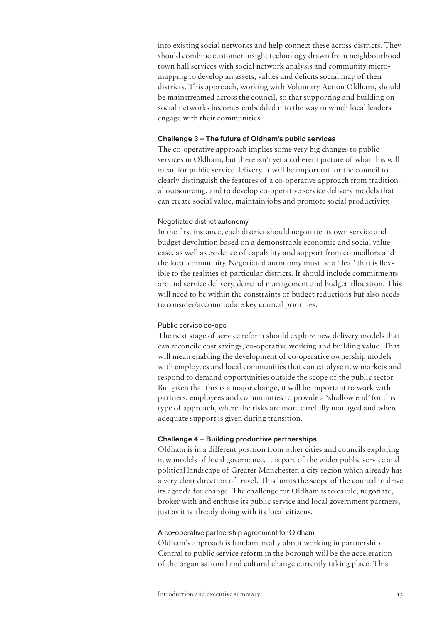into existing social networks and help connect these across districts. They should combine customer insight technology drawn from neighbourhood town hall services with social network analysis and community micromapping to develop an assets, values and deficits social map of their districts. This approach, working with Voluntary Action Oldham, should be mainstreamed across the council, so that supporting and building on social networks becomes embedded into the way in which local leaders engage with their communities.

#### Challenge 3 – The future of Oldham's public services

The co-operative approach implies some very big changes to public services in Oldham, but there isn't yet a coherent picture of what this will mean for public service delivery. It will be important for the council to clearly distinguish the features of a co-operative approach from traditional outsourcing, and to develop co-operative service delivery models that can create social value, maintain jobs and promote social productivity.

## Negotiated district autonomy

In the first instance, each district should negotiate its own service and budget devolution based on a demonstrable economic and social value case, as well as evidence of capability and support from councillors and the local community. Negotiated autonomy must be a 'deal' that is flexible to the realities of particular districts. It should include commitments around service delivery, demand management and budget allocation. This will need to be within the constraints of budget reductions but also needs to consider/accommodate key council priorities.

#### Public service co-ops

The next stage of service reform should explore new delivery models that can reconcile cost savings, co-operative working and building value. That will mean enabling the development of co-operative ownership models with employees and local communities that can catalyse new markets and respond to demand opportunities outside the scope of the public sector. But given that this is a major change, it will be important to work with partners, employees and communities to provide a 'shallow end' for this type of approach, where the risks are more carefully managed and where adequate support is given during transition.

#### Challenge 4 – Building productive partnerships

Oldham is in a different position from other cities and councils exploring new models of local governance. It is part of the wider public service and political landscape of Greater Manchester, a city region which already has a very clear direction of travel. This limits the scope of the council to drive its agenda for change. The challenge for Oldham is to cajole, negotiate, broker with and enthuse its public service and local government partners, just as it is already doing with its local citizens.

#### A co-operative partnership agreement for Oldham

Oldham's approach is fundamentally about working in partnership. Central to public service reform in the borough will be the acceleration of the organisational and cultural change currently taking place. This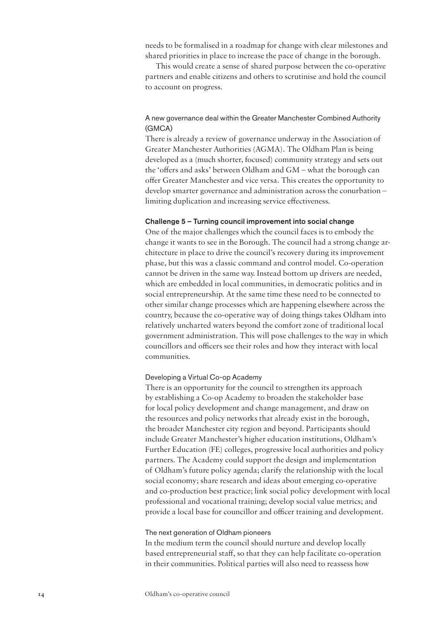needs to be formalised in a roadmap for change with clear milestones and shared priorities in place to increase the pace of change in the borough.

This would create a sense of shared purpose between the co-operative partners and enable citizens and others to scrutinise and hold the council to account on progress.

## A new governance deal within the Greater Manchester Combined Authority (GMCA)

There is already a review of governance underway in the Association of Greater Manchester Authorities (AGMA). The Oldham Plan is being developed as a (much shorter, focused) community strategy and sets out the 'offers and asks' between Oldham and GM – what the borough can offer Greater Manchester and vice versa. This creates the opportunity to develop smarter governance and administration across the conurbation – limiting duplication and increasing service effectiveness.

## Challenge 5 – Turning council improvement into social change

One of the major challenges which the council faces is to embody the change it wants to see in the Borough. The council had a strong change architecture in place to drive the council's recovery during its improvement phase, but this was a classic command and control model. Co-operation cannot be driven in the same way. Instead bottom up drivers are needed, which are embedded in local communities, in democratic politics and in social entrepreneurship. At the same time these need to be connected to other similar change processes which are happening elsewhere across the country, because the co-operative way of doing things takes Oldham into relatively uncharted waters beyond the comfort zone of traditional local government administration. This will pose challenges to the way in which councillors and officers see their roles and how they interact with local communities.

## Developing a Virtual Co-op Academy

There is an opportunity for the council to strengthen its approach by establishing a Co-op Academy to broaden the stakeholder base for local policy development and change management, and draw on the resources and policy networks that already exist in the borough, the broader Manchester city region and beyond. Participants should include Greater Manchester's higher education institutions, Oldham's Further Education (FE) colleges, progressive local authorities and policy partners. The Academy could support the design and implementation of Oldham's future policy agenda; clarify the relationship with the local social economy; share research and ideas about emerging co-operative and co-production best practice; link social policy development with local professional and vocational training; develop social value metrics; and provide a local base for councillor and officer training and development.

## The next generation of Oldham pioneers

In the medium term the council should nurture and develop locally based entrepreneurial staff, so that they can help facilitate co-operation in their communities. Political parties will also need to reassess how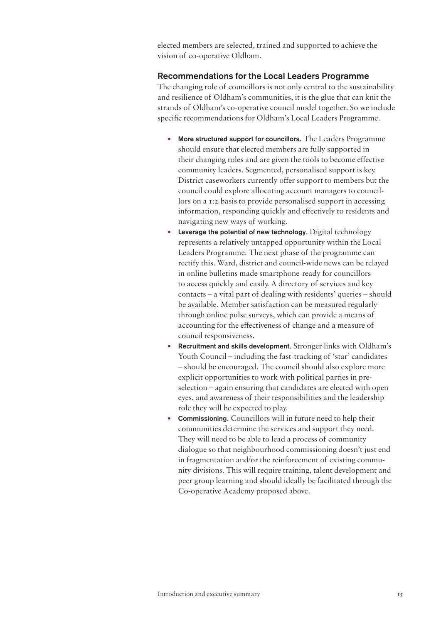elected members are selected, trained and supported to achieve the vision of co-operative Oldham.

## Recommendations for the Local Leaders Programme

The changing role of councillors is not only central to the sustainability and resilience of Oldham's communities, it is the glue that can knit the strands of Oldham's co-operative council model together. So we include specific recommendations for Oldham's Local Leaders Programme.

- More structured support for councillors**.** The Leaders Programme should ensure that elected members are fully supported in their changing roles and are given the tools to become effective community leaders. Segmented, personalised support is key. District caseworkers currently offer support to members but the council could explore allocating account managers to councillors on a 1:2 basis to provide personalised support in accessing information, responding quickly and effectively to residents and navigating new ways of working.
- Leverage the potential of new technology. Digital technology represents a relatively untapped opportunity within the Local Leaders Programme. The next phase of the programme can rectify this. Ward, district and council-wide news can be relayed in online bulletins made smartphone-ready for councillors to access quickly and easily. A directory of services and key contacts – a vital part of dealing with residents' queries – should be available. Member satisfaction can be measured regularly through online pulse surveys, which can provide a means of accounting for the effectiveness of change and a measure of council responsiveness.
- Recruitment and skills development. Stronger links with Oldham's Youth Council – including the fast-tracking of 'star' candidates – should be encouraged. The council should also explore more explicit opportunities to work with political parties in preselection – again ensuring that candidates are elected with open eyes, and awareness of their responsibilities and the leadership role they will be expected to play.
- Commissioning. Councillors will in future need to help their communities determine the services and support they need. They will need to be able to lead a process of community dialogue so that neighbourhood commissioning doesn't just end in fragmentation and/or the reinforcement of existing community divisions. This will require training, talent development and peer group learning and should ideally be facilitated through the Co-operative Academy proposed above.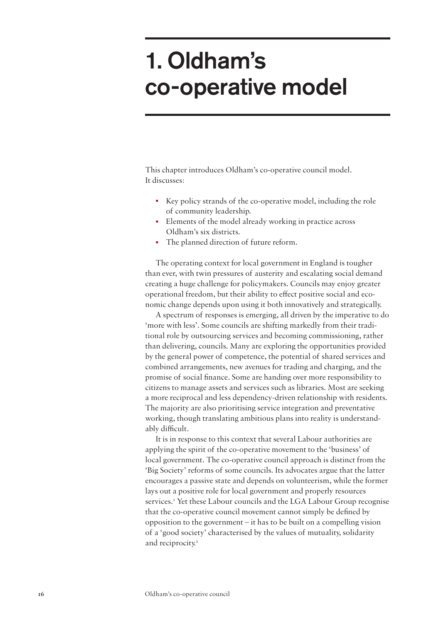# <span id="page-17-0"></span>1. Oldham's co-operative model

This chapter introduces Oldham's co-operative council model. It discusses:

- Key policy strands of the co-operative model, including the role of community leadership.
- Elements of the model already working in practice across Oldham's six districts.
- The planned direction of future reform.

The operating context for local government in England is tougher than ever, with twin pressures of austerity and escalating social demand creating a huge challenge for policymakers. Councils may enjoy greater operational freedom, but their ability to effect positive social and economic change depends upon using it both innovatively and strategically.

A spectrum of responses is emerging, all driven by the imperative to do 'more with less'. Some councils are shifting markedly from their traditional role by outsourcing services and becoming commissioning, rather than delivering, councils. Many are exploring the opportunities provided by the general power of competence, the potential of shared services and combined arrangements, new avenues for trading and charging, and the promise of social finance. Some are handing over more responsibility to citizens to manage assets and services such as libraries. Most are seeking a more reciprocal and less dependency-driven relationship with residents. The majority are also prioritising service integration and preventative working, though translating ambitious plans into reality is understandably difficult.

It is in response to this context that several Labour authorities are applying the spirit of the co-operative movement to the 'business' of local government. The co-operative council approach is distinct from the 'Big Society' reforms of some councils. Its advocates argue that the latter encourages a passive state and depends on volunteerism, while the former lays out a positive role for local government and properly resources services.<sup>1</sup> Yet these Labour councils and the LGA Labour Group recognise that the co-operative council movement cannot simply be defined by opposition to the government – it has to be built on a compelling vision of a 'good society' characterised by the values of mutuality, solidarity and reciprocity.<sup>2</sup>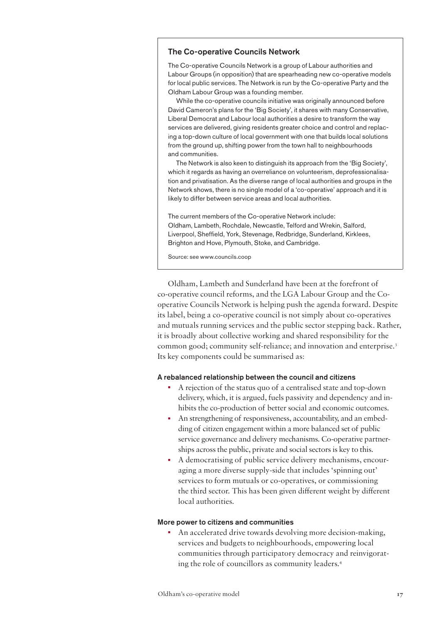## The Co-operative Councils Network

The Co-operative Councils Network is a group of Labour authorities and Labour Groups (in opposition) that are spearheading new co-operative models for local public services. The Network is run by the Co-operative Party and the Oldham Labour Group was a founding member.

While the co-operative councils initiative was originally announced before David Cameron's plans for the 'Big Society', it shares with many Conservative, Liberal Democrat and Labour local authorities a desire to transform the way services are delivered, giving residents greater choice and control and replacing a top-down culture of local government with one that builds local solutions from the ground up, shifting power from the town hall to neighbourhoods and communities.

The Network is also keen to distinguish its approach from the 'Big Society', which it regards as having an overreliance on volunteerism, deprofessionalisation and privatisation. As the diverse range of local authorities and groups in the Network shows, there is no single model of a 'co-operative' approach and it is likely to differ between service areas and local authorities.

The current members of the Co-operative Network include: Oldham, Lambeth, Rochdale, Newcastle, Telford and Wrekin, Salford, Liverpool, Sheffield, York, Stevenage, Redbridge, Sunderland, Kirklees, Brighton and Hove, Plymouth, Stoke, and Cambridge.

Source: see [www.councils.coop](http://www.councils.coop)

Oldham, Lambeth and Sunderland have been at the forefront of co-operative council reforms, and the LGA Labour Group and the Cooperative Councils Network is helping push the agenda forward. Despite its label, being a co-operative council is not simply about co-operatives and mutuals running services and the public sector stepping back. Rather, it is broadly about collective working and shared responsibility for the common good; community self-reliance; and innovation and enterprise.<sup>3</sup> Its key components could be summarised as:

## A rebalanced relationship between the council and citizens

- A rejection of the status quo of a centralised state and top-down delivery, which, it is argued, fuels passivity and dependency and inhibits the co-production of better social and economic outcomes.
- An strengthening of responsiveness, accountability, and an embedding of citizen engagement within a more balanced set of public service governance and delivery mechanisms. Co-operative partnerships across the public, private and social sectors is key to this.
- A democratising of public service delivery mechanisms, encouraging a more diverse supply-side that includes 'spinning out' services to form mutuals or co-operatives, or commissioning the third sector. This has been given different weight by different local authorities.

## More power to citizens and communities

• An accelerated drive towards devolving more decision-making, services and budgets to neighbourhoods, empowering local communities through participatory democracy and reinvigorating the role of councillors as community leaders.4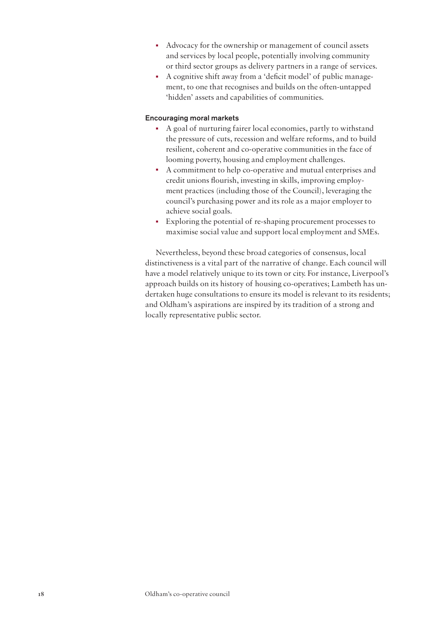- Advocacy for the ownership or management of council assets and services by local people, potentially involving community or third sector groups as delivery partners in a range of services.
- A cognitive shift away from a 'deficit model' of public management, to one that recognises and builds on the often-untapped 'hidden' assets and capabilities of communities.

## Encouraging moral markets

- A goal of nurturing fairer local economies, partly to withstand the pressure of cuts, recession and welfare reforms, and to build resilient, coherent and co-operative communities in the face of looming poverty, housing and employment challenges.
- A commitment to help co-operative and mutual enterprises and credit unions flourish, investing in skills, improving employment practices (including those of the Council), leveraging the council's purchasing power and its role as a major employer to achieve social goals.
- Exploring the potential of re-shaping procurement processes to maximise social value and support local employment and SMEs.

Nevertheless, beyond these broad categories of consensus, local distinctiveness is a vital part of the narrative of change. Each council will have a model relatively unique to its town or city. For instance, Liverpool's approach builds on its history of housing co-operatives; Lambeth has undertaken huge consultations to ensure its model is relevant to its residents; and Oldham's aspirations are inspired by its tradition of a strong and locally representative public sector.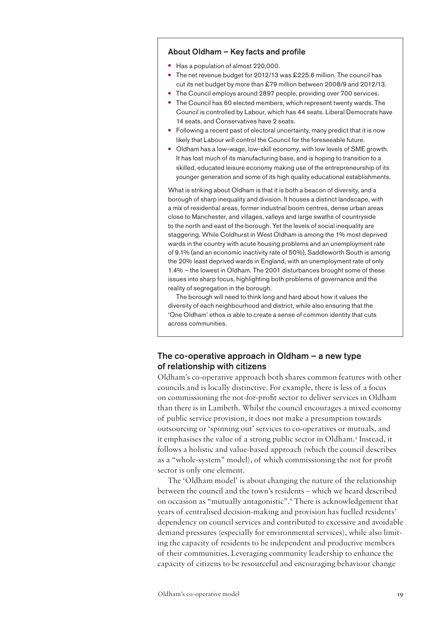#### About Oldham – Key facts and profile

- **•**  Has a population of almost 220,000.
- **•** The net revenue budget for 2012/13 was £225.6 million. The council has cut its net budget by more than £79 million between 2008/9 and 2012/13.
- The Council employs around 2897 people, providing over 700 services.
- The Council has 60 elected members, which represent twenty wards. The Council is controlled by Labour, which has 44 seats. Liberal Democrats have 14 seats, and Conservatives have 2 seats.
- **•** Following a recent past of electoral uncertainty, many predict that it is now likely that Labour will control the Council for the foreseeable future.
- **•**  Oldham has a low-wage, low-skill economy, with low levels of SME growth. It has lost much of its manufacturing base, and is hoping to transition to a skilled, educated leisure economy making use of the entrepreneurship of its younger generation and some of its high quality educational establishments.

What is striking about Oldham is that it is both a beacon of diversity, and a borough of sharp inequality and division. It houses a distinct landscape, with a mix of residential areas, former industrial boom centres, dense urban areas close to Manchester, and villages, valleys and large swaths of countryside to the north and east of the borough. Yet the levels of social inequality are staggering. While Coldhurst in West Oldham is among the 1% most deprived wards in the country with acute housing problems and an unemployment rate of 9.1% (and an economic inactivity rate of 50%), Saddleworth South is among the 20% least deprived wards in England, with an unemployment rate of only 1.4% – the lowest in Oldham. The 2001 disturbances brought some of these issues into sharp focus, highlighting both problems of governance and the reality of segregation in the borough.

The borough will need to think long and hard about how it values the diversity of each neighbourhood and district, while also ensuring that the 'One Oldham' ethos is able to create a sense of common identity that cuts across communities.

## The co-operative approach in Oldham  $-$  a new type of relationship with citizens

Oldham's co-operative approach both shares common features with other councils and is locally distinctive. For example, there is less of a focus on commissioning the not-for-profit sector to deliver services in Oldham than there is in Lambeth. Whilst the council encourages a mixed economy of public service provision, it does not make a presumption towards outsourcing or 'spinning out' services to co-operatives or mutuals, and it emphasises the value of a strong public sector in Oldham.<sup>5</sup> Instead, it follows a holistic and value-based approach (which the council describes as a "whole-system" model), of which commissioning the not for profit sector is only one element.

The 'Oldham model' is about changing the nature of the relationship between the council and the town's residents – which we heard described on occasion as "mutually antagonistic".6 There is acknowledgement that years of centralised decision-making and provision has fuelled residents' dependency on council services and contributed to excessive and avoidable demand pressures (especially for environmental services), while also limiting the capacity of residents to be independent and productive members of their communities. Leveraging community leadership to enhance the capacity of citizens to be resourceful and encouraging behaviour change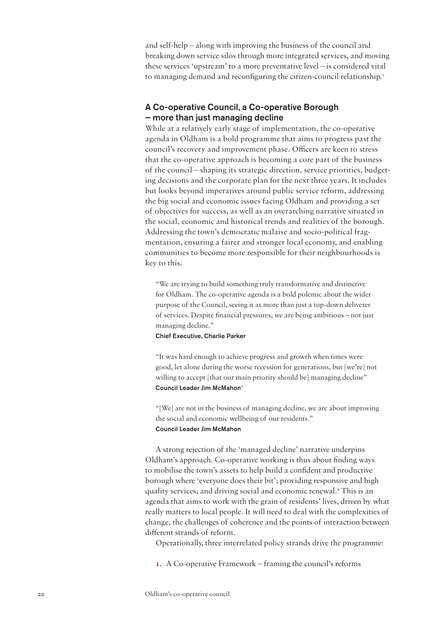and self-help – along with improving the business of the council and breaking down service silos through more integrated services, and moving these services 'upstream' to a more preventative level – is considered vital to managing demand and reconfiguring the citizen-council relationship.7

## A Co-operative Council, a Co-operative Borough – more than just managing decline

While at a relatively early stage of implementation, the co-operative agenda in Oldham is a bold programme that aims to progress past the council's recovery and improvement phase. Officers are keen to stress that the co-operative approach is becoming a core part of the business of the council – shaping its strategic direction, service priorities, budgeting decisions and the corporate plan for the next three years. It includes but looks beyond imperatives around public service reform, addressing the big social and economic issues facing Oldham and providing a set of objectives for success, as well as an overarching narrative situated in the social, economic and historical trends and realities of the borough. Addressing the town's democratic malaise and socio-political fragmentation, ensuring a fairer and stronger local economy, and enabling communities to become more responsible for their neighbourhoods is key to this.

"We are trying to build something truly transformative and distinctive for Oldham. The co-operative agenda is a bold polemic about the wider purpose of the Council, seeing it as more than just a top-down deliverer of services. Despite financial pressures, we are being ambitious – not just managing decline."

## Chief Executive, Charlie Parker

"It was hard enough to achieve progress and growth when times were good, let alone during the worse recession for generations, but [we're] not willing to accept [that our main priority should be] managing decline" Council Leader Jim McMahon<sup>8</sup>

"[We] are not in the business of managing decline, we are about improving the social and economic wellbeing of our residents." Council Leader Jim McMahon

A strong rejection of the 'managed decline' narrative underpins Oldham's approach. Co-operative working is thus about finding ways to mobilise the town's assets to help build a confident and productive borough where 'everyone does their bit'; providing responsive and high quality services; and driving social and economic renewal.9 This is an agenda that aims to work with the grain of residents' lives, driven by what really matters to local people. It will need to deal with the complexities of change, the challenges of coherence and the points of interaction between different strands of reform.

Operationally, three interrelated policy strands drive the programme:

**1.** A Co-operative Framework – framing the council's reforms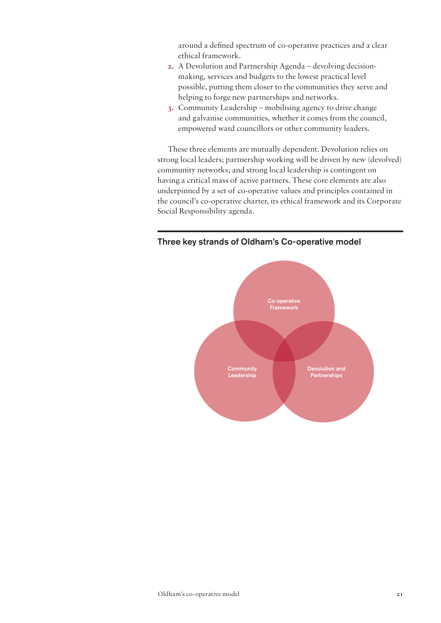around a defined spectrum of co-operative practices and a clear ethical framework.

- **2.** A Devolution and Partnership Agenda devolving decisionmaking, services and budgets to the lowest practical level possible, putting them closer to the communities they serve and helping to forge new partnerships and networks.
- **3.** Community Leadership mobilising agency to drive change and galvanise communities, whether it comes from the council, empowered ward councillors or other community leaders.

These three elements are mutually dependent. Devolution relies on strong local leaders; partnership working will be driven by new (devolved) community networks; and strong local leadership is contingent on having a critical mass of active partners. These core elements are also underpinned by a set of co-operative values and principles contained in the council's co-operative charter, its ethical framework and its Corporate Social Responsibility agenda.



## Three key strands of Oldham's Co-operative model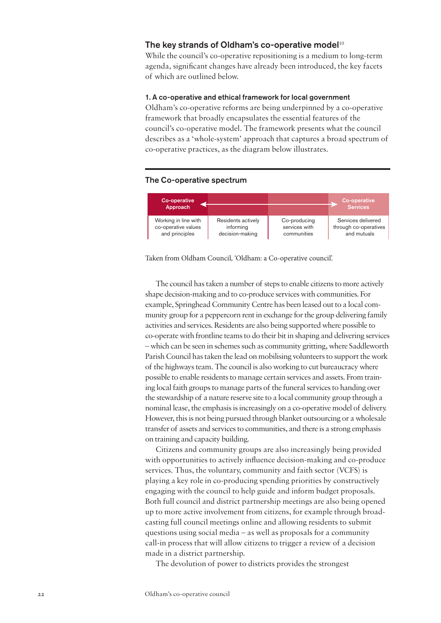## The key strands of Oldham's co-operative model $10$

While the council's co-operative repositioning is a medium to long-term agenda, significant changes have already been introduced, the key facets of which are outlined below.

## 1. A co-operative and ethical framework for local government

Oldham's co-operative reforms are being underpinned by a co-operative framework that broadly encapsulates the essential features of the council's co-operative model. The framework presents what the council describes as a 'whole-system' approach that captures a broad spectrum of co-operative practices, as the diagram below illustrates.

#### The Co-operative spectrum



Taken from Oldham Council, 'Oldham: a Co-operative council'.

The council has taken a number of steps to enable citizens to more actively shape decision-making and to co-produce services with communities. For example, Springhead Community Centre has been leased out to a local community group for a peppercorn rent in exchange for the group delivering family activities and services. Residents are also being supported where possible to co-operate with frontline teams to do their bit in shaping and delivering services – which can be seen in schemes such as community gritting, where Saddleworth Parish Council has taken the lead on mobilising volunteers to support the work of the highways team. The council is also working to cut bureaucracy where possible to enable residents to manage certain services and assets. From training local faith groups to manage parts of the funeral services to handing over the stewardship of a nature reserve site to a local community group through a nominal lease, the emphasis is increasingly on a co-operative model of delivery. However, this is not being pursued through blanket outsourcing or a wholesale transfer of assets and services to communities, and there is a strong emphasis on training and capacity building.

Citizens and community groups are also increasingly being provided with opportunities to actively influence decision-making and co-produce services. Thus, the voluntary, community and faith sector (VCFS) is playing a key role in co-producing spending priorities by constructively engaging with the council to help guide and inform budget proposals. Both full council and district partnership meetings are also being opened up to more active involvement from citizens, for example through broadcasting full council meetings online and allowing residents to submit questions using social media – as well as proposals for a community call-in process that will allow citizens to trigger a review of a decision made in a district partnership.

The devolution of power to districts provides the strongest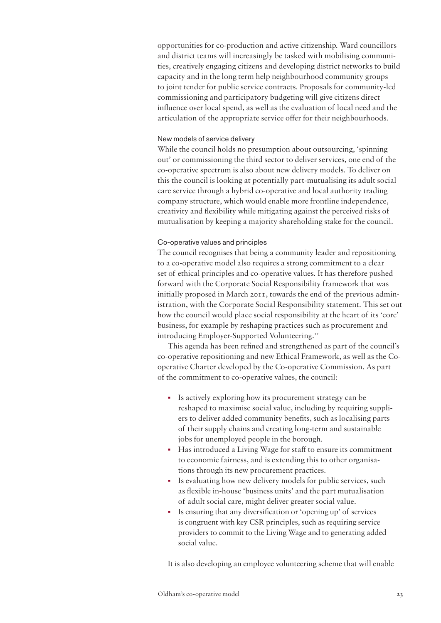opportunities for co-production and active citizenship. Ward councillors and district teams will increasingly be tasked with mobilising communities, creatively engaging citizens and developing district networks to build capacity and in the long term help neighbourhood community groups to joint tender for public service contracts. Proposals for community-led commissioning and participatory budgeting will give citizens direct influence over local spend, as well as the evaluation of local need and the articulation of the appropriate service offer for their neighbourhoods.

### New models of service delivery

While the council holds no presumption about outsourcing, 'spinning out' or commissioning the third sector to deliver services, one end of the co-operative spectrum is also about new delivery models. To deliver on this the council is looking at potentially part-mutualising its adult social care service through a hybrid co-operative and local authority trading company structure, which would enable more frontline independence, creativity and flexibility while mitigating against the perceived risks of mutualisation by keeping a majority shareholding stake for the council.

#### Co-operative values and principles

The council recognises that being a community leader and repositioning to a co-operative model also requires a strong commitment to a clear set of ethical principles and co-operative values. It has therefore pushed forward with the Corporate Social Responsibility framework that was initially proposed in March 2011, towards the end of the previous administration, with the Corporate Social Responsibility statement. This set out how the council would place social responsibility at the heart of its 'core' business, for example by reshaping practices such as procurement and introducing Employer-Supported Volunteering.<sup>11</sup>

This agenda has been refined and strengthened as part of the council's co-operative repositioning and new Ethical Framework, as well as the Cooperative Charter developed by the Co-operative Commission. As part of the commitment to co-operative values, the council:

- Is actively exploring how its procurement strategy can be reshaped to maximise social value, including by requiring suppliers to deliver added community benefits, such as localising parts of their supply chains and creating long-term and sustainable jobs for unemployed people in the borough.
- Has introduced a Living Wage for staff to ensure its commitment to economic fairness, and is extending this to other organisations through its new procurement practices.
- Is evaluating how new delivery models for public services, such as flexible in-house 'business units' and the part mutualisation of adult social care, might deliver greater social value.
- Is ensuring that any diversification or 'opening up' of services is congruent with key CSR principles, such as requiring service providers to commit to the Living Wage and to generating added social value.

It is also developing an employee volunteering scheme that will enable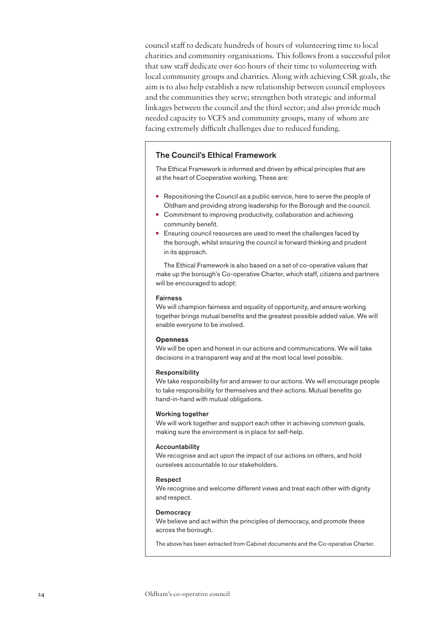council staff to dedicate hundreds of hours of volunteering time to local charities and community organisations. This follows from a successful pilot that saw staff dedicate over 600 hours of their time to volunteering with local community groups and charities. Along with achieving CSR goals, the aim is to also help establish a new relationship between council employees and the communities they serve; strengthen both strategic and informal linkages between the council and the third sector; and also provide much needed capacity to VCFS and community groups, many of whom are facing extremely difficult challenges due to reduced funding.

## The Council's Ethical Framework

The Ethical Framework is informed and driven by ethical principles that are at the heart of Cooperative working. These are:

- **•** Repositioning the Council as a public service, here to serve the people of Oldham and providing strong leadership for the Borough and the council.
- **•** Commitment to improving productivity, collaboration and achieving community benefit.
- **•** Ensuring council resources are used to meet the challenges faced by the borough, whilst ensuring the council is forward thinking and prudent in its approach.

The Ethical Framework is also based on a set of co-operative values that make up the borough's Co-operative Charter, which staff, citizens and partners will be encouraged to adopt:

#### Fairness

We will champion fairness and equality of opportunity, and ensure working together brings mutual benefits and the greatest possible added value. We will enable everyone to be involved.

#### **Openness**

We will be open and honest in our actions and communications. We will take decisions in a transparent way and at the most local level possible.

#### Responsibility

We take responsibility for and answer to our actions. We will encourage people to take responsibility for themselves and their actions. Mutual benefits go hand-in-hand with mutual obligations.

#### Working together

We will work together and support each other in achieving common goals, making sure the environment is in place for self-help.

#### Accountability

We recognise and act upon the impact of our actions on others, and hold ourselves accountable to our stakeholders.

#### Respect

We recognise and welcome different views and treat each other with dignity and respect.

#### **Democracy**

We believe and act within the principles of democracy, and promote these across the borough.

The above has been extracted from Cabinet documents and the Co-operative Charter.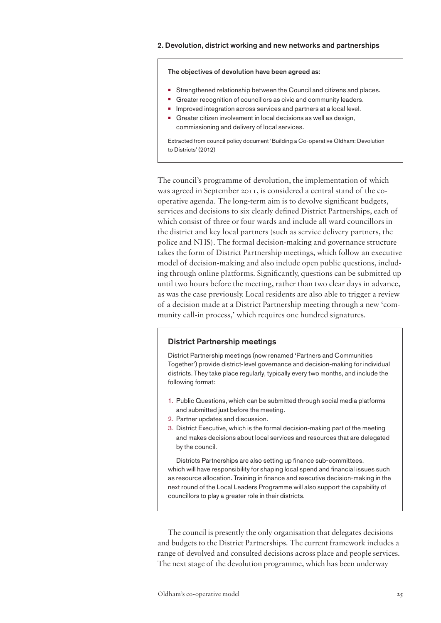## 2. Devolution, district working and new networks and partnerships

#### The objectives of devolution have been agreed as:

- **•** Strengthened relationship between the Council and citizens and places.
- Greater recognition of councillors as civic and community leaders.
- **•** Improved integration across services and partners at a local level.
- Greater citizen involvement in local decisions as well as design, commissioning and delivery of local services.

Extracted from council policy document 'Building a Co-operative Oldham: Devolution to Districts' (2012)

The council's programme of devolution, the implementation of which was agreed in September 2011, is considered a central stand of the cooperative agenda. The long-term aim is to devolve significant budgets, services and decisions to six clearly defined District Partnerships, each of which consist of three or four wards and include all ward councillors in the district and key local partners (such as service delivery partners, the police and NHS). The formal decision-making and governance structure takes the form of District Partnership meetings, which follow an executive model of decision-making and also include open public questions, including through online platforms. Significantly, questions can be submitted up until two hours before the meeting, rather than two clear days in advance, as was the case previously. Local residents are also able to trigger a review of a decision made at a District Partnership meeting through a new 'community call-in process,' which requires one hundred signatures.

## District Partnership meetings

District Partnership meetings (now renamed 'Partners and Communities Together') provide district-level governance and decision-making for individual districts. They take place regularly, typically every two months, and include the following format:

- 1. Public Questions, which can be submitted through social media platforms and submitted just before the meeting.
- 2. Partner updates and discussion.
- 3. District Executive, which is the formal decision-making part of the meeting and makes decisions about local services and resources that are delegated by the council.

Districts Partnerships are also setting up finance sub-committees, which will have responsibility for shaping local spend and financial issues such as resource allocation. Training in finance and executive decision-making in the next round of the Local Leaders Programme will also support the capability of councillors to play a greater role in their districts.

The council is presently the only organisation that delegates decisions and budgets to the District Partnerships. The current framework includes a range of devolved and consulted decisions across place and people services. The next stage of the devolution programme, which has been underway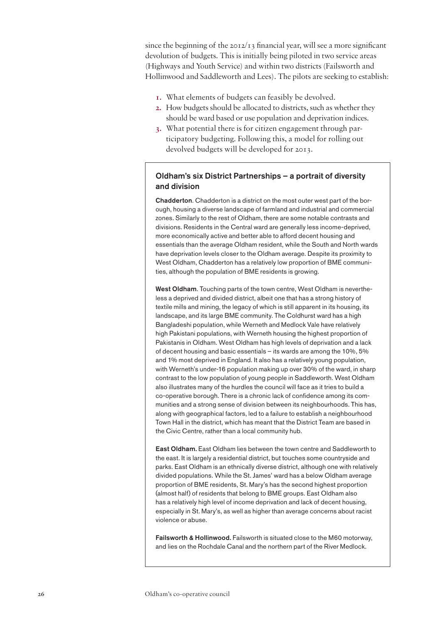since the beginning of the  $20I2/I3$  financial year, will see a more significant devolution of budgets. This is initially being piloted in two service areas (Highways and Youth Service) and within two districts (Failsworth and Hollinwood and Saddleworth and Lees). The pilots are seeking to establish:

- **1.** What elements of budgets can feasibly be devolved.
- **2.** How budgets should be allocated to districts, such as whether they should be ward based or use population and deprivation indices.
- **3.** What potential there is for citizen engagement through participatory budgeting. Following this, a model for rolling out devolved budgets will be developed for 2013.

## Oldham's six District Partnerships – a portrait of diversity and division

Chadderton. Chadderton is a district on the most outer west part of the borough, housing a diverse landscape of farmland and industrial and commercial zones. Similarly to the rest of Oldham, there are some notable contrasts and divisions. Residents in the Central ward are generally less income-deprived, more economically active and better able to afford decent housing and essentials than the average Oldham resident, while the South and North wards have deprivation levels closer to the Oldham average. Despite its proximity to West Oldham, Chadderton has a relatively low proportion of BME communities, although the population of BME residents is growing.

West Oldham. Touching parts of the town centre, West Oldham is nevertheless a deprived and divided district, albeit one that has a strong history of textile mills and mining, the legacy of which is still apparent in its housing, its landscape, and its large BME community. The Coldhurst ward has a high Bangladeshi population, while Werneth and Medlock Vale have relatively high Pakistani populations, with Werneth housing the highest proportion of Pakistanis in Oldham. West Oldham has high levels of deprivation and a lack of decent housing and basic essentials – its wards are among the 10%, 5% and 1% most deprived in England. It also has a relatively young population, with Werneth's under-16 population making up over 30% of the ward, in sharp contrast to the low population of young people in Saddleworth. West Oldham also illustrates many of the hurdles the council will face as it tries to build a co-operative borough. There is a chronic lack of confidence among its communities and a strong sense of division between its neighbourhoods. This has, along with geographical factors, led to a failure to establish a neighbourhood Town Hall in the district, which has meant that the District Team are based in the Civic Centre, rather than a local community hub.

East Oldham. East Oldham lies between the town centre and Saddleworth to the east. It is largely a residential district, but touches some countryside and parks. East Oldham is an ethnically diverse district, although one with relatively divided populations. While the St. James' ward has a below Oldham average proportion of BME residents, St. Mary's has the second highest proportion (almost half) of residents that belong to BME groups. East Oldham also has a relatively high level of income deprivation and lack of decent housing, especially in St. Mary's, as well as higher than average concerns about racist violence or abuse.

Failsworth & Hollinwood. Failsworth is situated close to the M60 motorway, and lies on the Rochdale Canal and the northern part of the River Medlock.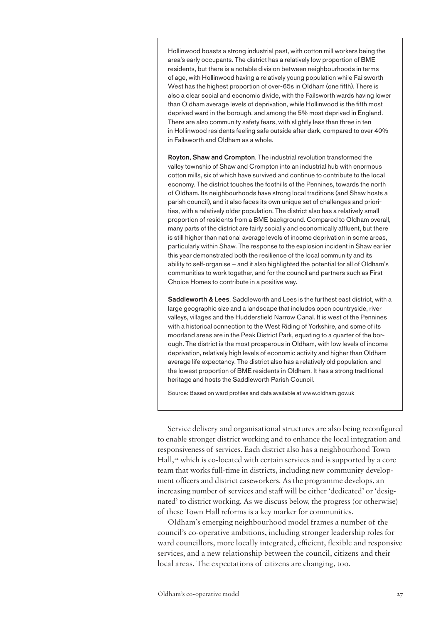Hollinwood boasts a strong industrial past, with cotton mill workers being the area's early occupants. The district has a relatively low proportion of BME residents, but there is a notable division between neighbourhoods in terms of age, with Hollinwood having a relatively young population while Failsworth West has the highest proportion of over-65s in Oldham (one fifth). There is also a clear social and economic divide, with the Failsworth wards having lower than Oldham average levels of deprivation, while Hollinwood is the fifth most deprived ward in the borough, and among the 5% most deprived in England. There are also community safety fears, with slightly less than three in ten in Hollinwood residents feeling safe outside after dark, compared to over 40% in Failsworth and Oldham as a whole.

Royton, Shaw and Crompton. The industrial revolution transformed the valley township of Shaw and Crompton into an industrial hub with enormous cotton mills, six of which have survived and continue to contribute to the local economy. The district touches the foothills of the Pennines, towards the north of Oldham. Its neighbourhoods have strong local traditions (and Shaw hosts a parish council), and it also faces its own unique set of challenges and priorities, with a relatively older population. The district also has a relatively small proportion of residents from a BME background. Compared to Oldham overall, many parts of the district are fairly socially and economically affluent, but there is still higher than national average levels of income deprivation in some areas, particularly within Shaw. The response to the explosion incident in Shaw earlier this year demonstrated both the resilience of the local community and its ability to self-organise – and it also highlighted the potential for all of Oldham's communities to work together, and for the council and partners such as First Choice Homes to contribute in a positive way.

Saddleworth & Lees. Saddleworth and Lees is the furthest east district, with a large geographic size and a landscape that includes open countryside, river valleys, villages and the Huddersfield Narrow Canal. It is west of the Pennines with a historical connection to the West Riding of Yorkshire, and some of its moorland areas are in the Peak District Park, equating to a quarter of the borough. The district is the most prosperous in Oldham, with low levels of income deprivation, relatively high levels of economic activity and higher than Oldham average life expectancy. The district also has a relatively old population, and the lowest proportion of BME residents in Oldham. It has a strong traditional heritage and hosts the Saddleworth Parish Council.

Source: Based on ward profiles and data available at [www.oldham.gov.uk](http://www.oldham.gov.uk)

Service delivery and organisational structures are also being reconfigured to enable stronger district working and to enhance the local integration and responsiveness of services. Each district also has a neighbourhood Town Hall,<sup>12</sup> which is co-located with certain services and is supported by a core team that works full-time in districts, including new community development officers and district caseworkers. As the programme develops, an increasing number of services and staff will be either 'dedicated' or 'designated' to district working. As we discuss below, the progress (or otherwise) of these Town Hall reforms is a key marker for communities.

Oldham's emerging neighbourhood model frames a number of the council's co-operative ambitions, including stronger leadership roles for ward councillors, more locally integrated, efficient, flexible and responsive services, and a new relationship between the council, citizens and their local areas. The expectations of citizens are changing, too.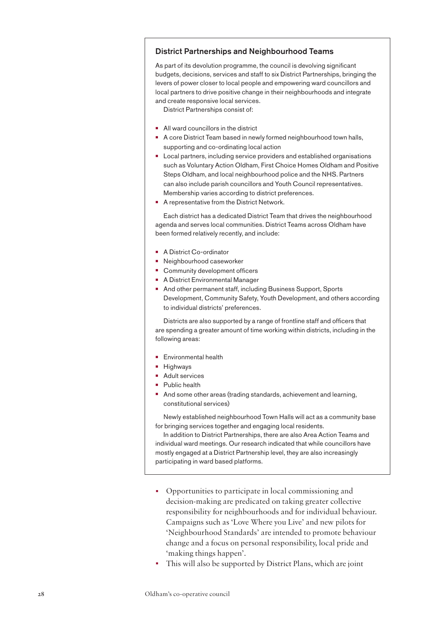## District Partnerships and Neighbourhood Teams

As part of its devolution programme, the council is devolving significant budgets, decisions, services and staff to six District Partnerships, bringing the levers of power closer to local people and empowering ward councillors and local partners to drive positive change in their neighbourhoods and integrate and create responsive local services.

District Partnerships consist of:

- **•**  All ward councillors in the district
- **•** A core District Team based in newly formed neighbourhood town halls, supporting and co-ordinating local action
- **•**  Local partners, including service providers and established organisations such as Voluntary Action Oldham, First Choice Homes Oldham and Positive Steps Oldham, and local neighbourhood police and the NHS. Partners can also include parish councillors and Youth Council representatives. Membership varies according to district preferences.
- **•**  A representative from the District Network.

Each district has a dedicated District Team that drives the neighbourhood agenda and serves local communities. District Teams across Oldham have been formed relatively recently, and include:

- **•**  A District Co-ordinator
- **•**  Neighbourhood caseworker
- **•** Community development officers
- **•**  A District Environmental Manager
- **•**  And other permanent staff, including Business Support, Sports Development, Community Safety, Youth Development, and others according to individual districts' preferences.

Districts are also supported by a range of frontline staff and officers that are spending a greater amount of time working within districts, including in the following areas:

- **•**  Environmental health
- **•**  Highways
- **•**  Adult services
- **•**  Public health
- **•** And some other areas (trading standards, achievement and learning, constitutional services)

Newly established neighbourhood Town Halls will act as a community base for bringing services together and engaging local residents.

In addition to District Partnerships, there are also Area Action Teams and individual ward meetings. Our research indicated that while councillors have mostly engaged at a District Partnership level, they are also increasingly participating in ward based platforms.

- Opportunities to participate in local commissioning and decision-making are predicated on taking greater collective responsibility for neighbourhoods and for individual behaviour. Campaigns such as 'Love Where you Live' and new pilots for 'Neighbourhood Standards' are intended to promote behaviour change and a focus on personal responsibility, local pride and 'making things happen'.
- This will also be supported by District Plans, which are joint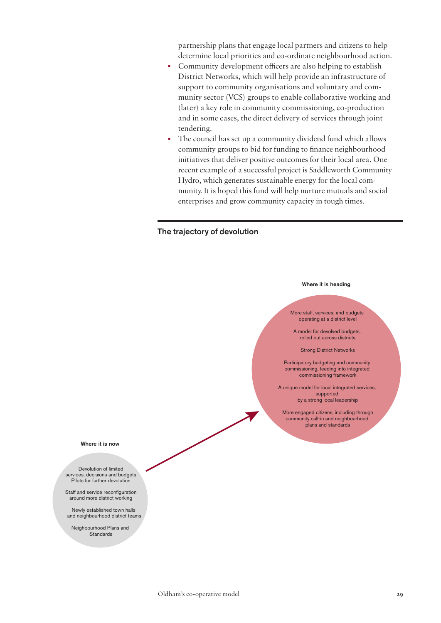partnership plans that engage local partners and citizens to help determine local priorities and co-ordinate neighbourhood action.

- Community development officers are also helping to establish District Networks, which will help provide an infrastructure of support to community organisations and voluntary and community sector (VCS) groups to enable collaborative working and (later) a key role in community commissioning, co-production and in some cases, the direct delivery of services through joint tendering.
- The council has set up a community dividend fund which allows community groups to bid for funding to finance neighbourhood initiatives that deliver positive outcomes for their local area. One recent example of a successful project is Saddleworth Community Hydro, which generates sustainable energy for the local community. It is hoped this fund will help nurture mutuals and social enterprises and grow community capacity in tough times.

## The trajectory of devolution

#### Where it is heading

More staff, services, and budgets operating at a district level

A model for devolved budgets, rolled out across districts

Strong District Networks

Participatory budgeting and community commissioning, feeding into integrated commissioning framework

A unique model for local integrated services, supported by a strong local leadership

More engaged citizens, including through community call-in and neighbourhood plans and standards

Where it is now

Devolution of limited services, decisions and budgets Pilots for further devolution

Staff and service reconfiguration around more district working

Newly established town halls and neighbourhood district teams

Neighbourhood Plans and Standards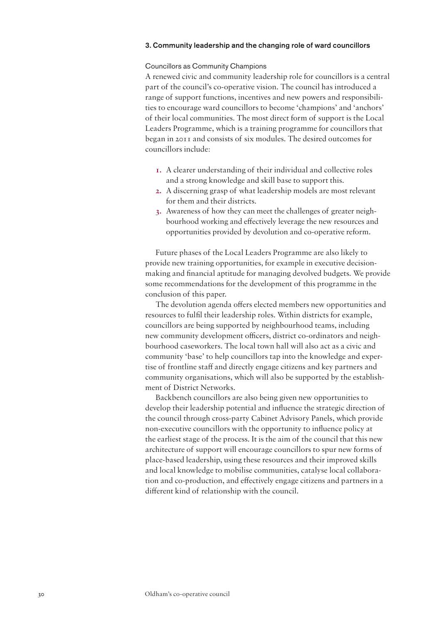#### 3. Community leadership and the changing role of ward councillors

#### Councillors as Community Champions

A renewed civic and community leadership role for councillors is a central part of the council's co-operative vision. The council has introduced a range of support functions, incentives and new powers and responsibilities to encourage ward councillors to become 'champions' and 'anchors' of their local communities. The most direct form of support is the Local Leaders Programme, which is a training programme for councillors that began in 2011 and consists of six modules. The desired outcomes for councillors include:

- **1.** A clearer understanding of their individual and collective roles and a strong knowledge and skill base to support this.
- **2.** A discerning grasp of what leadership models are most relevant for them and their districts.
- **3.** Awareness of how they can meet the challenges of greater neighbourhood working and effectively leverage the new resources and opportunities provided by devolution and co-operative reform.

Future phases of the Local Leaders Programme are also likely to provide new training opportunities, for example in executive decisionmaking and financial aptitude for managing devolved budgets. We provide some recommendations for the development of this programme in the conclusion of this paper.

The devolution agenda offers elected members new opportunities and resources to fulfil their leadership roles. Within districts for example, councillors are being supported by neighbourhood teams, including new community development officers, district co-ordinators and neighbourhood caseworkers. The local town hall will also act as a civic and community 'base' to help councillors tap into the knowledge and expertise of frontline staff and directly engage citizens and key partners and community organisations, which will also be supported by the establishment of District Networks.

Backbench councillors are also being given new opportunities to develop their leadership potential and influence the strategic direction of the council through cross-party Cabinet Advisory Panels, which provide non-executive councillors with the opportunity to influence policy at the earliest stage of the process. It is the aim of the council that this new architecture of support will encourage councillors to spur new forms of place-based leadership, using these resources and their improved skills and local knowledge to mobilise communities, catalyse local collaboration and co-production, and effectively engage citizens and partners in a different kind of relationship with the council.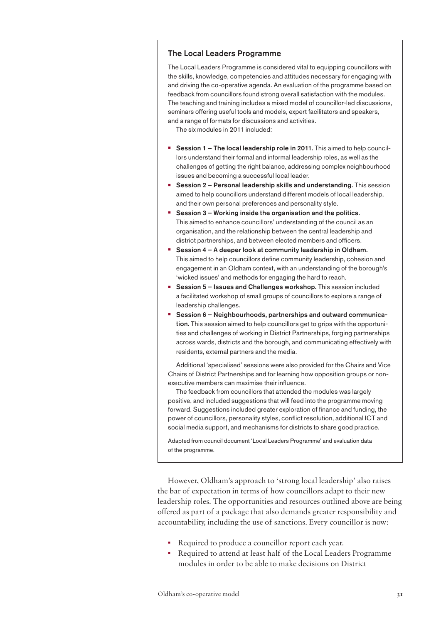## The Local Leaders Programme

The Local Leaders Programme is considered vital to equipping councillors with the skills, knowledge, competencies and attitudes necessary for engaging with and driving the co-operative agenda. An evaluation of the programme based on feedback from councillors found strong overall satisfaction with the modules. The teaching and training includes a mixed model of councillor-led discussions, seminars offering useful tools and models, expert facilitators and speakers, and a range of formats for discussions and activities.

The six modules in 2011 included:

- **Session 1 The local leadership role in 2011.** This aimed to help councillors understand their formal and informal leadership roles, as well as the challenges of getting the right balance, addressing complex neighbourhood issues and becoming a successful local leader.
- **Session 2 Personal leadership skills and understanding. This session** aimed to help councillors understand different models of local leadership, and their own personal preferences and personality style.
- **•** Session 3 Working inside the organisation and the politics. This aimed to enhance councillors' understanding of the council as an organisation, and the relationship between the central leadership and district partnerships, and between elected members and officers.
- **•** Session 4 A deeper look at community leadership in Oldham. This aimed to help councillors define community leadership, cohesion and engagement in an Oldham context, with an understanding of the borough's 'wicked issues' and methods for engaging the hard to reach.
- **•** Session 5 Issues and Challenges workshop. This session included a facilitated workshop of small groups of councillors to explore a range of leadership challenges.
- **•** Session 6 Neighbourhoods, partnerships and outward communication. This session aimed to help councillors get to grips with the opportunities and challenges of working in District Partnerships, forging partnerships across wards, districts and the borough, and communicating effectively with residents, external partners and the media.

Additional 'specialised' sessions were also provided for the Chairs and Vice Chairs of District Partnerships and for learning how opposition groups or nonexecutive members can maximise their influence.

The feedback from councillors that attended the modules was largely positive, and included suggestions that will feed into the programme moving forward. Suggestions included greater exploration of finance and funding, the power of councillors, personality styles, conflict resolution, additional ICT and social media support, and mechanisms for districts to share good practice.

Adapted from council document 'Local Leaders Programme' and evaluation data of the programme.

However, Oldham's approach to 'strong local leadership' also raises the bar of expectation in terms of how councillors adapt to their new leadership roles. The opportunities and resources outlined above are being offered as part of a package that also demands greater responsibility and accountability, including the use of sanctions. Every councillor is now:

- Required to produce a councillor report each year.
- Required to attend at least half of the Local Leaders Programme modules in order to be able to make decisions on District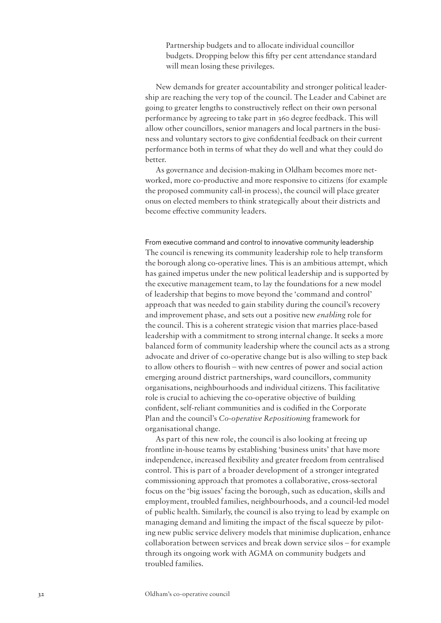Partnership budgets and to allocate individual councillor budgets. Dropping below this fifty per cent attendance standard will mean losing these privileges.

New demands for greater accountability and stronger political leadership are reaching the very top of the council. The Leader and Cabinet are going to greater lengths to constructively reflect on their own personal performance by agreeing to take part in 360 degree feedback. This will allow other councillors, senior managers and local partners in the business and voluntary sectors to give confidential feedback on their current performance both in terms of what they do well and what they could do better.

As governance and decision-making in Oldham becomes more networked, more co-productive and more responsive to citizens (for example the proposed community call-in process), the council will place greater onus on elected members to think strategically about their districts and become effective community leaders.

From executive command and control to innovative community leadership The council is renewing its community leadership role to help transform the borough along co-operative lines. This is an ambitious attempt, which has gained impetus under the new political leadership and is supported by the executive management team, to lay the foundations for a new model of leadership that begins to move beyond the 'command and control' approach that was needed to gain stability during the council's recovery and improvement phase, and sets out a positive new *enabling* role for the council. This is a coherent strategic vision that marries place-based leadership with a commitment to strong internal change. It seeks a more balanced form of community leadership where the council acts as a strong advocate and driver of co-operative change but is also willing to step back to allow others to flourish – with new centres of power and social action emerging around district partnerships, ward councillors, community organisations, neighbourhoods and individual citizens. This facilitative role is crucial to achieving the co-operative objective of building confident, self-reliant communities and is codified in the Corporate Plan and the council's *Co-operative Repositioning* framework for organisational change.

As part of this new role, the council is also looking at freeing up frontline in-house teams by establishing 'business units' that have more independence, increased flexibility and greater freedom from centralised control. This is part of a broader development of a stronger integrated commissioning approach that promotes a collaborative, cross-sectoral focus on the 'big issues' facing the borough, such as education, skills and employment, troubled families, neighbourhoods, and a council-led model of public health. Similarly, the council is also trying to lead by example on managing demand and limiting the impact of the fiscal squeeze by piloting new public service delivery models that minimise duplication, enhance collaboration between services and break down service silos – for example through its ongoing work with AGMA on community budgets and troubled families.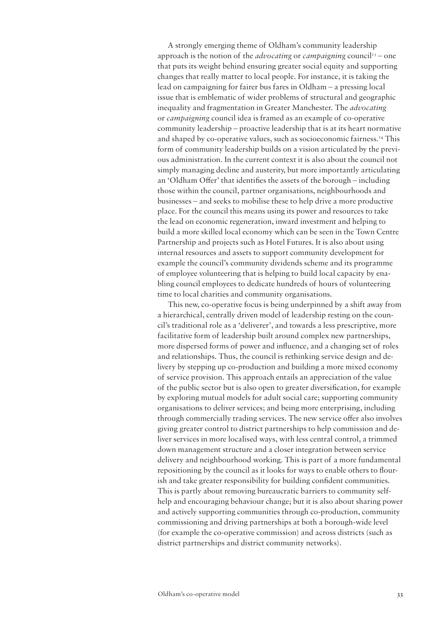A strongly emerging theme of Oldham's community leadership approach is the notion of the *advocating* or *campaigning* council<sup>13</sup> – one that puts its weight behind ensuring greater social equity and supporting changes that really matter to local people. For instance, it is taking the lead on campaigning for fairer bus fares in Oldham – a pressing local issue that is emblematic of wider problems of structural and geographic inequality and fragmentation in Greater Manchester. The *advocating* or *campaigning* council idea is framed as an example of co-operative community leadership – proactive leadership that is at its heart normative and shaped by co-operative values, such as socioeconomic fairness.14 This form of community leadership builds on a vision articulated by the previous administration. In the current context it is also about the council not simply managing decline and austerity, but more importantly articulating an 'Oldham Offer' that identifies the assets of the borough – including those within the council, partner organisations, neighbourhoods and businesses – and seeks to mobilise these to help drive a more productive place. For the council this means using its power and resources to take the lead on economic regeneration, inward investment and helping to build a more skilled local economy which can be seen in the Town Centre Partnership and projects such as Hotel Futures. It is also about using internal resources and assets to support community development for example the council's community dividends scheme and its programme of employee volunteering that is helping to build local capacity by enabling council employees to dedicate hundreds of hours of volunteering time to local charities and community organisations.

This new, co-operative focus is being underpinned by a shift away from a hierarchical, centrally driven model of leadership resting on the council's traditional role as a 'deliverer', and towards a less prescriptive, more facilitative form of leadership built around complex new partnerships, more dispersed forms of power and influence, and a changing set of roles and relationships. Thus, the council is rethinking service design and delivery by stepping up co-production and building a more mixed economy of service provision. This approach entails an appreciation of the value of the public sector but is also open to greater diversification, for example by exploring mutual models for adult social care; supporting community organisations to deliver services; and being more enterprising, including through commercially trading services. The new service offer also involves giving greater control to district partnerships to help commission and deliver services in more localised ways, with less central control, a trimmed down management structure and a closer integration between service delivery and neighbourhood working. This is part of a more fundamental repositioning by the council as it looks for ways to enable others to flourish and take greater responsibility for building confident communities. This is partly about removing bureaucratic barriers to community selfhelp and encouraging behaviour change; but it is also about sharing power and actively supporting communities through co-production, community commissioning and driving partnerships at both a borough-wide level (for example the co-operative commission) and across districts (such as district partnerships and district community networks).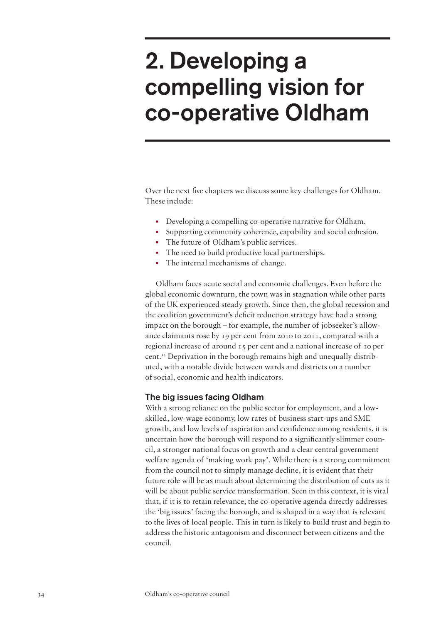# <span id="page-35-0"></span>2. Developing a compelling vision for co-operative Oldham

Over the next five chapters we discuss some key challenges for Oldham. These include:

- Developing a compelling co-operative narrative for Oldham.
- Supporting community coherence, capability and social cohesion.
- The future of Oldham's public services.
- The need to build productive local partnerships.
- The internal mechanisms of change.

Oldham faces acute social and economic challenges. Even before the global economic downturn, the town was in stagnation while other parts of the UK experienced steady growth. Since then, the global recession and the coalition government's deficit reduction strategy have had a strong impact on the borough – for example, the number of jobseeker's allowance claimants rose by 19 per cent from 2010 to 2011, compared with a regional increase of around 15 per cent and a national increase of 10 per cent.<sup>15</sup> Deprivation in the borough remains high and unequally distributed, with a notable divide between wards and districts on a number of social, economic and health indicators.

## The big issues facing Oldham

With a strong reliance on the public sector for employment, and a lowskilled, low-wage economy, low rates of business start-ups and SME growth, and low levels of aspiration and confidence among residents, it is uncertain how the borough will respond to a significantly slimmer council, a stronger national focus on growth and a clear central government welfare agenda of 'making work pay'. While there is a strong commitment from the council not to simply manage decline, it is evident that their future role will be as much about determining the distribution of cuts as it will be about public service transformation. Seen in this context, it is vital that, if it is to retain relevance, the co-operative agenda directly addresses the 'big issues' facing the borough, and is shaped in a way that is relevant to the lives of local people. This in turn is likely to build trust and begin to address the historic antagonism and disconnect between citizens and the council.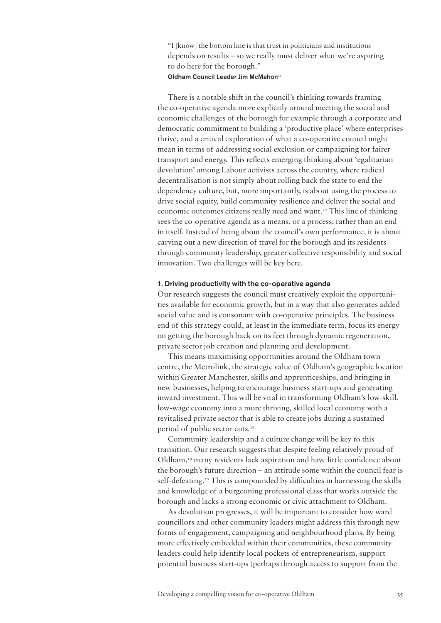"I [know] the bottom line is that trust in politicians and institutions depends on results – so we really must deliver what we're aspiring to do here for the borough."

# Oldham Council Leader Jim McMahon<sup>16</sup>

There is a notable shift in the council's thinking towards framing the co-operative agenda more explicitly around meeting the social and economic challenges of the borough for example through a corporate and democratic commitment to building a 'productive place' where enterprises thrive, and a critical exploration of what a co-operative council might mean in terms of addressing social exclusion or campaigning for fairer transport and energy. This reflects emerging thinking about 'egalitarian devolution' among Labour activists across the country, where radical decentralisation is not simply about rolling back the state to end the dependency culture, but, more importantly, is about using the process to drive social equity, build community resilience and deliver the social and economic outcomes citizens really need and want.17 This line of thinking sees the co-operative agenda as a means, or a process, rather than an end in itself. Instead of being about the council's own performance, it is about carving out a new direction of travel for the borough and its residents through community leadership, greater collective responsibility and social innovation. Two challenges will be key here.

#### 1. Driving productivity with the co-operative agenda

Our research suggests the council must creatively exploit the opportunities available for economic growth, but in a way that also generates added social value and is consonant with co-operative principles. The business end of this strategy could, at least in the immediate term, focus its energy on getting the borough back on its feet through dynamic regeneration, private sector job creation and planning and development.

This means maximising opportunities around the Oldham town centre, the Metrolink, the strategic value of Oldham's geographic location within Greater Manchester, skills and apprenticeships, and bringing in new businesses, helping to encourage business start-ups and generating inward investment. This will be vital in transforming Oldham's low-skill, low-wage economy into a more thriving, skilled local economy with a revitalised private sector that is able to create jobs during a sustained period of public sector cuts.<sup>18</sup>

Community leadership and a culture change will be key to this transition. Our research suggests that despite feeling relatively proud of Oldham,19 many residents lack aspiration and have little confidence about the borough's future direction – an attitude some within the council fear is self-defeating.<sup>20</sup> This is compounded by difficulties in harnessing the skills and knowledge of a burgeoning professional class that works outside the borough and lacks a strong economic or civic attachment to Oldham.

As devolution progresses, it will be important to consider how ward councillors and other community leaders might address this through new forms of engagement, campaigning and neighbourhood plans. By being more effectively embedded within their communities, these community leaders could help identify local pockets of entrepreneurism, support potential business start-ups (perhaps through access to support from the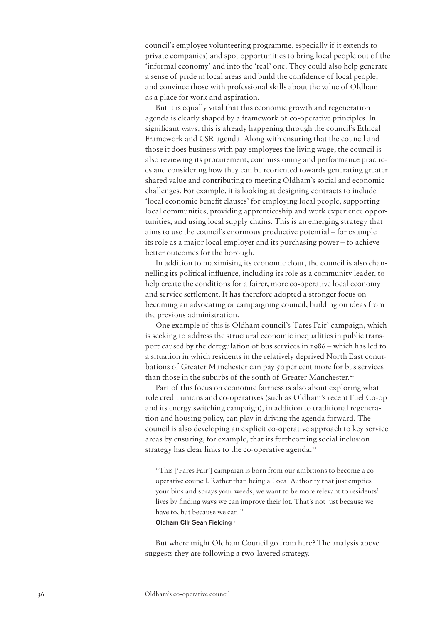council's employee volunteering programme, especially if it extends to private companies) and spot opportunities to bring local people out of the 'informal economy' and into the 'real' one. They could also help generate a sense of pride in local areas and build the confidence of local people, and convince those with professional skills about the value of Oldham as a place for work and aspiration.

But it is equally vital that this economic growth and regeneration agenda is clearly shaped by a framework of co-operative principles. In significant ways, this is already happening through the council's Ethical Framework and CSR agenda. Along with ensuring that the council and those it does business with pay employees the living wage, the council is also reviewing its procurement, commissioning and performance practices and considering how they can be reoriented towards generating greater shared value and contributing to meeting Oldham's social and economic challenges. For example, it is looking at designing contracts to include 'local economic benefit clauses' for employing local people, supporting local communities, providing apprenticeship and work experience opportunities, and using local supply chains. This is an emerging strategy that aims to use the council's enormous productive potential – for example its role as a major local employer and its purchasing power – to achieve better outcomes for the borough.

In addition to maximising its economic clout, the council is also channelling its political influence, including its role as a community leader, to help create the conditions for a fairer, more co-operative local economy and service settlement. It has therefore adopted a stronger focus on becoming an advocating or campaigning council, building on ideas from the previous administration.

One example of this is Oldham council's 'Fares Fair' campaign, which is seeking to address the structural economic inequalities in public transport caused by the deregulation of bus services in 1986 – which has led to a situation in which residents in the relatively deprived North East conurbations of Greater Manchester can pay 50 per cent more for bus services than those in the suburbs of the south of Greater Manchester.<sup>21</sup>

Part of this focus on economic fairness is also about exploring what role credit unions and co-operatives (such as Oldham's recent Fuel Co-op and its energy switching campaign), in addition to traditional regeneration and housing policy, can play in driving the agenda forward. The council is also developing an explicit co-operative approach to key service areas by ensuring, for example, that its forthcoming social inclusion strategy has clear links to the co-operative agenda.<sup>22</sup>

"This ['Fares Fair'] campaign is born from our ambitions to become a cooperative council. Rather than being a Local Authority that just empties your bins and sprays your weeds, we want to be more relevant to residents' lives by finding ways we can improve their lot. That's not just because we have to, but because we can."

Oldham Cllr Sean Fielding<sup>23</sup>

But where might Oldham Council go from here? The analysis above suggests they are following a two-layered strategy.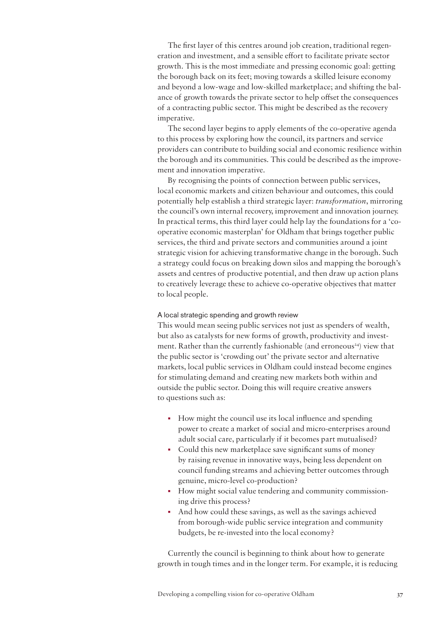The first layer of this centres around job creation, traditional regeneration and investment, and a sensible effort to facilitate private sector growth. This is the most immediate and pressing economic goal: getting the borough back on its feet; moving towards a skilled leisure economy and beyond a low-wage and low-skilled marketplace; and shifting the balance of growth towards the private sector to help offset the consequences of a contracting public sector. This might be described as the recovery imperative.

The second layer begins to apply elements of the co-operative agenda to this process by exploring how the council, its partners and service providers can contribute to building social and economic resilience within the borough and its communities. This could be described as the improvement and innovation imperative.

By recognising the points of connection between public services, local economic markets and citizen behaviour and outcomes, this could potentially help establish a third strategic layer: *transformation*, mirroring the council's own internal recovery, improvement and innovation journey. In practical terms, this third layer could help lay the foundations for a 'cooperative economic masterplan' for Oldham that brings together public services, the third and private sectors and communities around a joint strategic vision for achieving transformative change in the borough. Such a strategy could focus on breaking down silos and mapping the borough's assets and centres of productive potential, and then draw up action plans to creatively leverage these to achieve co-operative objectives that matter to local people.

#### A local strategic spending and growth review

This would mean seeing public services not just as spenders of wealth, but also as catalysts for new forms of growth, productivity and investment. Rather than the currently fashionable (and erroneous<sup>24)</sup> view that the public sector is 'crowding out' the private sector and alternative markets, local public services in Oldham could instead become engines for stimulating demand and creating new markets both within and outside the public sector. Doing this will require creative answers to questions such as:

- How might the council use its local influence and spending power to create a market of social and micro-enterprises around adult social care, particularly if it becomes part mutualised?
- Could this new marketplace save significant sums of money by raising revenue in innovative ways, being less dependent on council funding streams and achieving better outcomes through genuine, micro-level co-production?
- How might social value tendering and community commissioning drive this process?
- And how could these savings, as well as the savings achieved from borough-wide public service integration and community budgets, be re-invested into the local economy?

Currently the council is beginning to think about how to generate growth in tough times and in the longer term. For example, it is reducing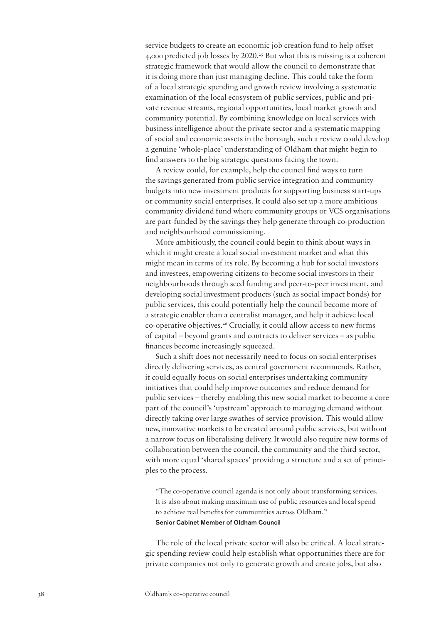service budgets to create an economic job creation fund to help offset 4,000 predicted job losses by 2020.25 But what this is missing is a coherent strategic framework that would allow the council to demonstrate that it is doing more than just managing decline. This could take the form of a local strategic spending and growth review involving a systematic examination of the local ecosystem of public services, public and private revenue streams, regional opportunities, local market growth and community potential. By combining knowledge on local services with business intelligence about the private sector and a systematic mapping of social and economic assets in the borough, such a review could develop a genuine 'whole-place' understanding of Oldham that might begin to find answers to the big strategic questions facing the town.

A review could, for example, help the council find ways to turn the savings generated from public service integration and community budgets into new investment products for supporting business start-ups or community social enterprises. It could also set up a more ambitious community dividend fund where community groups or VCS organisations are part-funded by the savings they help generate through co-production and neighbourhood commissioning.

More ambitiously, the council could begin to think about ways in which it might create a local social investment market and what this might mean in terms of its role. By becoming a hub for social investors and investees, empowering citizens to become social investors in their neighbourhoods through seed funding and peer-to-peer investment, and developing social investment products (such as social impact bonds) for public services, this could potentially help the council become more of a strategic enabler than a centralist manager, and help it achieve local co-operative objectives.26 Crucially, it could allow access to new forms of capital – beyond grants and contracts to deliver services – as public finances become increasingly squeezed.

Such a shift does not necessarily need to focus on social enterprises directly delivering services, as central government recommends. Rather, it could equally focus on social enterprises undertaking community initiatives that could help improve outcomes and reduce demand for public services – thereby enabling this new social market to become a core part of the council's 'upstream' approach to managing demand without directly taking over large swathes of service provision. This would allow new, innovative markets to be created around public services, but without a narrow focus on liberalising delivery. It would also require new forms of collaboration between the council, the community and the third sector, with more equal 'shared spaces' providing a structure and a set of principles to the process.

"The co-operative council agenda is not only about transforming services. It is also about making maximum use of public resources and local spend to achieve real benefits for communities across Oldham." Senior Cabinet Member of Oldham Council

The role of the local private sector will also be critical. A local strategic spending review could help establish what opportunities there are for private companies not only to generate growth and create jobs, but also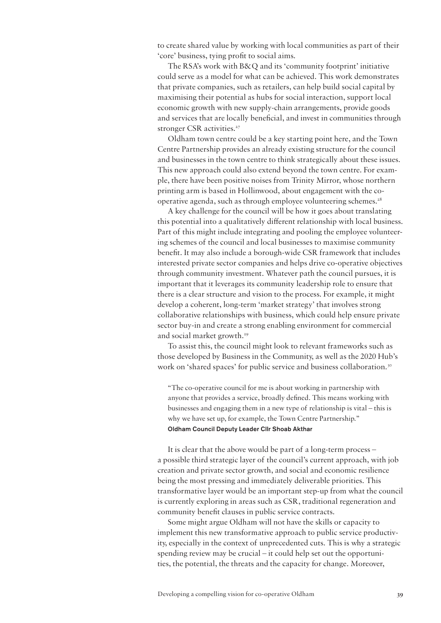to create shared value by working with local communities as part of their 'core' business, tying profit to social aims.

The RSA's work with B&Q and its 'community footprint' initiative could serve as a model for what can be achieved. This work demonstrates that private companies, such as retailers, can help build social capital by maximising their potential as hubs for social interaction, support local economic growth with new supply-chain arrangements, provide goods and services that are locally beneficial, and invest in communities through stronger CSR activities.<sup>27</sup>

Oldham town centre could be a key starting point here, and the Town Centre Partnership provides an already existing structure for the council and businesses in the town centre to think strategically about these issues. This new approach could also extend beyond the town centre. For example, there have been positive noises from Trinity Mirror, whose northern printing arm is based in Hollinwood, about engagement with the cooperative agenda, such as through employee volunteering schemes.<sup>28</sup>

A key challenge for the council will be how it goes about translating this potential into a qualitatively different relationship with local business. Part of this might include integrating and pooling the employee volunteering schemes of the council and local businesses to maximise community benefit. It may also include a borough-wide CSR framework that includes interested private sector companies and helps drive co-operative objectives through community investment. Whatever path the council pursues, it is important that it leverages its community leadership role to ensure that there is a clear structure and vision to the process. For example, it might develop a coherent, long-term 'market strategy' that involves strong collaborative relationships with business, which could help ensure private sector buy-in and create a strong enabling environment for commercial and social market growth.<sup>29</sup>

To assist this, the council might look to relevant frameworks such as those developed by Business in the Community, as well as the 2020 Hub's work on 'shared spaces' for public service and business collaboration.<sup>30</sup>

"The co-operative council for me is about working in partnership with anyone that provides a service, broadly defined. This means working with businesses and engaging them in a new type of relationship is vital – this is why we have set up, for example, the Town Centre Partnership." Oldham Council Deputy Leader Cllr Shoab Akthar

It is clear that the above would be part of a long-term process – a possible third strategic layer of the council's current approach, with job creation and private sector growth, and social and economic resilience being the most pressing and immediately deliverable priorities. This transformative layer would be an important step-up from what the council is currently exploring in areas such as CSR, traditional regeneration and community benefit clauses in public service contracts.

Some might argue Oldham will not have the skills or capacity to implement this new transformative approach to public service productivity, especially in the context of unprecedented cuts. This is why a strategic spending review may be crucial – it could help set out the opportunities, the potential, the threats and the capacity for change. Moreover,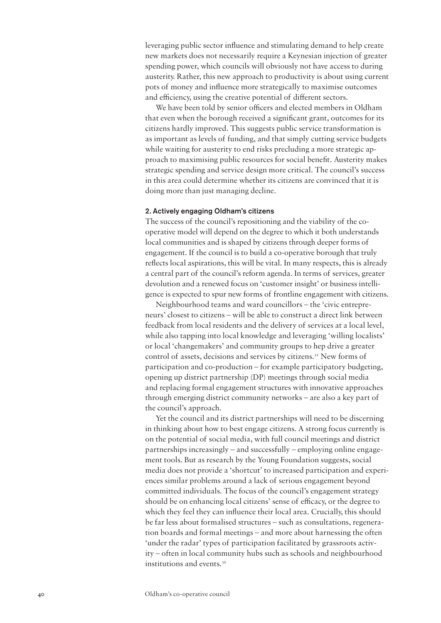leveraging public sector influence and stimulating demand to help create new markets does not necessarily require a Keynesian injection of greater spending power, which councils will obviously not have access to during austerity. Rather, this new approach to productivity is about using current pots of money and influence more strategically to maximise outcomes and efficiency, using the creative potential of different sectors.

We have been told by senior officers and elected members in Oldham that even when the borough received a significant grant, outcomes for its citizens hardly improved. This suggests public service transformation is as important as levels of funding, and that simply cutting service budgets while waiting for austerity to end risks precluding a more strategic approach to maximising public resources for social benefit. Austerity makes strategic spending and service design more critical. The council's success in this area could determine whether its citizens are convinced that it is doing more than just managing decline.

#### 2. Actively engaging Oldham's citizens

The success of the council's repositioning and the viability of the cooperative model will depend on the degree to which it both understands local communities and is shaped by citizens through deeper forms of engagement. If the council is to build a co-operative borough that truly reflects local aspirations, this will be vital. In many respects, this is already a central part of the council's reform agenda. In terms of services, greater devolution and a renewed focus on 'customer insight' or business intelligence is expected to spur new forms of frontline engagement with citizens.

Neighbourhood teams and ward councillors – the 'civic entrepreneurs' closest to citizens – will be able to construct a direct link between feedback from local residents and the delivery of services at a local level, while also tapping into local knowledge and leveraging 'willing localists' or local 'changemakers' and community groups to hep drive a greater control of assets, decisions and services by citizens.31 New forms of participation and co-production – for example participatory budgeting, opening up district partnership (DP) meetings through social media and replacing formal engagement structures with innovative approaches through emerging district community networks – are also a key part of the council's approach.

Yet the council and its district partnerships will need to be discerning in thinking about how to best engage citizens. A strong focus currently is on the potential of social media, with full council meetings and district partnerships increasingly – and successfully – employing online engagement tools. But as research by the Young Foundation suggests, social media does not provide a 'shortcut' to increased participation and experiences similar problems around a lack of serious engagement beyond committed individuals. The focus of the council's engagement strategy should be on enhancing local citizens' sense of efficacy, or the degree to which they feel they can influence their local area. Crucially, this should be far less about formalised structures – such as consultations, regeneration boards and formal meetings – and more about harnessing the often 'under the radar' types of participation facilitated by grassroots activity – often in local community hubs such as schools and neighbourhood institutions and events.32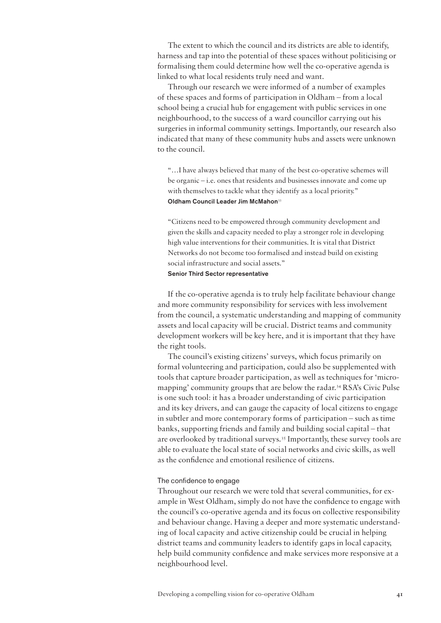The extent to which the council and its districts are able to identify, harness and tap into the potential of these spaces without politicising or formalising them could determine how well the co-operative agenda is linked to what local residents truly need and want.

Through our research we were informed of a number of examples of these spaces and forms of participation in Oldham – from a local school being a crucial hub for engagement with public services in one neighbourhood, to the success of a ward councillor carrying out his surgeries in informal community settings. Importantly, our research also indicated that many of these community hubs and assets were unknown to the council.

"…I have always believed that many of the best co-operative schemes will be organic – i.e. ones that residents and businesses innovate and come up with themselves to tackle what they identify as a local priority." Oldham Council Leader Jim McMahon<sup>33</sup>

"Citizens need to be empowered through community development and given the skills and capacity needed to play a stronger role in developing high value interventions for their communities. It is vital that District Networks do not become too formalised and instead build on existing social infrastructure and social assets."

# Senior Third Sector representative

If the co-operative agenda is to truly help facilitate behaviour change and more community responsibility for services with less involvement from the council, a systematic understanding and mapping of community assets and local capacity will be crucial. District teams and community development workers will be key here, and it is important that they have the right tools.

The council's existing citizens' surveys, which focus primarily on formal volunteering and participation, could also be supplemented with tools that capture broader participation, as well as techniques for 'micromapping' community groups that are below the radar.<sup>34</sup> RSA's Civic Pulse is one such tool: it has a broader understanding of civic participation and its key drivers, and can gauge the capacity of local citizens to engage in subtler and more contemporary forms of participation – such as time banks, supporting friends and family and building social capital – that are overlooked by traditional surveys.35 Importantly, these survey tools are able to evaluate the local state of social networks and civic skills, as well as the confidence and emotional resilience of citizens.

## The confidence to engage

Throughout our research we were told that several communities, for example in West Oldham, simply do not have the confidence to engage with the council's co-operative agenda and its focus on collective responsibility and behaviour change. Having a deeper and more systematic understanding of local capacity and active citizenship could be crucial in helping district teams and community leaders to identify gaps in local capacity, help build community confidence and make services more responsive at a neighbourhood level.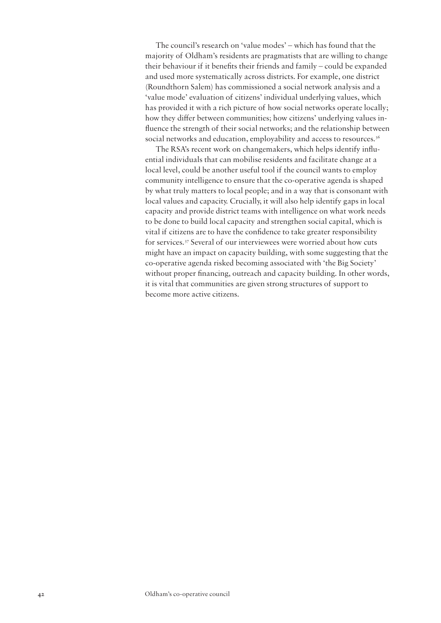The council's research on 'value modes' – which has found that the majority of Oldham's residents are pragmatists that are willing to change their behaviour if it benefits their friends and family – could be expanded and used more systematically across districts. For example, one district (Roundthorn Salem) has commissioned a social network analysis and a 'value mode' evaluation of citizens' individual underlying values, which has provided it with a rich picture of how social networks operate locally; how they differ between communities; how citizens' underlying values influence the strength of their social networks; and the relationship between social networks and education, employability and access to resources.<sup>36</sup>

The RSA's recent work on changemakers, which helps identify influential individuals that can mobilise residents and facilitate change at a local level, could be another useful tool if the council wants to employ community intelligence to ensure that the co-operative agenda is shaped by what truly matters to local people; and in a way that is consonant with local values and capacity. Crucially, it will also help identify gaps in local capacity and provide district teams with intelligence on what work needs to be done to build local capacity and strengthen social capital, which is vital if citizens are to have the confidence to take greater responsibility for services.37 Several of our interviewees were worried about how cuts might have an impact on capacity building, with some suggesting that the co-operative agenda risked becoming associated with 'the Big Society' without proper financing, outreach and capacity building. In other words, it is vital that communities are given strong structures of support to become more active citizens.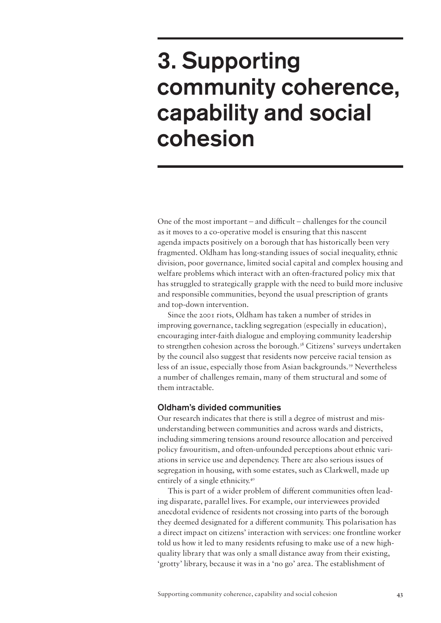# 3. Supporting community coherence, capability and social cohesion

One of the most important – and difficult – challenges for the council as it moves to a co-operative model is ensuring that this nascent agenda impacts positively on a borough that has historically been very fragmented. Oldham has long-standing issues of social inequality, ethnic division, poor governance, limited social capital and complex housing and welfare problems which interact with an often-fractured policy mix that has struggled to strategically grapple with the need to build more inclusive and responsible communities, beyond the usual prescription of grants and top-down intervention.

Since the 2001 riots, Oldham has taken a number of strides in improving governance, tackling segregation (especially in education), encouraging inter-faith dialogue and employing community leadership to strengthen cohesion across the borough.<sup>38</sup> Citizens' surveys undertaken by the council also suggest that residents now perceive racial tension as less of an issue, especially those from Asian backgrounds.<sup>39</sup> Nevertheless a number of challenges remain, many of them structural and some of them intractable.

# Oldham's divided communities

Our research indicates that there is still a degree of mistrust and misunderstanding between communities and across wards and districts, including simmering tensions around resource allocation and perceived policy favouritism, and often-unfounded perceptions about ethnic variations in service use and dependency. There are also serious issues of segregation in housing, with some estates, such as Clarkwell, made up entirely of a single ethnicity.<sup>40</sup>

This is part of a wider problem of different communities often leading disparate, parallel lives. For example, our interviewees provided anecdotal evidence of residents not crossing into parts of the borough they deemed designated for a different community. This polarisation has a direct impact on citizens' interaction with services: one frontline worker told us how it led to many residents refusing to make use of a new highquality library that was only a small distance away from their existing, 'grotty' library, because it was in a 'no go' area. The establishment of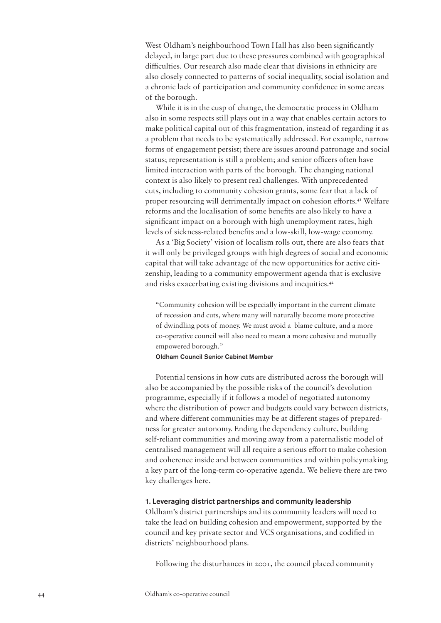West Oldham's neighbourhood Town Hall has also been significantly delayed, in large part due to these pressures combined with geographical difficulties. Our research also made clear that divisions in ethnicity are also closely connected to patterns of social inequality, social isolation and a chronic lack of participation and community confidence in some areas of the borough.

While it is in the cusp of change, the democratic process in Oldham also in some respects still plays out in a way that enables certain actors to make political capital out of this fragmentation, instead of regarding it as a problem that needs to be systematically addressed. For example, narrow forms of engagement persist; there are issues around patronage and social status; representation is still a problem; and senior officers often have limited interaction with parts of the borough. The changing national context is also likely to present real challenges. With unprecedented cuts, including to community cohesion grants, some fear that a lack of proper resourcing will detrimentally impact on cohesion efforts.41 Welfare reforms and the localisation of some benefits are also likely to have a significant impact on a borough with high unemployment rates, high levels of sickness-related benefits and a low-skill, low-wage economy.

As a 'Big Society' vision of localism rolls out, there are also fears that it will only be privileged groups with high degrees of social and economic capital that will take advantage of the new opportunities for active citizenship, leading to a community empowerment agenda that is exclusive and risks exacerbating existing divisions and inequities.42

"Community cohesion will be especially important in the current climate of recession and cuts, where many will naturally become more protective of dwindling pots of money. We must avoid a blame culture, and a more co-operative council will also need to mean a more cohesive and mutually empowered borough."

#### Oldham Council Senior Cabinet Member

Potential tensions in how cuts are distributed across the borough will also be accompanied by the possible risks of the council's devolution programme, especially if it follows a model of negotiated autonomy where the distribution of power and budgets could vary between districts, and where different communities may be at different stages of preparedness for greater autonomy. Ending the dependency culture, building self-reliant communities and moving away from a paternalistic model of centralised management will all require a serious effort to make cohesion and coherence inside and between communities and within policymaking a key part of the long-term co-operative agenda. We believe there are two key challenges here.

#### 1. Leveraging district partnerships and community leadership

Oldham's district partnerships and its community leaders will need to take the lead on building cohesion and empowerment, supported by the council and key private sector and VCS organisations, and codified in districts' neighbourhood plans.

Following the disturbances in 2001, the council placed community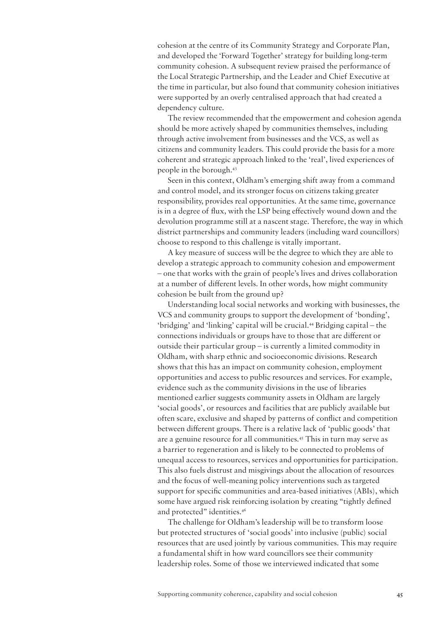cohesion at the centre of its Community Strategy and Corporate Plan, and developed the 'Forward Together' strategy for building long-term community cohesion. A subsequent review praised the performance of the Local Strategic Partnership, and the Leader and Chief Executive at the time in particular, but also found that community cohesion initiatives were supported by an overly centralised approach that had created a dependency culture.

The review recommended that the empowerment and cohesion agenda should be more actively shaped by communities themselves, including through active involvement from businesses and the VCS, as well as citizens and community leaders. This could provide the basis for a more coherent and strategic approach linked to the 'real', lived experiences of people in the borough.43

Seen in this context, Oldham's emerging shift away from a command and control model, and its stronger focus on citizens taking greater responsibility, provides real opportunities. At the same time, governance is in a degree of flux, with the LSP being effectively wound down and the devolution programme still at a nascent stage. Therefore, the way in which district partnerships and community leaders (including ward councillors) choose to respond to this challenge is vitally important.

A key measure of success will be the degree to which they are able to develop a strategic approach to community cohesion and empowerment – one that works with the grain of people's lives and drives collaboration at a number of different levels. In other words, how might community cohesion be built from the ground up?

Understanding local social networks and working with businesses, the VCS and community groups to support the development of 'bonding', 'bridging' and 'linking' capital will be crucial.44 Bridging capital – the connections individuals or groups have to those that are different or outside their particular group – is currently a limited commodity in Oldham, with sharp ethnic and socioeconomic divisions. Research shows that this has an impact on community cohesion, employment opportunities and access to public resources and services. For example, evidence such as the community divisions in the use of libraries mentioned earlier suggests community assets in Oldham are largely 'social goods', or resources and facilities that are publicly available but often scare, exclusive and shaped by patterns of conflict and competition between different groups. There is a relative lack of 'public goods' that are a genuine resource for all communities.45 This in turn may serve as a barrier to regeneration and is likely to be connected to problems of unequal access to resources, services and opportunities for participation. This also fuels distrust and misgivings about the allocation of resources and the focus of well-meaning policy interventions such as targeted support for specific communities and area-based initiatives (ABIs), which some have argued risk reinforcing isolation by creating "tightly defined and protected" identities.<sup>46</sup>

The challenge for Oldham's leadership will be to transform loose but protected structures of 'social goods' into inclusive (public) social resources that are used jointly by various communities. This may require a fundamental shift in how ward councillors see their community leadership roles. Some of those we interviewed indicated that some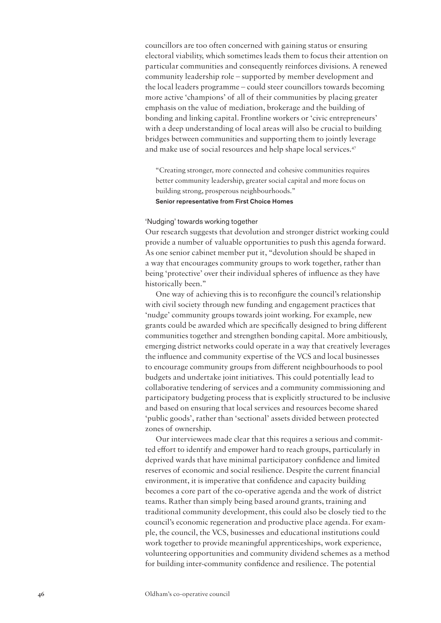councillors are too often concerned with gaining status or ensuring electoral viability, which sometimes leads them to focus their attention on particular communities and consequently reinforces divisions. A renewed community leadership role – supported by member development and the local leaders programme – could steer councillors towards becoming more active 'champions' of all of their communities by placing greater emphasis on the value of mediation, brokerage and the building of bonding and linking capital. Frontline workers or 'civic entrepreneurs' with a deep understanding of local areas will also be crucial to building bridges between communities and supporting them to jointly leverage and make use of social resources and help shape local services.<sup>47</sup>

"Creating stronger, more connected and cohesive communities requires better community leadership, greater social capital and more focus on building strong, prosperous neighbourhoods."

Senior representative from First Choice Homes

## 'Nudging' towards working together

Our research suggests that devolution and stronger district working could provide a number of valuable opportunities to push this agenda forward. As one senior cabinet member put it, "devolution should be shaped in a way that encourages community groups to work together, rather than being 'protective' over their individual spheres of influence as they have historically been."

One way of achieving this is to reconfigure the council's relationship with civil society through new funding and engagement practices that 'nudge' community groups towards joint working. For example, new grants could be awarded which are specifically designed to bring different communities together and strengthen bonding capital. More ambitiously, emerging district networks could operate in a way that creatively leverages the influence and community expertise of the VCS and local businesses to encourage community groups from different neighbourhoods to pool budgets and undertake joint initiatives. This could potentially lead to collaborative tendering of services and a community commissioning and participatory budgeting process that is explicitly structured to be inclusive and based on ensuring that local services and resources become shared 'public goods', rather than 'sectional' assets divided between protected zones of ownership.

Our interviewees made clear that this requires a serious and committed effort to identify and empower hard to reach groups, particularly in deprived wards that have minimal participatory confidence and limited reserves of economic and social resilience. Despite the current financial environment, it is imperative that confidence and capacity building becomes a core part of the co-operative agenda and the work of district teams. Rather than simply being based around grants, training and traditional community development, this could also be closely tied to the council's economic regeneration and productive place agenda. For example, the council, the VCS, businesses and educational institutions could work together to provide meaningful apprenticeships, work experience, volunteering opportunities and community dividend schemes as a method for building inter-community confidence and resilience. The potential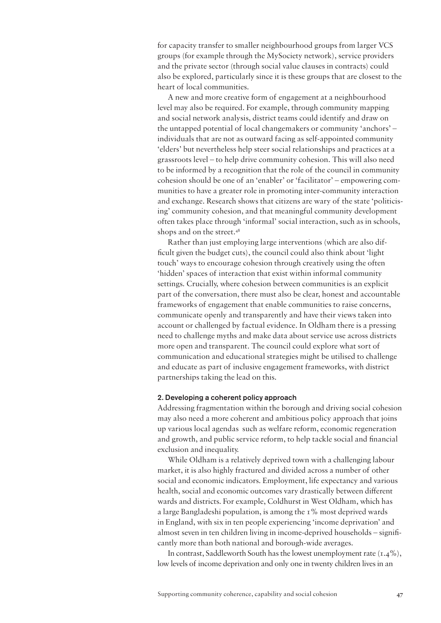for capacity transfer to smaller neighbourhood groups from larger VCS groups (for example through the MySociety network), service providers and the private sector (through social value clauses in contracts) could also be explored, particularly since it is these groups that are closest to the heart of local communities.

A new and more creative form of engagement at a neighbourhood level may also be required. For example, through community mapping and social network analysis, district teams could identify and draw on the untapped potential of local changemakers or community 'anchors' – individuals that are not as outward facing as self-appointed community 'elders' but nevertheless help steer social relationships and practices at a grassroots level – to help drive community cohesion. This will also need to be informed by a recognition that the role of the council in community cohesion should be one of an 'enabler' or 'facilitator' – empowering communities to have a greater role in promoting inter-community interaction and exchange. Research shows that citizens are wary of the state 'politicising' community cohesion, and that meaningful community development often takes place through 'informal' social interaction, such as in schools, shops and on the street.<sup>48</sup>

Rather than just employing large interventions (which are also difficult given the budget cuts), the council could also think about 'light touch' ways to encourage cohesion through creatively using the often 'hidden' spaces of interaction that exist within informal community settings. Crucially, where cohesion between communities is an explicit part of the conversation, there must also be clear, honest and accountable frameworks of engagement that enable communities to raise concerns, communicate openly and transparently and have their views taken into account or challenged by factual evidence. In Oldham there is a pressing need to challenge myths and make data about service use across districts more open and transparent. The council could explore what sort of communication and educational strategies might be utilised to challenge and educate as part of inclusive engagement frameworks, with district partnerships taking the lead on this.

#### 2. Developing a coherent policy approach

Addressing fragmentation within the borough and driving social cohesion may also need a more coherent and ambitious policy approach that joins up various local agendas such as welfare reform, economic regeneration and growth, and public service reform, to help tackle social and financial exclusion and inequality.

While Oldham is a relatively deprived town with a challenging labour market, it is also highly fractured and divided across a number of other social and economic indicators. Employment, life expectancy and various health, social and economic outcomes vary drastically between different wards and districts. For example, Coldhurst in West Oldham, which has a large Bangladeshi population, is among the 1% most deprived wards in England, with six in ten people experiencing 'income deprivation' and almost seven in ten children living in income-deprived households – significantly more than both national and borough-wide averages.

In contrast, Saddleworth South has the lowest unemployment rate  $(1.4\%)$ , low levels of income deprivation and only one in twenty children lives in an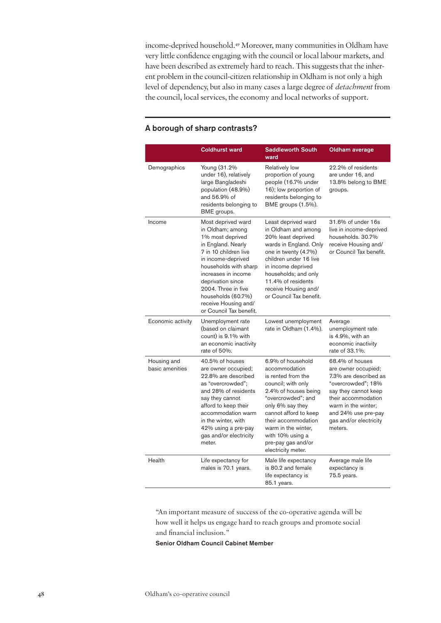income-deprived household.49 Moreover, many communities in Oldham have very little confidence engaging with the council or local labour markets, and have been described as extremely hard to reach. This suggests that the inherent problem in the council-citizen relationship in Oldham is not only a high level of dependency, but also in many cases a large degree of *detachment* from the council, local services, the economy and local networks of support.

|                                | <b>Coldhurst ward</b>                                                                                                                                                                                                                                                                                | <b>Saddleworth South</b><br>ward                                                                                                                                                                                                                                                        | Oldham average                                                                                                                                                                                                          |
|--------------------------------|------------------------------------------------------------------------------------------------------------------------------------------------------------------------------------------------------------------------------------------------------------------------------------------------------|-----------------------------------------------------------------------------------------------------------------------------------------------------------------------------------------------------------------------------------------------------------------------------------------|-------------------------------------------------------------------------------------------------------------------------------------------------------------------------------------------------------------------------|
| Demographics                   | Young (31.2%<br>under 16), relatively<br>large Bangladeshi<br>population (48.9%)<br>and 56.9% of<br>residents belonging to<br>BME groups.                                                                                                                                                            | <b>Relatively low</b><br>proportion of young<br>people (16.7% under<br>16); low proportion of<br>residents belonging to<br>BME groups (1.5%).                                                                                                                                           | 22.2% of residents<br>are under 16, and<br>13.8% belong to BME<br>groups.                                                                                                                                               |
| Income                         | Most deprived ward<br>in Oldham; among<br>1% most deprived<br>in England. Nearly<br>7 in 10 children live<br>in income-deprived<br>households with sharp<br>increases in income<br>deprivation since<br>2004. Three in five<br>households (60.7%)<br>receive Housing and/<br>or Council Tax benefit. | Least deprived ward<br>in Oldham and among<br>20% least deprived<br>wards in England. Only<br>one in twenty (4.7%)<br>children under 16 live<br>in income deprived<br>households; and only<br>11.4% of residents<br>receive Housing and/<br>or Council Tax benefit.                     | 31.6% of under 16s<br>live in income-deprived<br>households. 30.7%<br>receive Housing and/<br>or Council Tax benefit.                                                                                                   |
| Economic activity              | Unemployment rate<br>(based on claimant<br>count) is 9.1% with<br>an economic inactivity<br>rate of 50%.                                                                                                                                                                                             | Lowest unemployment<br>rate in Oldham (1.4%).                                                                                                                                                                                                                                           | Average<br>unemployment rate<br>is 4.9%, with an<br>economic inactivity<br>rate of 33.1%.                                                                                                                               |
| Housing and<br>basic amenities | 40.5% of houses<br>are owner occupied;<br>22.8% are described<br>as "overcrowded":<br>and 28% of residents<br>say they cannot<br>afford to keep their<br>accommodation warm<br>in the winter, with<br>42% using a pre-pay<br>gas and/or electricity<br>meter.                                        | 6.9% of household<br>accommodation<br>is rented from the<br>council; with only<br>2.4% of houses being<br>"overcrowded"; and<br>only 6% say they<br>cannot afford to keep<br>their accommodation<br>warm in the winter,<br>with 10% using a<br>pre-pay gas and/or<br>electricity meter. | 68.4% of houses<br>are owner occupied;<br>7.3% are described as<br>"overcrowded"; 18%<br>say they cannot keep<br>their accommodation<br>warm in the winter:<br>and 24% use pre-pay<br>gas and/or electricity<br>meters. |
| Health                         | Life expectancy for<br>males is 70.1 years.                                                                                                                                                                                                                                                          | Male life expectancy<br>is 80.2 and female<br>life expectancy is<br>85.1 years.                                                                                                                                                                                                         | Average male life<br>expectancy is<br>75.5 years.                                                                                                                                                                       |

# A borough of sharp contrasts?

"An important measure of success of the co-operative agenda will be how well it helps us engage hard to reach groups and promote social and financial inclusion."

Senior Oldham Council Cabinet Member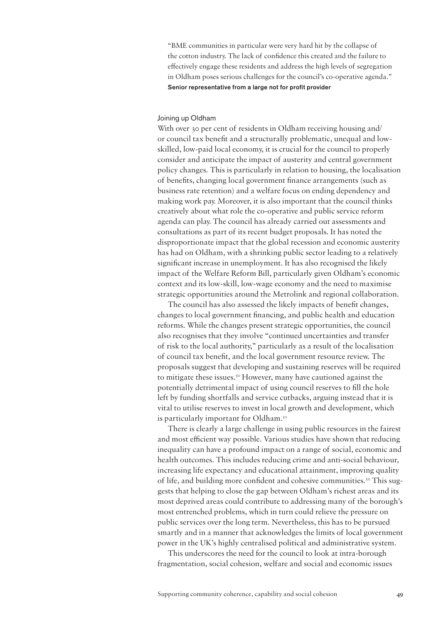"BME communities in particular were very hard hit by the collapse of the cotton industry. The lack of confidence this created and the failure to effectively engage these residents and address the high levels of segregation in Oldham poses serious challenges for the council's co-operative agenda." Senior representative from a large not for profit provider

#### Joining up Oldham

With over 30 per cent of residents in Oldham receiving housing and/ or council tax benefit and a structurally problematic, unequal and lowskilled, low-paid local economy, it is crucial for the council to properly consider and anticipate the impact of austerity and central government policy changes. This is particularly in relation to housing, the localisation of benefits, changing local government finance arrangements (such as business rate retention) and a welfare focus on ending dependency and making work pay. Moreover, it is also important that the council thinks creatively about what role the co-operative and public service reform agenda can play. The council has already carried out assessments and consultations as part of its recent budget proposals. It has noted the disproportionate impact that the global recession and economic austerity has had on Oldham, with a shrinking public sector leading to a relatively significant increase in unemployment. It has also recognised the likely impact of the Welfare Reform Bill, particularly given Oldham's economic context and its low-skill, low-wage economy and the need to maximise strategic opportunities around the Metrolink and regional collaboration.

The council has also assessed the likely impacts of benefit changes, changes to local government financing, and public health and education reforms. While the changes present strategic opportunities, the council also recognises that they involve "continued uncertainties and transfer of risk to the local authority," particularly as a result of the localisation of council tax benefit, and the local government resource review. The proposals suggest that developing and sustaining reserves will be required to mitigate these issues.<sup>50</sup> However, many have cautioned against the potentially detrimental impact of using council reserves to fill the hole left by funding shortfalls and service cutbacks, arguing instead that it is vital to utilise reserves to invest in local growth and development, which is particularly important for Oldham.<sup>51</sup>

There is clearly a large challenge in using public resources in the fairest and most efficient way possible. Various studies have shown that reducing inequality can have a profound impact on a range of social, economic and health outcomes. This includes reducing crime and anti-social behaviour, increasing life expectancy and educational attainment, improving quality of life, and building more confident and cohesive communities.<sup>52</sup> This suggests that helping to close the gap between Oldham's richest areas and its most deprived areas could contribute to addressing many of the borough's most entrenched problems, which in turn could relieve the pressure on public services over the long term. Nevertheless, this has to be pursued smartly and in a manner that acknowledges the limits of local government power in the UK's highly centralised political and administrative system.

This underscores the need for the council to look at intra-borough fragmentation, social cohesion, welfare and social and economic issues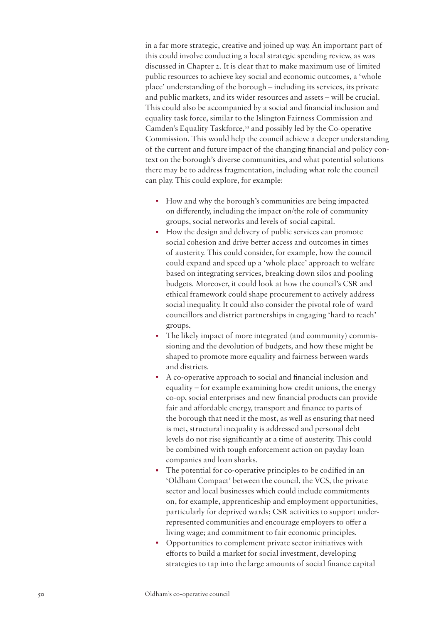in a far more strategic, creative and joined up way. An important part of this could involve conducting a local strategic spending review, as was discussed in Chapter 2. It is clear that to make maximum use of limited public resources to achieve key social and economic outcomes, a 'whole place' understanding of the borough – including its services, its private and public markets, and its wider resources and assets – will be crucial. This could also be accompanied by a social and financial inclusion and equality task force, similar to the Islington Fairness Commission and Camden's Equality Taskforce,53 and possibly led by the Co-operative Commission. This would help the council achieve a deeper understanding of the current and future impact of the changing financial and policy context on the borough's diverse communities, and what potential solutions there may be to address fragmentation, including what role the council can play. This could explore, for example:

- How and why the borough's communities are being impacted on differently, including the impact on/the role of community groups, social networks and levels of social capital.
- How the design and delivery of public services can promote social cohesion and drive better access and outcomes in times of austerity. This could consider, for example, how the council could expand and speed up a 'whole place' approach to welfare based on integrating services, breaking down silos and pooling budgets. Moreover, it could look at how the council's CSR and ethical framework could shape procurement to actively address social inequality. It could also consider the pivotal role of ward councillors and district partnerships in engaging 'hard to reach' groups.
- The likely impact of more integrated (and community) commissioning and the devolution of budgets, and how these might be shaped to promote more equality and fairness between wards and districts.
- A co-operative approach to social and financial inclusion and equality – for example examining how credit unions, the energy co-op, social enterprises and new financial products can provide fair and affordable energy, transport and finance to parts of the borough that need it the most, as well as ensuring that need is met, structural inequality is addressed and personal debt levels do not rise significantly at a time of austerity. This could be combined with tough enforcement action on payday loan companies and loan sharks.
- The potential for co-operative principles to be codified in an 'Oldham Compact' between the council, the VCS, the private sector and local businesses which could include commitments on, for example, apprenticeship and employment opportunities, particularly for deprived wards; CSR activities to support underrepresented communities and encourage employers to offer a living wage; and commitment to fair economic principles.
- Opportunities to complement private sector initiatives with efforts to build a market for social investment, developing strategies to tap into the large amounts of social finance capital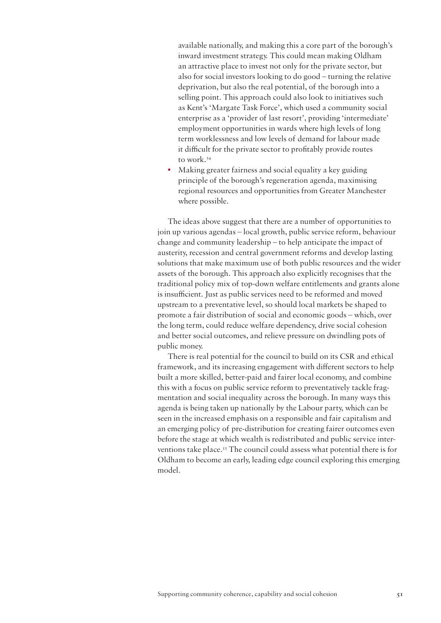available nationally, and making this a core part of the borough's inward investment strategy. This could mean making Oldham an attractive place to invest not only for the private sector, but also for social investors looking to do good – turning the relative deprivation, but also the real potential, of the borough into a selling point. This approach could also look to initiatives such as Kent's 'Margate Task Force', which used a community social enterprise as a 'provider of last resort', providing 'intermediate' employment opportunities in wards where high levels of long term worklessness and low levels of demand for labour made it difficult for the private sector to profitably provide routes to work.54

• Making greater fairness and social equality a key guiding principle of the borough's regeneration agenda, maximising regional resources and opportunities from Greater Manchester where possible.

The ideas above suggest that there are a number of opportunities to join up various agendas – local growth, public service reform, behaviour change and community leadership – to help anticipate the impact of austerity, recession and central government reforms and develop lasting solutions that make maximum use of both public resources and the wider assets of the borough. This approach also explicitly recognises that the traditional policy mix of top-down welfare entitlements and grants alone is insufficient. Just as public services need to be reformed and moved upstream to a preventative level, so should local markets be shaped to promote a fair distribution of social and economic goods – which, over the long term, could reduce welfare dependency, drive social cohesion and better social outcomes, and relieve pressure on dwindling pots of public money.

There is real potential for the council to build on its CSR and ethical framework, and its increasing engagement with different sectors to help built a more skilled, better-paid and fairer local economy, and combine this with a focus on public service reform to preventatively tackle fragmentation and social inequality across the borough. In many ways this agenda is being taken up nationally by the Labour party, which can be seen in the increased emphasis on a responsible and fair capitalism and an emerging policy of pre-distribution for creating fairer outcomes even before the stage at which wealth is redistributed and public service interventions take place.55 The council could assess what potential there is for Oldham to become an early, leading edge council exploring this emerging model.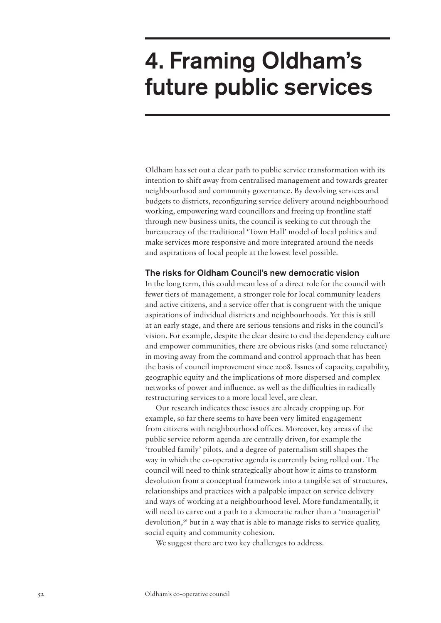# 4. Framing Oldham's future public services

Oldham has set out a clear path to public service transformation with its intention to shift away from centralised management and towards greater neighbourhood and community governance. By devolving services and budgets to districts, reconfiguring service delivery around neighbourhood working, empowering ward councillors and freeing up frontline staff through new business units, the council is seeking to cut through the bureaucracy of the traditional 'Town Hall' model of local politics and make services more responsive and more integrated around the needs and aspirations of local people at the lowest level possible.

# The risks for Oldham Council's new democratic vision

In the long term, this could mean less of a direct role for the council with fewer tiers of management, a stronger role for local community leaders and active citizens, and a service offer that is congruent with the unique aspirations of individual districts and neighbourhoods. Yet this is still at an early stage, and there are serious tensions and risks in the council's vision. For example, despite the clear desire to end the dependency culture and empower communities, there are obvious risks (and some reluctance) in moving away from the command and control approach that has been the basis of council improvement since 2008. Issues of capacity, capability, geographic equity and the implications of more dispersed and complex networks of power and influence, as well as the difficulties in radically restructuring services to a more local level, are clear.

Our research indicates these issues are already cropping up. For example, so far there seems to have been very limited engagement from citizens with neighbourhood offices. Moreover, key areas of the public service reform agenda are centrally driven, for example the 'troubled family' pilots, and a degree of paternalism still shapes the way in which the co-operative agenda is currently being rolled out. The council will need to think strategically about how it aims to transform devolution from a conceptual framework into a tangible set of structures, relationships and practices with a palpable impact on service delivery and ways of working at a neighbourhood level. More fundamentally, it will need to carve out a path to a democratic rather than a 'managerial' devolution,<sup>56</sup> but in a way that is able to manage risks to service quality, social equity and community cohesion.

We suggest there are two key challenges to address.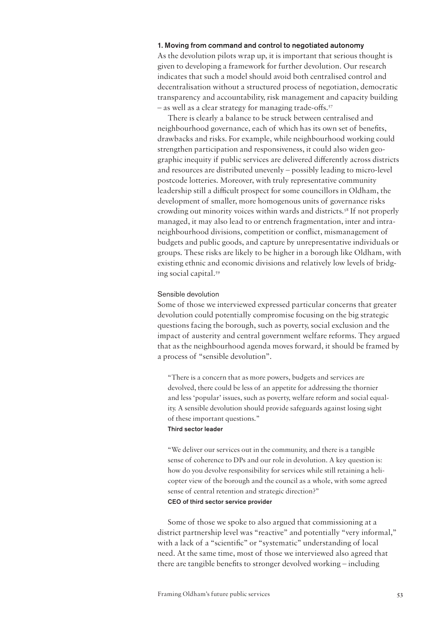#### 1. Moving from command and control to negotiated autonomy

As the devolution pilots wrap up, it is important that serious thought is given to developing a framework for further devolution. Our research indicates that such a model should avoid both centralised control and decentralisation without a structured process of negotiation, democratic transparency and accountability, risk management and capacity building – as well as a clear strategy for managing trade-offs.57

There is clearly a balance to be struck between centralised and neighbourhood governance, each of which has its own set of benefits, drawbacks and risks. For example, while neighbourhood working could strengthen participation and responsiveness, it could also widen geographic inequity if public services are delivered differently across districts and resources are distributed unevenly – possibly leading to micro-level postcode lotteries. Moreover, with truly representative community leadership still a difficult prospect for some councillors in Oldham, the development of smaller, more homogenous units of governance risks crowding out minority voices within wards and districts.58 If not properly managed, it may also lead to or entrench fragmentation, inter and intraneighbourhood divisions, competition or conflict, mismanagement of budgets and public goods, and capture by unrepresentative individuals or groups. These risks are likely to be higher in a borough like Oldham, with existing ethnic and economic divisions and relatively low levels of bridging social capital.59

#### Sensible devolution

Some of those we interviewed expressed particular concerns that greater devolution could potentially compromise focusing on the big strategic questions facing the borough, such as poverty, social exclusion and the impact of austerity and central government welfare reforms. They argued that as the neighbourhood agenda moves forward, it should be framed by a process of "sensible devolution".

"There is a concern that as more powers, budgets and services are devolved, there could be less of an appetite for addressing the thornier and less 'popular' issues, such as poverty, welfare reform and social equality. A sensible devolution should provide safeguards against losing sight of these important questions."

# Third sector leader

"We deliver our services out in the community, and there is a tangible sense of coherence to DPs and our role in devolution. A key question is: how do you devolve responsibility for services while still retaining a helicopter view of the borough and the council as a whole, with some agreed sense of central retention and strategic direction?" CEO of third sector service provider

Some of those we spoke to also argued that commissioning at a district partnership level was "reactive" and potentially "very informal," with a lack of a "scientific" or "systematic" understanding of local need. At the same time, most of those we interviewed also agreed that there are tangible benefits to stronger devolved working – including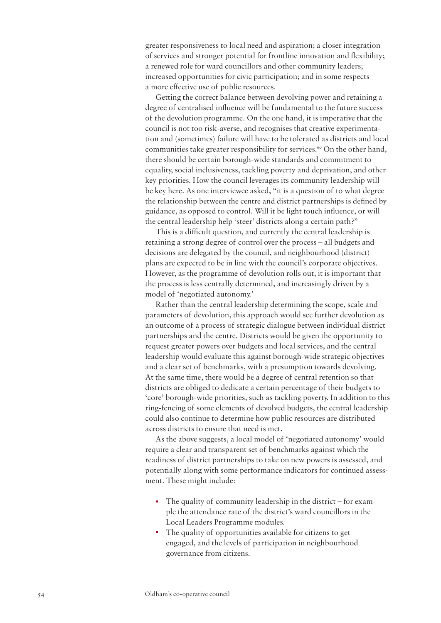greater responsiveness to local need and aspiration; a closer integration of services and stronger potential for frontline innovation and flexibility; a renewed role for ward councillors and other community leaders; increased opportunities for civic participation; and in some respects a more effective use of public resources.

Getting the correct balance between devolving power and retaining a degree of centralised influence will be fundamental to the future success of the devolution programme. On the one hand, it is imperative that the council is not too risk-averse, and recognises that creative experimentation and (sometimes) failure will have to be tolerated as districts and local communities take greater responsibility for services.<sup>60</sup> On the other hand, there should be certain borough-wide standards and commitment to equality, social inclusiveness, tackling poverty and deprivation, and other key priorities. How the council leverages its community leadership will be key here. As one interviewee asked, "it is a question of to what degree the relationship between the centre and district partnerships is defined by guidance, as opposed to control. Will it be light touch influence, or will the central leadership help 'steer' districts along a certain path?"

This is a difficult question, and currently the central leadership is retaining a strong degree of control over the process – all budgets and decisions are delegated by the council, and neighbourhood (district) plans are expected to be in line with the council's corporate objectives. However, as the programme of devolution rolls out, it is important that the process is less centrally determined, and increasingly driven by a model of 'negotiated autonomy.'

Rather than the central leadership determining the scope, scale and parameters of devolution, this approach would see further devolution as an outcome of a process of strategic dialogue between individual district partnerships and the centre. Districts would be given the opportunity to request greater powers over budgets and local services, and the central leadership would evaluate this against borough-wide strategic objectives and a clear set of benchmarks, with a presumption towards devolving. At the same time, there would be a degree of central retention so that districts are obliged to dedicate a certain percentage of their budgets to 'core' borough-wide priorities, such as tackling poverty. In addition to this ring-fencing of some elements of devolved budgets, the central leadership could also continue to determine how public resources are distributed across districts to ensure that need is met.

As the above suggests, a local model of 'negotiated autonomy' would require a clear and transparent set of benchmarks against which the readiness of district partnerships to take on new powers is assessed, and potentially along with some performance indicators for continued assessment. These might include:

- The quality of community leadership in the district for example the attendance rate of the district's ward councillors in the Local Leaders Programme modules.
- The quality of opportunities available for citizens to get engaged, and the levels of participation in neighbourhood governance from citizens.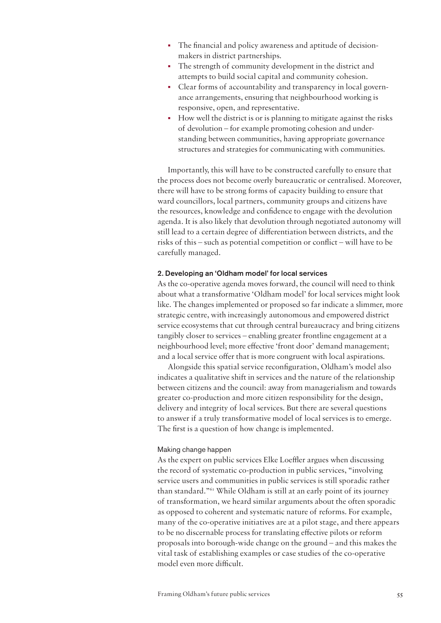- The financial and policy awareness and aptitude of decisionmakers in district partnerships.
- The strength of community development in the district and attempts to build social capital and community cohesion.
- Clear forms of accountability and transparency in local governance arrangements, ensuring that neighbourhood working is responsive, open, and representative.
- How well the district is or is planning to mitigate against the risks of devolution – for example promoting cohesion and understanding between communities, having appropriate governance structures and strategies for communicating with communities.

Importantly, this will have to be constructed carefully to ensure that the process does not become overly bureaucratic or centralised. Moreover, there will have to be strong forms of capacity building to ensure that ward councillors, local partners, community groups and citizens have the resources, knowledge and confidence to engage with the devolution agenda. It is also likely that devolution through negotiated autonomy will still lead to a certain degree of differentiation between districts, and the risks of this – such as potential competition or conflict – will have to be carefully managed.

### 2. Developing an 'Oldham model' for local services

As the co-operative agenda moves forward, the council will need to think about what a transformative 'Oldham model' for local services might look like. The changes implemented or proposed so far indicate a slimmer, more strategic centre, with increasingly autonomous and empowered district service ecosystems that cut through central bureaucracy and bring citizens tangibly closer to services – enabling greater frontline engagement at a neighbourhood level; more effective 'front door' demand management; and a local service offer that is more congruent with local aspirations.

Alongside this spatial service reconfiguration, Oldham's model also indicates a qualitative shift in services and the nature of the relationship between citizens and the council: away from managerialism and towards greater co-production and more citizen responsibility for the design, delivery and integrity of local services. But there are several questions to answer if a truly transformative model of local services is to emerge. The first is a question of how change is implemented.

## Making change happen

As the expert on public services Elke Loeffler argues when discussing the record of systematic co-production in public services, "involving service users and communities in public services is still sporadic rather than standard."61 While Oldham is still at an early point of its journey of transformation, we heard similar arguments about the often sporadic as opposed to coherent and systematic nature of reforms. For example, many of the co-operative initiatives are at a pilot stage, and there appears to be no discernable process for translating effective pilots or reform proposals into borough-wide change on the ground – and this makes the vital task of establishing examples or case studies of the co-operative model even more difficult.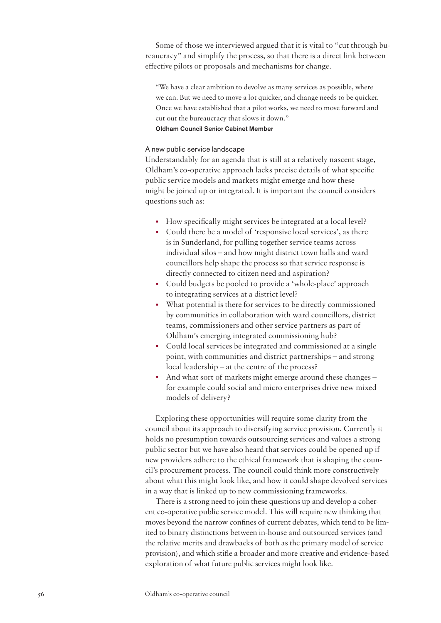Some of those we interviewed argued that it is vital to "cut through bureaucracy" and simplify the process, so that there is a direct link between effective pilots or proposals and mechanisms for change.

"We have a clear ambition to devolve as many services as possible, where we can. But we need to move a lot quicker, and change needs to be quicker. Once we have established that a pilot works, we need to move forward and cut out the bureaucracy that slows it down."

Oldham Council Senior Cabinet Member

## A new public service landscape

Understandably for an agenda that is still at a relatively nascent stage, Oldham's co-operative approach lacks precise details of what specific public service models and markets might emerge and how these might be joined up or integrated. It is important the council considers questions such as:

- How specifically might services be integrated at a local level?
- Could there be a model of 'responsive local services', as there is in Sunderland, for pulling together service teams across individual silos – and how might district town halls and ward councillors help shape the process so that service response is directly connected to citizen need and aspiration?
- Could budgets be pooled to provide a 'whole-place' approach to integrating services at a district level?
- What potential is there for services to be directly commissioned by communities in collaboration with ward councillors, district teams, commissioners and other service partners as part of Oldham's emerging integrated commissioning hub?
- Could local services be integrated and commissioned at a single point, with communities and district partnerships – and strong local leadership – at the centre of the process?
- And what sort of markets might emerge around these changes for example could social and micro enterprises drive new mixed models of delivery?

Exploring these opportunities will require some clarity from the council about its approach to diversifying service provision. Currently it holds no presumption towards outsourcing services and values a strong public sector but we have also heard that services could be opened up if new providers adhere to the ethical framework that is shaping the council's procurement process. The council could think more constructively about what this might look like, and how it could shape devolved services in a way that is linked up to new commissioning frameworks.

There is a strong need to join these questions up and develop a coherent co-operative public service model. This will require new thinking that moves beyond the narrow confines of current debates, which tend to be limited to binary distinctions between in-house and outsourced services (and the relative merits and drawbacks of both as the primary model of service provision), and which stifle a broader and more creative and evidence-based exploration of what future public services might look like.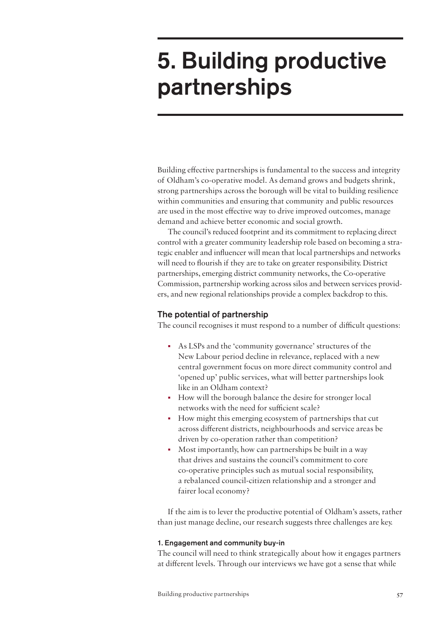# 5. Building productive partnerships

Building effective partnerships is fundamental to the success and integrity of Oldham's co-operative model. As demand grows and budgets shrink, strong partnerships across the borough will be vital to building resilience within communities and ensuring that community and public resources are used in the most effective way to drive improved outcomes, manage demand and achieve better economic and social growth.

The council's reduced footprint and its commitment to replacing direct control with a greater community leadership role based on becoming a strategic enabler and influencer will mean that local partnerships and networks will need to flourish if they are to take on greater responsibility. District partnerships, emerging district community networks, the Co-operative Commission, partnership working across silos and between services providers, and new regional relationships provide a complex backdrop to this.

# The potential of partnership

The council recognises it must respond to a number of difficult questions:

- As LSPs and the 'community governance' structures of the New Labour period decline in relevance, replaced with a new central government focus on more direct community control and 'opened up' public services, what will better partnerships look like in an Oldham context?
- How will the borough balance the desire for stronger local networks with the need for sufficient scale?
- How might this emerging ecosystem of partnerships that cut across different districts, neighbourhoods and service areas be driven by co-operation rather than competition?
- Most importantly, how can partnerships be built in a way that drives and sustains the council's commitment to core co-operative principles such as mutual social responsibility, a rebalanced council-citizen relationship and a stronger and fairer local economy?

If the aim is to lever the productive potential of Oldham's assets, rather than just manage decline, our research suggests three challenges are key.

## 1. Engagement and community buy-in

The council will need to think strategically about how it engages partners at different levels. Through our interviews we have got a sense that while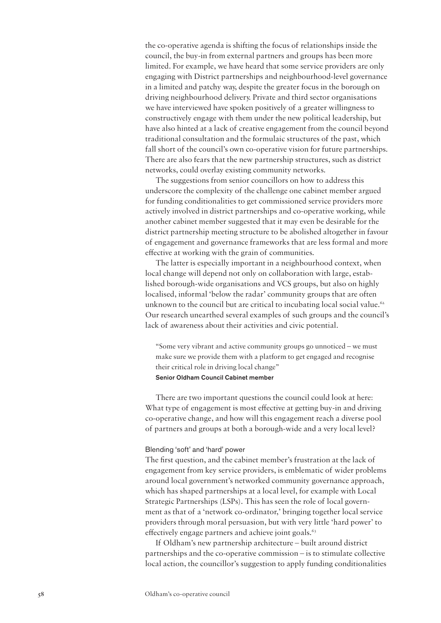the co-operative agenda is shifting the focus of relationships inside the council, the buy-in from external partners and groups has been more limited. For example, we have heard that some service providers are only engaging with District partnerships and neighbourhood-level governance in a limited and patchy way, despite the greater focus in the borough on driving neighbourhood delivery. Private and third sector organisations we have interviewed have spoken positively of a greater willingness to constructively engage with them under the new political leadership, but have also hinted at a lack of creative engagement from the council beyond traditional consultation and the formulaic structures of the past, which fall short of the council's own co-operative vision for future partnerships. There are also fears that the new partnership structures, such as district networks, could overlay existing community networks.

The suggestions from senior councillors on how to address this underscore the complexity of the challenge one cabinet member argued for funding conditionalities to get commissioned service providers more actively involved in district partnerships and co-operative working, while another cabinet member suggested that it may even be desirable for the district partnership meeting structure to be abolished altogether in favour of engagement and governance frameworks that are less formal and more effective at working with the grain of communities.

The latter is especially important in a neighbourhood context, when local change will depend not only on collaboration with large, established borough-wide organisations and VCS groups, but also on highly localised, informal 'below the radar' community groups that are often unknown to the council but are critical to incubating local social value.<sup>62</sup> Our research unearthed several examples of such groups and the council's lack of awareness about their activities and civic potential.

"Some very vibrant and active community groups go unnoticed – we must make sure we provide them with a platform to get engaged and recognise their critical role in driving local change" Senior Oldham Council Cabinet member

There are two important questions the council could look at here: What type of engagement is most effective at getting buy-in and driving co-operative change, and how will this engagement reach a diverse pool of partners and groups at both a borough-wide and a very local level?

## Blending 'soft' and 'hard' power

The first question, and the cabinet member's frustration at the lack of engagement from key service providers, is emblematic of wider problems around local government's networked community governance approach, which has shaped partnerships at a local level, for example with Local Strategic Partnerships (LSPs). This has seen the role of local government as that of a 'network co-ordinator,' bringing together local service providers through moral persuasion, but with very little 'hard power' to effectively engage partners and achieve joint goals.<sup>63</sup>

If Oldham's new partnership architecture – built around district partnerships and the co-operative commission – is to stimulate collective local action, the councillor's suggestion to apply funding conditionalities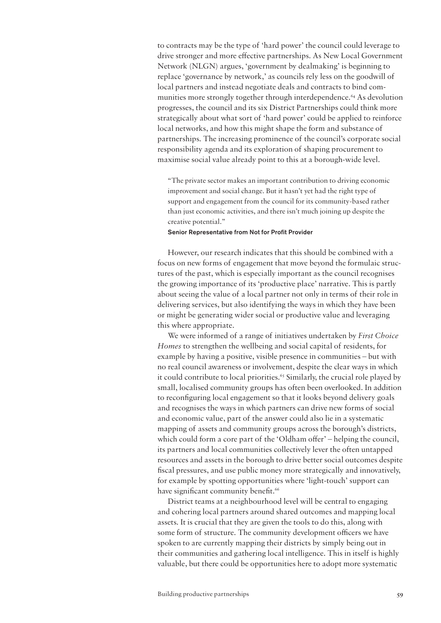to contracts may be the type of 'hard power' the council could leverage to drive stronger and more effective partnerships. As New Local Government Network (NLGN) argues, 'government by dealmaking' is beginning to replace 'governance by network,' as councils rely less on the goodwill of local partners and instead negotiate deals and contracts to bind communities more strongly together through interdependence.<sup>64</sup> As devolution progresses, the council and its six District Partnerships could think more strategically about what sort of 'hard power' could be applied to reinforce local networks, and how this might shape the form and substance of partnerships. The increasing prominence of the council's corporate social responsibility agenda and its exploration of shaping procurement to maximise social value already point to this at a borough-wide level.

"The private sector makes an important contribution to driving economic improvement and social change. But it hasn't yet had the right type of support and engagement from the council for its community-based rather than just economic activities, and there isn't much joining up despite the creative potential."

#### Senior Representative from Not for Profit Provider

However, our research indicates that this should be combined with a focus on new forms of engagement that move beyond the formulaic structures of the past, which is especially important as the council recognises the growing importance of its 'productive place' narrative. This is partly about seeing the value of a local partner not only in terms of their role in delivering services, but also identifying the ways in which they have been or might be generating wider social or productive value and leveraging this where appropriate.

We were informed of a range of initiatives undertaken by *First Choice Homes* to strengthen the wellbeing and social capital of residents, for example by having a positive, visible presence in communities – but with no real council awareness or involvement, despite the clear ways in which it could contribute to local priorities.<sup>65</sup> Similarly, the crucial role played by small, localised community groups has often been overlooked. In addition to reconfiguring local engagement so that it looks beyond delivery goals and recognises the ways in which partners can drive new forms of social and economic value, part of the answer could also lie in a systematic mapping of assets and community groups across the borough's districts, which could form a core part of the 'Oldham offer' – helping the council, its partners and local communities collectively lever the often untapped resources and assets in the borough to drive better social outcomes despite fiscal pressures, and use public money more strategically and innovatively, for example by spotting opportunities where 'light-touch' support can have significant community benefit.<sup>66</sup>

District teams at a neighbourhood level will be central to engaging and cohering local partners around shared outcomes and mapping local assets. It is crucial that they are given the tools to do this, along with some form of structure. The community development officers we have spoken to are currently mapping their districts by simply being out in their communities and gathering local intelligence. This in itself is highly valuable, but there could be opportunities here to adopt more systematic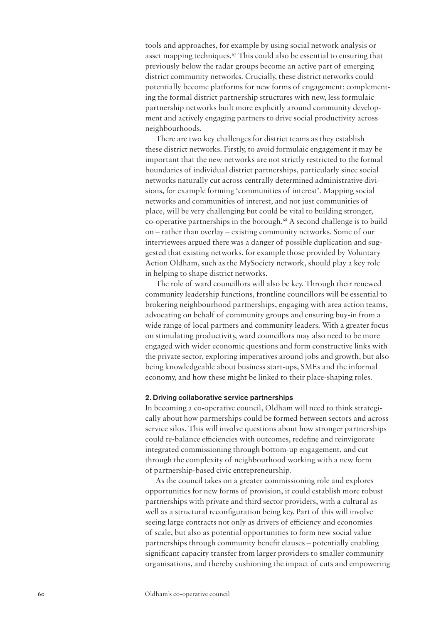tools and approaches, for example by using social network analysis or asset mapping techniques.<sup>67</sup> This could also be essential to ensuring that previously below the radar groups become an active part of emerging district community networks. Crucially, these district networks could potentially become platforms for new forms of engagement: complementing the formal district partnership structures with new, less formulaic partnership networks built more explicitly around community development and actively engaging partners to drive social productivity across neighbourhoods.

There are two key challenges for district teams as they establish these district networks. Firstly, to avoid formulaic engagement it may be important that the new networks are not strictly restricted to the formal boundaries of individual district partnerships, particularly since social networks naturally cut across centrally determined administrative divisions, for example forming 'communities of interest'. Mapping social networks and communities of interest, and not just communities of place, will be very challenging but could be vital to building stronger, co-operative partnerships in the borough.68 A second challenge is to build on – rather than overlay – existing community networks. Some of our interviewees argued there was a danger of possible duplication and suggested that existing networks, for example those provided by Voluntary Action Oldham, such as the MySociety network, should play a key role in helping to shape district networks.

The role of ward councillors will also be key. Through their renewed community leadership functions, frontline councillors will be essential to brokering neighbourhood partnerships, engaging with area action teams, advocating on behalf of community groups and ensuring buy-in from a wide range of local partners and community leaders. With a greater focus on stimulating productivity, ward councillors may also need to be more engaged with wider economic questions and form constructive links with the private sector, exploring imperatives around jobs and growth, but also being knowledgeable about business start-ups, SMEs and the informal economy, and how these might be linked to their place-shaping roles.

#### 2. Driving collaborative service partnerships

In becoming a co-operative council, Oldham will need to think strategically about how partnerships could be formed between sectors and across service silos. This will involve questions about how stronger partnerships could re-balance efficiencies with outcomes, redefine and reinvigorate integrated commissioning through bottom-up engagement, and cut through the complexity of neighbourhood working with a new form of partnership-based civic entrepreneurship.

As the council takes on a greater commissioning role and explores opportunities for new forms of provision, it could establish more robust partnerships with private and third sector providers, with a cultural as well as a structural reconfiguration being key. Part of this will involve seeing large contracts not only as drivers of efficiency and economies of scale, but also as potential opportunities to form new social value partnerships through community benefit clauses – potentially enabling significant capacity transfer from larger providers to smaller community organisations, and thereby cushioning the impact of cuts and empowering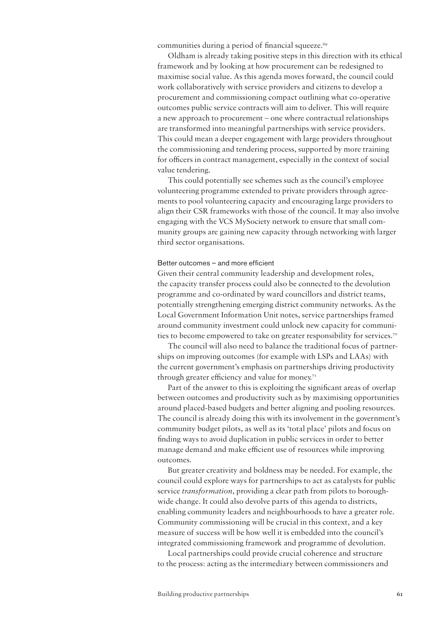communities during a period of financial squeeze.<sup>69</sup>

Oldham is already taking positive steps in this direction with its ethical framework and by looking at how procurement can be redesigned to maximise social value. As this agenda moves forward, the council could work collaboratively with service providers and citizens to develop a procurement and commissioning compact outlining what co-operative outcomes public service contracts will aim to deliver. This will require a new approach to procurement – one where contractual relationships are transformed into meaningful partnerships with service providers. This could mean a deeper engagement with large providers throughout the commissioning and tendering process, supported by more training for officers in contract management, especially in the context of social value tendering.

This could potentially see schemes such as the council's employee volunteering programme extended to private providers through agreements to pool volunteering capacity and encouraging large providers to align their CSR frameworks with those of the council. It may also involve engaging with the VCS MySociety network to ensure that small community groups are gaining new capacity through networking with larger third sector organisations.

## Better outcomes – and more efficient

Given their central community leadership and development roles, the capacity transfer process could also be connected to the devolution programme and co-ordinated by ward councillors and district teams, potentially strengthening emerging district community networks. As the Local Government Information Unit notes, service partnerships framed around community investment could unlock new capacity for communities to become empowered to take on greater responsibility for services.<sup>70</sup>

The council will also need to balance the traditional focus of partnerships on improving outcomes (for example with LSPs and LAAs) with the current government's emphasis on partnerships driving productivity through greater efficiency and value for money.<sup>71</sup>

Part of the answer to this is exploiting the significant areas of overlap between outcomes and productivity such as by maximising opportunities around placed-based budgets and better aligning and pooling resources. The council is already doing this with its involvement in the government's community budget pilots, as well as its 'total place' pilots and focus on finding ways to avoid duplication in public services in order to better manage demand and make efficient use of resources while improving outcomes.

But greater creativity and boldness may be needed. For example, the council could explore ways for partnerships to act as catalysts for public service *transformation*, providing a clear path from pilots to boroughwide change. It could also devolve parts of this agenda to districts, enabling community leaders and neighbourhoods to have a greater role. Community commissioning will be crucial in this context, and a key measure of success will be how well it is embedded into the council's integrated commissioning framework and programme of devolution.

Local partnerships could provide crucial coherence and structure to the process: acting as the intermediary between commissioners and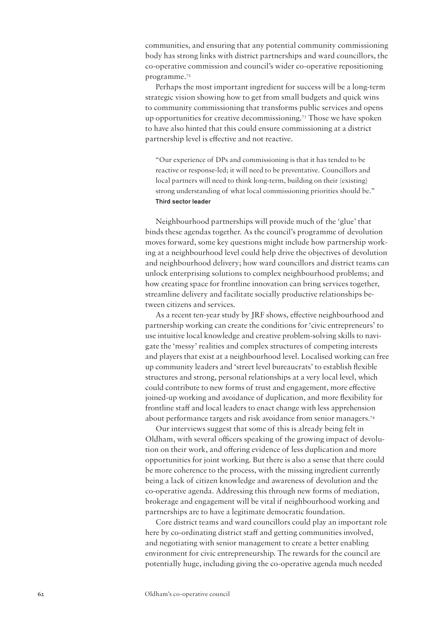communities, and ensuring that any potential community commissioning body has strong links with district partnerships and ward councillors, the co-operative commission and council's wider co-operative repositioning programme.72

Perhaps the most important ingredient for success will be a long-term strategic vision showing how to get from small budgets and quick wins to community commissioning that transforms public services and opens up opportunities for creative decommissioning.73 Those we have spoken to have also hinted that this could ensure commissioning at a district partnership level is effective and not reactive.

"Our experience of DPs and commissioning is that it has tended to be reactive or response-led; it will need to be preventative. Councillors and local partners will need to think long-term, building on their (existing) strong understanding of what local commissioning priorities should be." Third sector leader

Neighbourhood partnerships will provide much of the 'glue' that binds these agendas together. As the council's programme of devolution moves forward, some key questions might include how partnership working at a neighbourhood level could help drive the objectives of devolution and neighbourhood delivery; how ward councillors and district teams can unlock enterprising solutions to complex neighbourhood problems; and how creating space for frontline innovation can bring services together, streamline delivery and facilitate socially productive relationships between citizens and services.

As a recent ten-year study by JRF shows, effective neighbourhood and partnership working can create the conditions for 'civic entrepreneurs' to use intuitive local knowledge and creative problem-solving skills to navigate the 'messy' realities and complex structures of competing interests and players that exist at a neighbourhood level. Localised working can free up community leaders and 'street level bureaucrats' to establish flexible structures and strong, personal relationships at a very local level, which could contribute to new forms of trust and engagement, more effective joined-up working and avoidance of duplication, and more flexibility for frontline staff and local leaders to enact change with less apprehension about performance targets and risk avoidance from senior managers.74

Our interviews suggest that some of this is already being felt in Oldham, with several officers speaking of the growing impact of devolution on their work, and offering evidence of less duplication and more opportunities for joint working. But there is also a sense that there could be more coherence to the process, with the missing ingredient currently being a lack of citizen knowledge and awareness of devolution and the co-operative agenda. Addressing this through new forms of mediation, brokerage and engagement will be vital if neighbourhood working and partnerships are to have a legitimate democratic foundation.

Core district teams and ward councillors could play an important role here by co-ordinating district staff and getting communities involved, and negotiating with senior management to create a better enabling environment for civic entrepreneurship. The rewards for the council are potentially huge, including giving the co-operative agenda much needed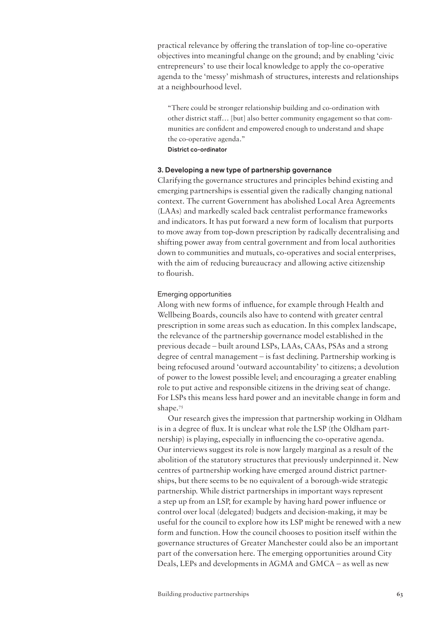practical relevance by offering the translation of top-line co-operative objectives into meaningful change on the ground; and by enabling 'civic entrepreneurs' to use their local knowledge to apply the co-operative agenda to the 'messy' mishmash of structures, interests and relationships at a neighbourhood level.

"There could be stronger relationship building and co-ordination with other district staff… [but] also better community engagement so that communities are confident and empowered enough to understand and shape the co-operative agenda."

District co-ordinator

### 3. Developing a new type of partnership governance

Clarifying the governance structures and principles behind existing and emerging partnerships is essential given the radically changing national context. The current Government has abolished Local Area Agreements (LAAs) and markedly scaled back centralist performance frameworks and indicators. It has put forward a new form of localism that purports to move away from top-down prescription by radically decentralising and shifting power away from central government and from local authorities down to communities and mutuals, co-operatives and social enterprises, with the aim of reducing bureaucracy and allowing active citizenship to flourish.

#### Emerging opportunities

Along with new forms of influence, for example through Health and Wellbeing Boards, councils also have to contend with greater central prescription in some areas such as education. In this complex landscape, the relevance of the partnership governance model established in the previous decade – built around LSPs, LAAs, CAAs, PSAs and a strong degree of central management – is fast declining. Partnership working is being refocused around 'outward accountability' to citizens; a devolution of power to the lowest possible level; and encouraging a greater enabling role to put active and responsible citizens in the driving seat of change. For LSPs this means less hard power and an inevitable change in form and shape.<sup>75</sup>

Our research gives the impression that partnership working in Oldham is in a degree of flux. It is unclear what role the LSP (the Oldham partnership) is playing, especially in influencing the co-operative agenda. Our interviews suggest its role is now largely marginal as a result of the abolition of the statutory structures that previously underpinned it. New centres of partnership working have emerged around district partnerships, but there seems to be no equivalent of a borough-wide strategic partnership. While district partnerships in important ways represent a step up from an LSP, for example by having hard power influence or control over local (delegated) budgets and decision-making, it may be useful for the council to explore how its LSP might be renewed with a new form and function. How the council chooses to position itself within the governance structures of Greater Manchester could also be an important part of the conversation here. The emerging opportunities around City Deals, LEPs and developments in AGMA and GMCA – as well as new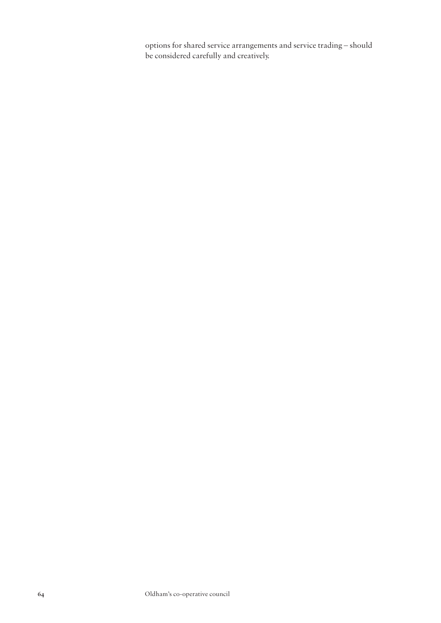options for shared service arrangements and service trading – should be considered carefully and creatively.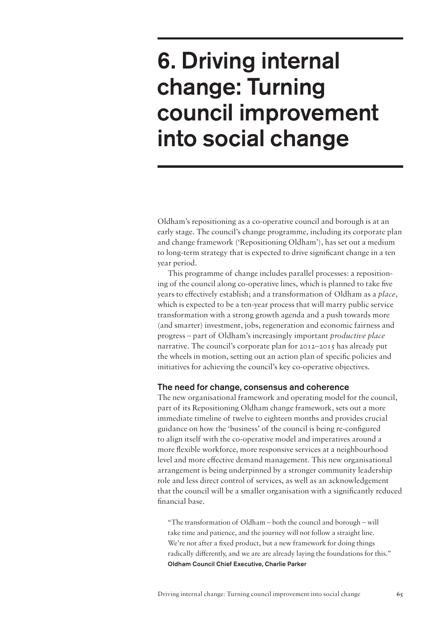# 6. Driving internal change: Turning council improvement into social change

Oldham's repositioning as a co-operative council and borough is at an early stage. The council's change programme, including its corporate plan and change framework ('Repositioning Oldham'), has set out a medium to long-term strategy that is expected to drive significant change in a ten year period.

This programme of change includes parallel processes: a repositioning of the council along co-operative lines, which is planned to take five years to effectively establish; and a transformation of Oldham as a *place*, which is expected to be a ten-year process that will marry public service transformation with a strong growth agenda and a push towards more (and smarter) investment, jobs, regeneration and economic fairness and progress – part of Oldham's increasingly important *productive place* narrative. The council's corporate plan for 2012–2015 has already put the wheels in motion, setting out an action plan of specific policies and initiatives for achieving the council's key co-operative objectives.

# The need for change, consensus and coherence

The new organisational framework and operating model for the council, part of its Repositioning Oldham change framework, sets out a more immediate timeline of twelve to eighteen months and provides crucial guidance on how the 'business' of the council is being re-configured to align itself with the co-operative model and imperatives around a more flexible workforce, more responsive services at a neighbourhood level and more effective demand management. This new organisational arrangement is being underpinned by a stronger community leadership role and less direct control of services, as well as an acknowledgement that the council will be a smaller organisation with a significantly reduced financial base.

"The transformation of Oldham – both the council and borough – will take time and patience, and the journey will not follow a straight line. We're not after a fixed product, but a new framework for doing things radically differently, and we are are already laying the foundations for this." Oldham Council Chief Executive, Charlie Parker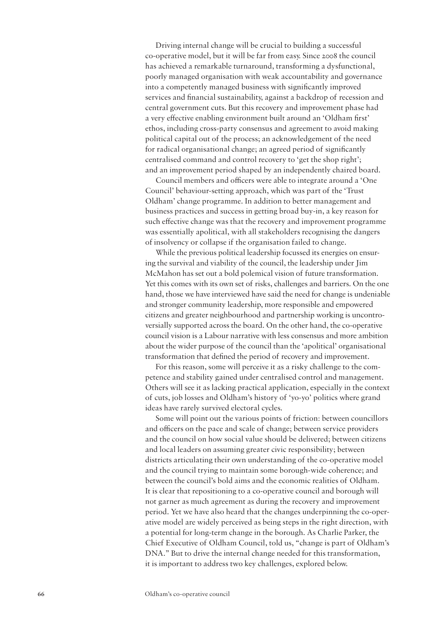Driving internal change will be crucial to building a successful co-operative model, but it will be far from easy. Since 2008 the council has achieved a remarkable turnaround, transforming a dysfunctional, poorly managed organisation with weak accountability and governance into a competently managed business with significantly improved services and financial sustainability, against a backdrop of recession and central government cuts. But this recovery and improvement phase had a very effective enabling environment built around an 'Oldham first' ethos, including cross-party consensus and agreement to avoid making political capital out of the process; an acknowledgement of the need for radical organisational change; an agreed period of significantly centralised command and control recovery to 'get the shop right'; and an improvement period shaped by an independently chaired board.

Council members and officers were able to integrate around a 'One Council' behaviour-setting approach, which was part of the 'Trust Oldham' change programme. In addition to better management and business practices and success in getting broad buy-in, a key reason for such effective change was that the recovery and improvement programme was essentially apolitical, with all stakeholders recognising the dangers of insolvency or collapse if the organisation failed to change.

While the previous political leadership focussed its energies on ensuring the survival and viability of the council, the leadership under Jim McMahon has set out a bold polemical vision of future transformation. Yet this comes with its own set of risks, challenges and barriers. On the one hand, those we have interviewed have said the need for change is undeniable and stronger community leadership, more responsible and empowered citizens and greater neighbourhood and partnership working is uncontroversially supported across the board. On the other hand, the co-operative council vision is a Labour narrative with less consensus and more ambition about the wider purpose of the council than the 'apolitical' organisational transformation that defined the period of recovery and improvement.

For this reason, some will perceive it as a risky challenge to the competence and stability gained under centralised control and management. Others will see it as lacking practical application, especially in the context of cuts, job losses and Oldham's history of 'yo-yo' politics where grand ideas have rarely survived electoral cycles.

Some will point out the various points of friction: between councillors and officers on the pace and scale of change; between service providers and the council on how social value should be delivered; between citizens and local leaders on assuming greater civic responsibility; between districts articulating their own understanding of the co-operative model and the council trying to maintain some borough-wide coherence; and between the council's bold aims and the economic realities of Oldham. It is clear that repositioning to a co-operative council and borough will not garner as much agreement as during the recovery and improvement period. Yet we have also heard that the changes underpinning the co-operative model are widely perceived as being steps in the right direction, with a potential for long-term change in the borough. As Charlie Parker, the Chief Executive of Oldham Council, told us, "change is part of Oldham's DNA." But to drive the internal change needed for this transformation, it is important to address two key challenges, explored below.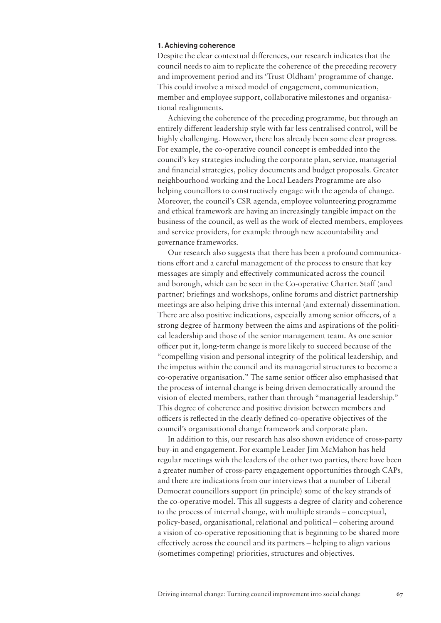## 1. Achieving coherence

Despite the clear contextual differences, our research indicates that the council needs to aim to replicate the coherence of the preceding recovery and improvement period and its 'Trust Oldham' programme of change. This could involve a mixed model of engagement, communication, member and employee support, collaborative milestones and organisational realignments.

Achieving the coherence of the preceding programme, but through an entirely different leadership style with far less centralised control, will be highly challenging. However, there has already been some clear progress. For example, the co-operative council concept is embedded into the council's key strategies including the corporate plan, service, managerial and financial strategies, policy documents and budget proposals. Greater neighbourhood working and the Local Leaders Programme are also helping councillors to constructively engage with the agenda of change. Moreover, the council's CSR agenda, employee volunteering programme and ethical framework are having an increasingly tangible impact on the business of the council, as well as the work of elected members, employees and service providers, for example through new accountability and governance frameworks.

Our research also suggests that there has been a profound communications effort and a careful management of the process to ensure that key messages are simply and effectively communicated across the council and borough, which can be seen in the Co-operative Charter. Staff (and partner) briefings and workshops, online forums and district partnership meetings are also helping drive this internal (and external) dissemination. There are also positive indications, especially among senior officers, of a strong degree of harmony between the aims and aspirations of the political leadership and those of the senior management team. As one senior officer put it, long-term change is more likely to succeed because of the "compelling vision and personal integrity of the political leadership, and the impetus within the council and its managerial structures to become a co-operative organisation." The same senior officer also emphasised that the process of internal change is being driven democratically around the vision of elected members, rather than through "managerial leadership." This degree of coherence and positive division between members and officers is reflected in the clearly defined co-operative objectives of the council's organisational change framework and corporate plan.

In addition to this, our research has also shown evidence of cross-party buy-in and engagement. For example Leader Jim McMahon has held regular meetings with the leaders of the other two parties, there have been a greater number of cross-party engagement opportunities through CAPs, and there are indications from our interviews that a number of Liberal Democrat councillors support (in principle) some of the key strands of the co-operative model. This all suggests a degree of clarity and coherence to the process of internal change, with multiple strands – conceptual, policy-based, organisational, relational and political – cohering around a vision of co-operative repositioning that is beginning to be shared more effectively across the council and its partners – helping to align various (sometimes competing) priorities, structures and objectives.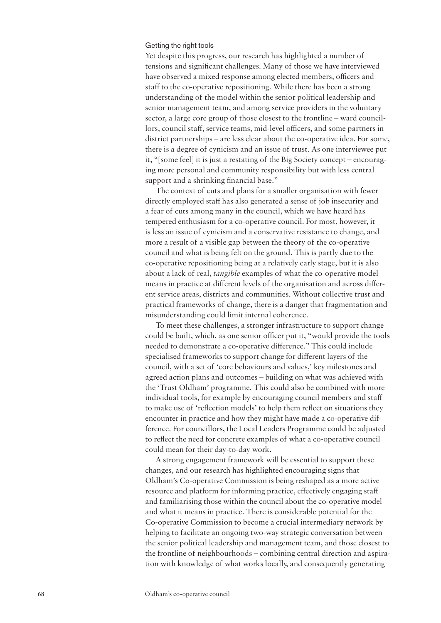## Getting the right tools

Yet despite this progress, our research has highlighted a number of tensions and significant challenges. Many of those we have interviewed have observed a mixed response among elected members, officers and staff to the co-operative repositioning. While there has been a strong understanding of the model within the senior political leadership and senior management team, and among service providers in the voluntary sector, a large core group of those closest to the frontline – ward councillors, council staff, service teams, mid-level officers, and some partners in district partnerships – are less clear about the co-operative idea. For some, there is a degree of cynicism and an issue of trust. As one interviewee put it, "[some feel] it is just a restating of the Big Society concept – encouraging more personal and community responsibility but with less central support and a shrinking financial base."

The context of cuts and plans for a smaller organisation with fewer directly employed staff has also generated a sense of job insecurity and a fear of cuts among many in the council, which we have heard has tempered enthusiasm for a co-operative council. For most, however, it is less an issue of cynicism and a conservative resistance to change, and more a result of a visible gap between the theory of the co-operative council and what is being felt on the ground. This is partly due to the co-operative repositioning being at a relatively early stage, but it is also about a lack of real, *tangible* examples of what the co-operative model means in practice at different levels of the organisation and across different service areas, districts and communities. Without collective trust and practical frameworks of change, there is a danger that fragmentation and misunderstanding could limit internal coherence.

To meet these challenges, a stronger infrastructure to support change could be built, which, as one senior officer put it, "would provide the tools needed to demonstrate a co-operative difference." This could include specialised frameworks to support change for different layers of the council, with a set of 'core behaviours and values,' key milestones and agreed action plans and outcomes – building on what was achieved with the 'Trust Oldham' programme. This could also be combined with more individual tools, for example by encouraging council members and staff to make use of 'reflection models' to help them reflect on situations they encounter in practice and how they might have made a co-operative difference. For councillors, the Local Leaders Programme could be adjusted to reflect the need for concrete examples of what a co-operative council could mean for their day-to-day work.

A strong engagement framework will be essential to support these changes, and our research has highlighted encouraging signs that Oldham's Co-operative Commission is being reshaped as a more active resource and platform for informing practice, effectively engaging staff and familiarising those within the council about the co-operative model and what it means in practice. There is considerable potential for the Co-operative Commission to become a crucial intermediary network by helping to facilitate an ongoing two-way strategic conversation between the senior political leadership and management team, and those closest to the frontline of neighbourhoods – combining central direction and aspiration with knowledge of what works locally, and consequently generating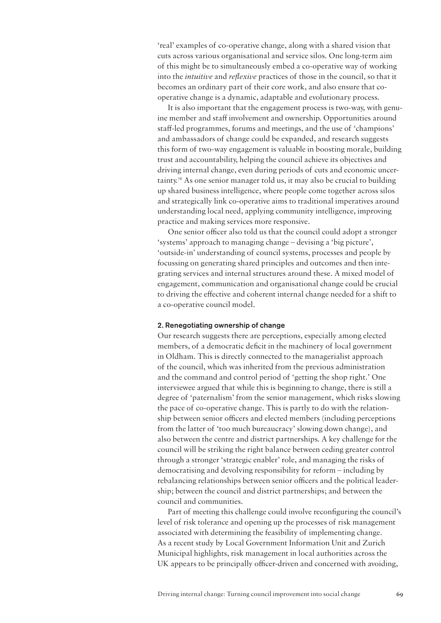'real' examples of co-operative change, along with a shared vision that cuts across various organisational and service silos. One long-term aim of this might be to simultaneously embed a co-operative way of working into the *intuitive* and *reflexive* practices of those in the council, so that it becomes an ordinary part of their core work, and also ensure that cooperative change is a dynamic, adaptable and evolutionary process.

It is also important that the engagement process is two-way, with genuine member and staff involvement and ownership. Opportunities around staff-led programmes, forums and meetings, and the use of 'champions' and ambassadors of change could be expanded, and research suggests this form of two-way engagement is valuable in boosting morale, building trust and accountability, helping the council achieve its objectives and driving internal change, even during periods of cuts and economic uncertainty.76 As one senior manager told us, it may also be crucial to building up shared business intelligence, where people come together across silos and strategically link co-operative aims to traditional imperatives around understanding local need, applying community intelligence, improving practice and making services more responsive.

One senior officer also told us that the council could adopt a stronger 'systems' approach to managing change – devising a 'big picture', 'outside-in' understanding of council systems, processes and people by focussing on generating shared principles and outcomes and then integrating services and internal structures around these. A mixed model of engagement, communication and organisational change could be crucial to driving the effective and coherent internal change needed for a shift to a co-operative council model.

#### 2. Renegotiating ownership of change

Our research suggests there are perceptions, especially among elected members, of a democratic deficit in the machinery of local government in Oldham. This is directly connected to the managerialist approach of the council, which was inherited from the previous administration and the command and control period of 'getting the shop right.' One interviewee argued that while this is beginning to change, there is still a degree of 'paternalism' from the senior management, which risks slowing the pace of co-operative change. This is partly to do with the relationship between senior officers and elected members (including perceptions from the latter of 'too much bureaucracy' slowing down change), and also between the centre and district partnerships. A key challenge for the council will be striking the right balance between ceding greater control through a stronger 'strategic enabler' role, and managing the risks of democratising and devolving responsibility for reform – including by rebalancing relationships between senior officers and the political leadership; between the council and district partnerships; and between the council and communities.

Part of meeting this challenge could involve reconfiguring the council's level of risk tolerance and opening up the processes of risk management associated with determining the feasibility of implementing change. As a recent study by Local Government Information Unit and Zurich Municipal highlights, risk management in local authorities across the UK appears to be principally officer-driven and concerned with avoiding,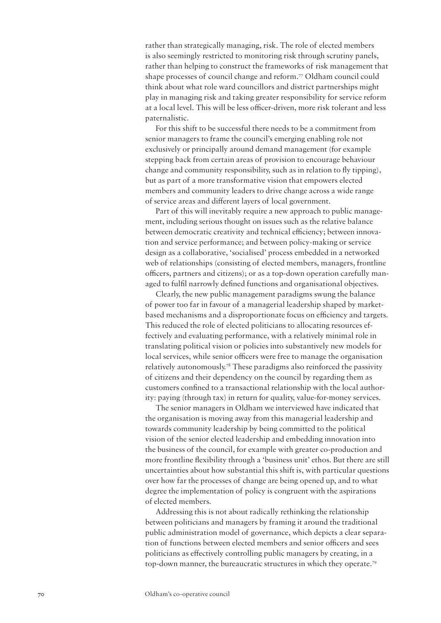rather than strategically managing, risk. The role of elected members is also seemingly restricted to monitoring risk through scrutiny panels, rather than helping to construct the frameworks of risk management that shape processes of council change and reform.77 Oldham council could think about what role ward councillors and district partnerships might play in managing risk and taking greater responsibility for service reform at a local level. This will be less officer-driven, more risk tolerant and less paternalistic.

For this shift to be successful there needs to be a commitment from senior managers to frame the council's emerging enabling role not exclusively or principally around demand management (for example stepping back from certain areas of provision to encourage behaviour change and community responsibility, such as in relation to fly tipping), but as part of a more transformative vision that empowers elected members and community leaders to drive change across a wide range of service areas and different layers of local government.

Part of this will inevitably require a new approach to public management, including serious thought on issues such as the relative balance between democratic creativity and technical efficiency; between innovation and service performance; and between policy-making or service design as a collaborative, 'socialised' process embedded in a networked web of relationships (consisting of elected members, managers, frontline officers, partners and citizens); or as a top-down operation carefully managed to fulfil narrowly defined functions and organisational objectives.

Clearly, the new public management paradigms swung the balance of power too far in favour of a managerial leadership shaped by marketbased mechanisms and a disproportionate focus on efficiency and targets. This reduced the role of elected politicians to allocating resources effectively and evaluating performance, with a relatively minimal role in translating political vision or policies into substantively new models for local services, while senior officers were free to manage the organisation relatively autonomously.78 These paradigms also reinforced the passivity of citizens and their dependency on the council by regarding them as customers confined to a transactional relationship with the local authority: paying (through tax) in return for quality, value-for-money services.

The senior managers in Oldham we interviewed have indicated that the organisation is moving away from this managerial leadership and towards community leadership by being committed to the political vision of the senior elected leadership and embedding innovation into the business of the council, for example with greater co-production and more frontline flexibility through a 'business unit' ethos. But there are still uncertainties about how substantial this shift is, with particular questions over how far the processes of change are being opened up, and to what degree the implementation of policy is congruent with the aspirations of elected members.

Addressing this is not about radically rethinking the relationship between politicians and managers by framing it around the traditional public administration model of governance, which depicts a clear separation of functions between elected members and senior officers and sees politicians as effectively controlling public managers by creating, in a top-down manner, the bureaucratic structures in which they operate.79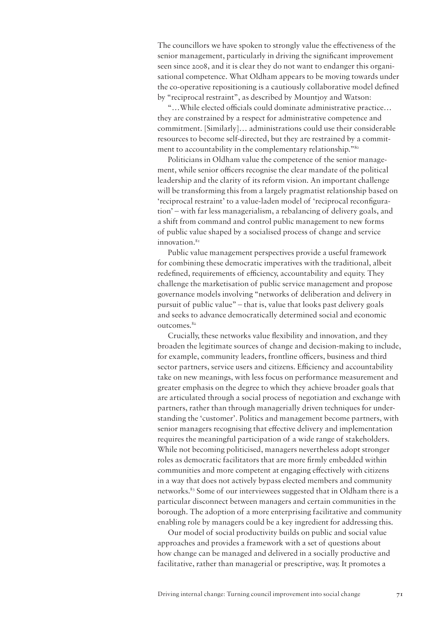The councillors we have spoken to strongly value the effectiveness of the senior management, particularly in driving the significant improvement seen since 2008, and it is clear they do not want to endanger this organisational competence. What Oldham appears to be moving towards under the co-operative repositioning is a cautiously collaborative model defined by "reciprocal restraint", as described by Mountjoy and Watson:

"…While elected officials could dominate administrative practice… they are constrained by a respect for administrative competence and commitment. [Similarly]… administrations could use their considerable resources to become self-directed, but they are restrained by a commitment to accountability in the complementary relationship."<sup>80</sup>

Politicians in Oldham value the competence of the senior management, while senior officers recognise the clear mandate of the political leadership and the clarity of its reform vision. An important challenge will be transforming this from a largely pragmatist relationship based on 'reciprocal restraint' to a value-laden model of 'reciprocal reconfiguration' – with far less managerialism, a rebalancing of delivery goals, and a shift from command and control public management to new forms of public value shaped by a socialised process of change and service innovation.<sup>81</sup>

Public value management perspectives provide a useful framework for combining these democratic imperatives with the traditional, albeit redefined, requirements of efficiency, accountability and equity. They challenge the marketisation of public service management and propose governance models involving "networks of deliberation and delivery in pursuit of public value" – that is, value that looks past delivery goals and seeks to advance democratically determined social and economic outcomes.<sup>82</sup>

Crucially, these networks value flexibility and innovation, and they broaden the legitimate sources of change and decision-making to include, for example, community leaders, frontline officers, business and third sector partners, service users and citizens. Efficiency and accountability take on new meanings, with less focus on performance measurement and greater emphasis on the degree to which they achieve broader goals that are articulated through a social process of negotiation and exchange with partners, rather than through managerially driven techniques for understanding the 'customer'. Politics and management become partners, with senior managers recognising that effective delivery and implementation requires the meaningful participation of a wide range of stakeholders. While not becoming politicised, managers nevertheless adopt stronger roles as democratic facilitators that are more firmly embedded within communities and more competent at engaging effectively with citizens in a way that does not actively bypass elected members and community networks.83 Some of our interviewees suggested that in Oldham there is a particular disconnect between managers and certain communities in the borough. The adoption of a more enterprising facilitative and community enabling role by managers could be a key ingredient for addressing this.

Our model of social productivity builds on public and social value approaches and provides a framework with a set of questions about how change can be managed and delivered in a socially productive and facilitative, rather than managerial or prescriptive, way. It promotes a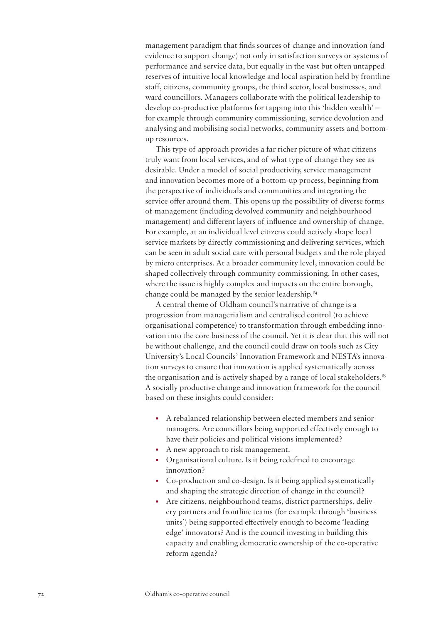management paradigm that finds sources of change and innovation (and evidence to support change) not only in satisfaction surveys or systems of performance and service data, but equally in the vast but often untapped reserves of intuitive local knowledge and local aspiration held by frontline staff, citizens, community groups, the third sector, local businesses, and ward councillors. Managers collaborate with the political leadership to develop co-productive platforms for tapping into this 'hidden wealth' – for example through community commissioning, service devolution and analysing and mobilising social networks, community assets and bottomup resources.

This type of approach provides a far richer picture of what citizens truly want from local services, and of what type of change they see as desirable. Under a model of social productivity, service management and innovation becomes more of a bottom-up process, beginning from the perspective of individuals and communities and integrating the service offer around them. This opens up the possibility of diverse forms of management (including devolved community and neighbourhood management) and different layers of influence and ownership of change. For example, at an individual level citizens could actively shape local service markets by directly commissioning and delivering services, which can be seen in adult social care with personal budgets and the role played by micro enterprises. At a broader community level, innovation could be shaped collectively through community commissioning. In other cases, where the issue is highly complex and impacts on the entire borough, change could be managed by the senior leadership.84

A central theme of Oldham council's narrative of change is a progression from managerialism and centralised control (to achieve organisational competence) to transformation through embedding innovation into the core business of the council. Yet it is clear that this will not be without challenge, and the council could draw on tools such as City University's Local Councils' Innovation Framework and NESTA's innovation surveys to ensure that innovation is applied systematically across the organisation and is actively shaped by a range of local stakeholders. $85$ A socially productive change and innovation framework for the council based on these insights could consider:

- A rebalanced relationship between elected members and senior managers. Are councillors being supported effectively enough to have their policies and political visions implemented?
- A new approach to risk management.
- Organisational culture. Is it being redefined to encourage innovation?
- Co-production and co-design. Is it being applied systematically and shaping the strategic direction of change in the council?
- Are citizens, neighbourhood teams, district partnerships, delivery partners and frontline teams (for example through 'business units') being supported effectively enough to become 'leading edge' innovators? And is the council investing in building this capacity and enabling democratic ownership of the co-operative reform agenda?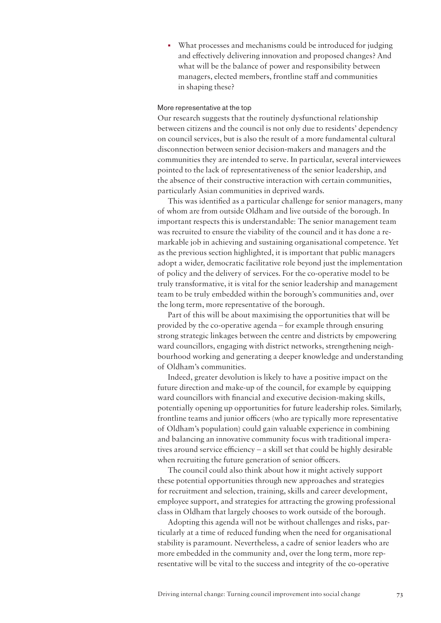• What processes and mechanisms could be introduced for judging and effectively delivering innovation and proposed changes? And what will be the balance of power and responsibility between managers, elected members, frontline staff and communities in shaping these?

#### More representative at the top

Our research suggests that the routinely dysfunctional relationship between citizens and the council is not only due to residents' dependency on council services, but is also the result of a more fundamental cultural disconnection between senior decision-makers and managers and the communities they are intended to serve. In particular, several interviewees pointed to the lack of representativeness of the senior leadership, and the absence of their constructive interaction with certain communities, particularly Asian communities in deprived wards.

This was identified as a particular challenge for senior managers, many of whom are from outside Oldham and live outside of the borough. In important respects this is understandable: The senior management team was recruited to ensure the viability of the council and it has done a remarkable job in achieving and sustaining organisational competence. Yet as the previous section highlighted, it is important that public managers adopt a wider, democratic facilitative role beyond just the implementation of policy and the delivery of services. For the co-operative model to be truly transformative, it is vital for the senior leadership and management team to be truly embedded within the borough's communities and, over the long term, more representative of the borough.

Part of this will be about maximising the opportunities that will be provided by the co-operative agenda – for example through ensuring strong strategic linkages between the centre and districts by empowering ward councillors, engaging with district networks, strengthening neighbourhood working and generating a deeper knowledge and understanding of Oldham's communities.

Indeed, greater devolution is likely to have a positive impact on the future direction and make-up of the council, for example by equipping ward councillors with financial and executive decision-making skills, potentially opening up opportunities for future leadership roles. Similarly, frontline teams and junior officers (who are typically more representative of Oldham's population) could gain valuable experience in combining and balancing an innovative community focus with traditional imperatives around service efficiency – a skill set that could be highly desirable when recruiting the future generation of senior officers.

The council could also think about how it might actively support these potential opportunities through new approaches and strategies for recruitment and selection, training, skills and career development, employee support, and strategies for attracting the growing professional class in Oldham that largely chooses to work outside of the borough.

Adopting this agenda will not be without challenges and risks, particularly at a time of reduced funding when the need for organisational stability is paramount. Nevertheless, a cadre of senior leaders who are more embedded in the community and, over the long term, more representative will be vital to the success and integrity of the co-operative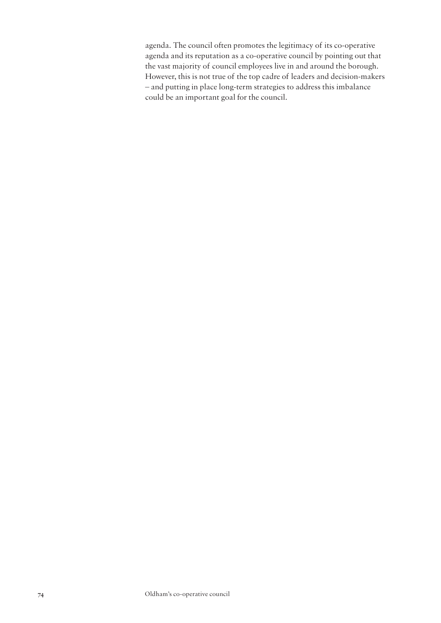agenda. The council often promotes the legitimacy of its co-operative agenda and its reputation as a co-operative council by pointing out that the vast majority of council employees live in and around the borough. However, this is not true of the top cadre of leaders and decision-makers – and putting in place long-term strategies to address this imbalance could be an important goal for the council.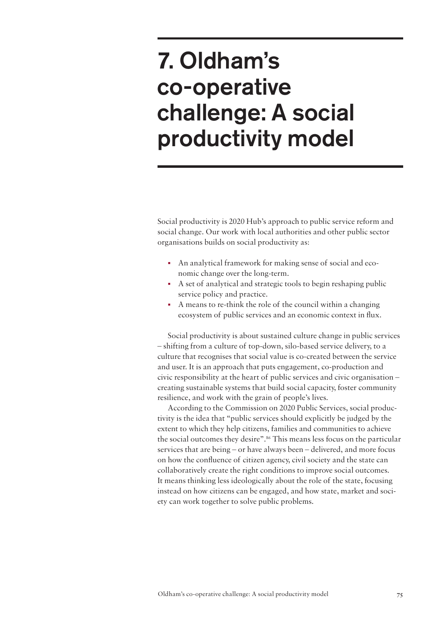# 7. Oldham's co-operative challenge: A social productivity model

Social productivity is 2020 Hub's approach to public service reform and social change. Our work with local authorities and other public sector organisations builds on social productivity as:

- An analytical framework for making sense of social and economic change over the long-term.
- A set of analytical and strategic tools to begin reshaping public service policy and practice.
- A means to re-think the role of the council within a changing ecosystem of public services and an economic context in flux.

Social productivity is about sustained culture change in public services – shifting from a culture of top-down, silo-based service delivery, to a culture that recognises that social value is co-created between the service and user. It is an approach that puts engagement, co-production and civic responsibility at the heart of public services and civic organisation – creating sustainable systems that build social capacity, foster community resilience, and work with the grain of people's lives.

According to the Commission on 2020 Public Services, social productivity is the idea that "public services should explicitly be judged by the extent to which they help citizens, families and communities to achieve the social outcomes they desire".<sup>86</sup> This means less focus on the particular services that are being – or have always been – delivered, and more focus on how the confluence of citizen agency, civil society and the state can collaboratively create the right conditions to improve social outcomes. It means thinking less ideologically about the role of the state, focusing instead on how citizens can be engaged, and how state, market and society can work together to solve public problems.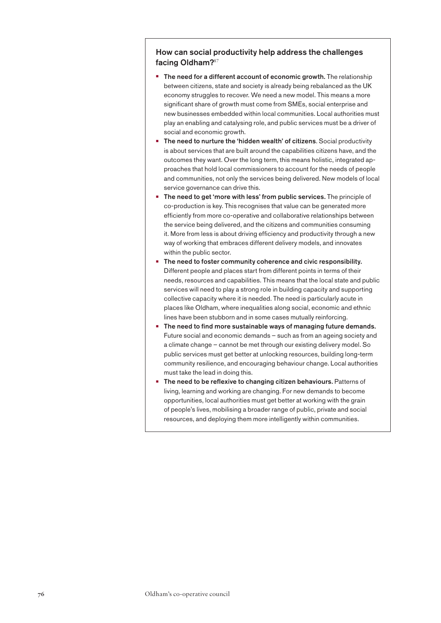# How can social productivity help address the challenges facing Oldham?<sup>87</sup>

- **•** The need for a different account of economic growth. The relationship between citizens, state and society is already being rebalanced as the UK economy struggles to recover. We need a new model. This means a more significant share of growth must come from SMEs, social enterprise and new businesses embedded within local communities. Local authorities must play an enabling and catalysing role, and public services must be a driver of social and economic growth.
- **•** The need to nurture the 'hidden wealth' of citizens. Social productivity is about services that are built around the capabilities citizens have, and the outcomes they want. Over the long term, this means holistic, integrated approaches that hold local commissioners to account for the needs of people and communities, not only the services being delivered. New models of local service governance can drive this.
- **•** The need to get 'more with less' from public services. The principle of co-production is key. This recognises that value can be generated more efficiently from more co-operative and collaborative relationships between the service being delivered, and the citizens and communities consuming it. More from less is about driving efficiency and productivity through a new way of working that embraces different delivery models, and innovates within the public sector.
- The need to foster community coherence and civic responsibility. Different people and places start from different points in terms of their needs, resources and capabilities. This means that the local state and public services will need to play a strong role in building capacity and supporting collective capacity where it is needed. The need is particularly acute in places like Oldham, where inequalities along social, economic and ethnic lines have been stubborn and in some cases mutually reinforcing.
- **•** The need to find more sustainable ways of managing future demands. Future social and economic demands – such as from an ageing society and a climate change – cannot be met through our existing delivery model. So public services must get better at unlocking resources, building long-term community resilience, and encouraging behaviour change. Local authorities must take the lead in doing this.
- The need to be reflexive to changing citizen behaviours. Patterns of living, learning and working are changing. For new demands to become opportunities, local authorities must get better at working with the grain of people's lives, mobilising a broader range of public, private and social resources, and deploying them more intelligently within communities.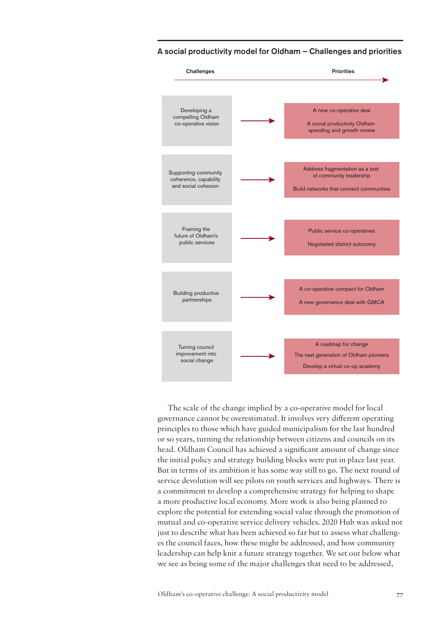

A social productivity model for Oldham – Challenges and priorities

The scale of the change implied by a co-operative model for local governance cannot be overestimated. It involves very different operating principles to those which have guided municipalism for the last hundred or so years, turning the relationship between citizens and councils on its head. Oldham Council has achieved a significant amount of change since the initial policy and strategy building blocks were put in place last year. But in terms of its ambition it has some way still to go. The next round of service devolution will see pilots on youth services and highways. There is a commitment to develop a comprehensive strategy for helping to shape a more productive local economy. More work is also being planned to explore the potential for extending social value through the promotion of mutual and co-operative service delivery vehicles. 2020 Hub was asked not just to describe what has been achieved so far but to assess what challenges the council faces, how these might be addressed, and how community leadership can help knit a future strategy together. We set out below what we see as being some of the major challenges that need to be addressed,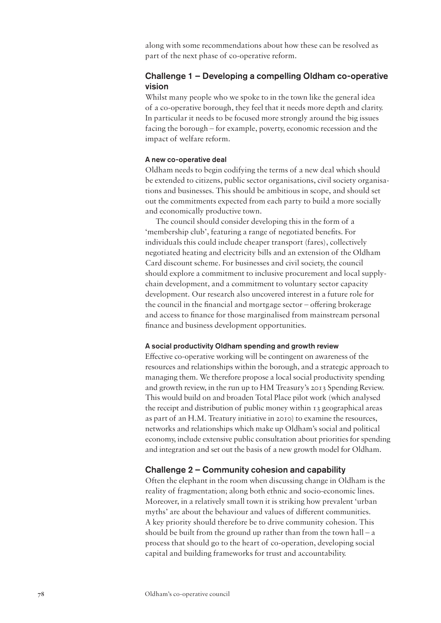along with some recommendations about how these can be resolved as part of the next phase of co-operative reform.

# Challenge 1 – Developing a compelling Oldham co-operative vision

Whilst many people who we spoke to in the town like the general idea of a co-operative borough, they feel that it needs more depth and clarity. In particular it needs to be focused more strongly around the big issues facing the borough – for example, poverty, economic recession and the impact of welfare reform.

#### A new co-operative deal

Oldham needs to begin codifying the terms of a new deal which should be extended to citizens, public sector organisations, civil society organisations and businesses. This should be ambitious in scope, and should set out the commitments expected from each party to build a more socially and economically productive town.

The council should consider developing this in the form of a 'membership club', featuring a range of negotiated benefits. For individuals this could include cheaper transport (fares), collectively negotiated heating and electricity bills and an extension of the Oldham Card discount scheme. For businesses and civil society, the council should explore a commitment to inclusive procurement and local supplychain development, and a commitment to voluntary sector capacity development. Our research also uncovered interest in a future role for the council in the financial and mortgage sector – offering brokerage and access to finance for those marginalised from mainstream personal finance and business development opportunities.

## A social productivity Oldham spending and growth review

Effective co-operative working will be contingent on awareness of the resources and relationships within the borough, and a strategic approach to managing them. We therefore propose a local social productivity spending and growth review, in the run up to HM Treasury's 2013 Spending Review. This would build on and broaden Total Place pilot work (which analysed the receipt and distribution of public money within 13 geographical areas as part of an H.M. Treatury initiative in 2010) to examine the resources, networks and relationships which make up Oldham's social and political economy, include extensive public consultation about priorities for spending and integration and set out the basis of a new growth model for Oldham.

# Challenge 2 – Community cohesion and capability

Often the elephant in the room when discussing change in Oldham is the reality of fragmentation; along both ethnic and socio-economic lines. Moreover, in a relatively small town it is striking how prevalent 'urban myths' are about the behaviour and values of different communities. A key priority should therefore be to drive community cohesion. This should be built from the ground up rather than from the town hall – a process that should go to the heart of co-operation, developing social capital and building frameworks for trust and accountability.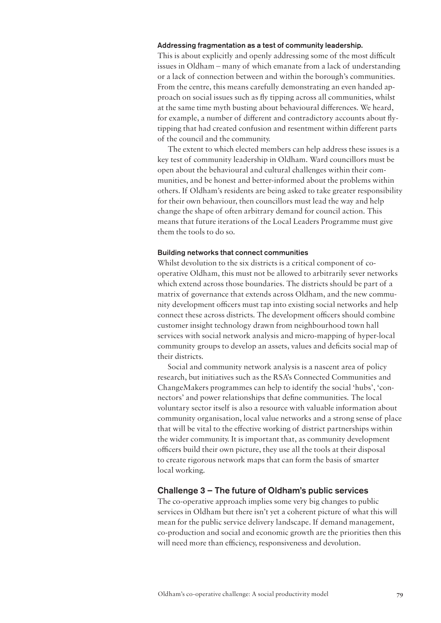### Addressing fragmentation as a test of community leadership.

This is about explicitly and openly addressing some of the most difficult issues in Oldham – many of which emanate from a lack of understanding or a lack of connection between and within the borough's communities. From the centre, this means carefully demonstrating an even handed approach on social issues such as fly tipping across all communities, whilst at the same time myth busting about behavioural differences. We heard, for example, a number of different and contradictory accounts about flytipping that had created confusion and resentment within different parts of the council and the community.

The extent to which elected members can help address these issues is a key test of community leadership in Oldham. Ward councillors must be open about the behavioural and cultural challenges within their communities, and be honest and better-informed about the problems within others. If Oldham's residents are being asked to take greater responsibility for their own behaviour, then councillors must lead the way and help change the shape of often arbitrary demand for council action. This means that future iterations of the Local Leaders Programme must give them the tools to do so.

#### Building networks that connect communities

Whilst devolution to the six districts is a critical component of cooperative Oldham, this must not be allowed to arbitrarily sever networks which extend across those boundaries. The districts should be part of a matrix of governance that extends across Oldham, and the new community development officers must tap into existing social networks and help connect these across districts. The development officers should combine customer insight technology drawn from neighbourhood town hall services with social network analysis and micro-mapping of hyper-local community groups to develop an assets, values and deficits social map of their districts.

Social and community network analysis is a nascent area of policy research, but initiatives such as the RSA's Connected Communities and ChangeMakers programmes can help to identify the social 'hubs', 'connectors' and power relationships that define communities. The local voluntary sector itself is also a resource with valuable information about community organisation, local value networks and a strong sense of place that will be vital to the effective working of district partnerships within the wider community. It is important that, as community development officers build their own picture, they use all the tools at their disposal to create rigorous network maps that can form the basis of smarter local working.

# Challenge 3 – The future of Oldham's public services

The co-operative approach implies some very big changes to public services in Oldham but there isn't yet a coherent picture of what this will mean for the public service delivery landscape. If demand management, co-production and social and economic growth are the priorities then this will need more than efficiency, responsiveness and devolution.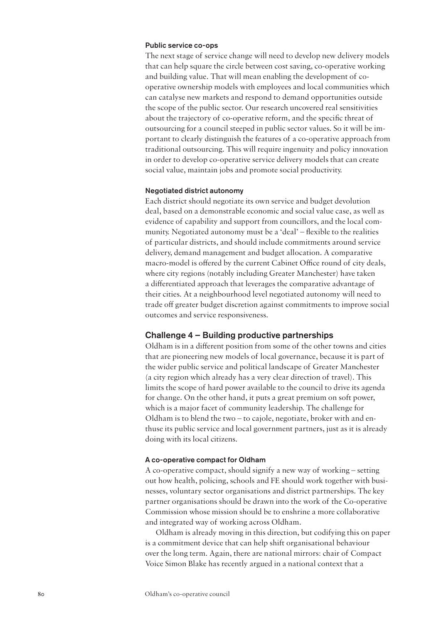### Public service co-ops

The next stage of service change will need to develop new delivery models that can help square the circle between cost saving, co-operative working and building value. That will mean enabling the development of cooperative ownership models with employees and local communities which can catalyse new markets and respond to demand opportunities outside the scope of the public sector. Our research uncovered real sensitivities about the trajectory of co-operative reform, and the specific threat of outsourcing for a council steeped in public sector values. So it will be important to clearly distinguish the features of a co-operative approach from traditional outsourcing. This will require ingenuity and policy innovation in order to develop co-operative service delivery models that can create social value, maintain jobs and promote social productivity.

#### Negotiated district autonomy

Each district should negotiate its own service and budget devolution deal, based on a demonstrable economic and social value case, as well as evidence of capability and support from councillors, and the local community. Negotiated autonomy must be a 'deal' – flexible to the realities of particular districts, and should include commitments around service delivery, demand management and budget allocation. A comparative macro-model is offered by the current Cabinet Office round of city deals, where city regions (notably including Greater Manchester) have taken a differentiated approach that leverages the comparative advantage of their cities. At a neighbourhood level negotiated autonomy will need to trade off greater budget discretion against commitments to improve social outcomes and service responsiveness.

# Challenge 4 – Building productive partnerships

Oldham is in a different position from some of the other towns and cities that are pioneering new models of local governance, because it is part of the wider public service and political landscape of Greater Manchester (a city region which already has a very clear direction of travel). This limits the scope of hard power available to the council to drive its agenda for change. On the other hand, it puts a great premium on soft power, which is a major facet of community leadership. The challenge for Oldham is to blend the two – to cajole, negotiate, broker with and enthuse its public service and local government partners, just as it is already doing with its local citizens.

# A co-operative compact for Oldham

A co-operative compact, should signify a new way of working – setting out how health, policing, schools and FE should work together with businesses, voluntary sector organisations and district partnerships. The key partner organisations should be drawn into the work of the Co-operative Commission whose mission should be to enshrine a more collaborative and integrated way of working across Oldham.

Oldham is already moving in this direction, but codifying this on paper is a commitment device that can help shift organisational behaviour over the long term. Again, there are national mirrors: chair of Compact Voice Simon Blake has recently argued in a national context that a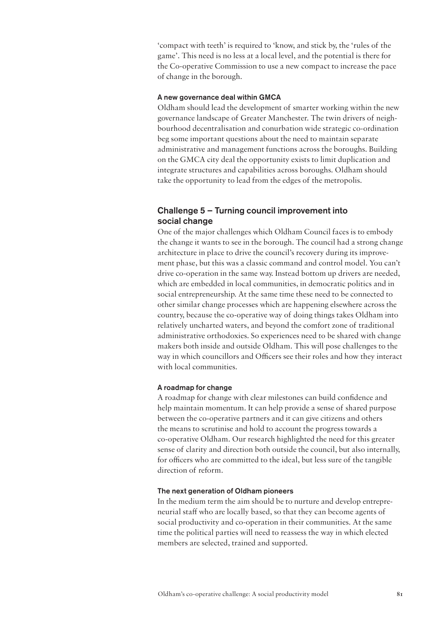'compact with teeth' is required to 'know, and stick by, the 'rules of the game'. This need is no less at a local level, and the potential is there for the Co-operative Commission to use a new compact to increase the pace of change in the borough.

# A new governance deal within GMCA

Oldham should lead the development of smarter working within the new governance landscape of Greater Manchester. The twin drivers of neighbourhood decentralisation and conurbation wide strategic co-ordination beg some important questions about the need to maintain separate administrative and management functions across the boroughs. Building on the GMCA city deal the opportunity exists to limit duplication and integrate structures and capabilities across boroughs. Oldham should take the opportunity to lead from the edges of the metropolis.

# Challenge 5 – Turning council improvement into social change

One of the major challenges which Oldham Council faces is to embody the change it wants to see in the borough. The council had a strong change architecture in place to drive the council's recovery during its improvement phase, but this was a classic command and control model. You can't drive co-operation in the same way. Instead bottom up drivers are needed, which are embedded in local communities, in democratic politics and in social entrepreneurship. At the same time these need to be connected to other similar change processes which are happening elsewhere across the country, because the co-operative way of doing things takes Oldham into relatively uncharted waters, and beyond the comfort zone of traditional administrative orthodoxies. So experiences need to be shared with change makers both inside and outside Oldham. This will pose challenges to the way in which councillors and Officers see their roles and how they interact with local communities.

# A roadmap for change

A roadmap for change with clear milestones can build confidence and help maintain momentum. It can help provide a sense of shared purpose between the co-operative partners and it can give citizens and others the means to scrutinise and hold to account the progress towards a co-operative Oldham. Our research highlighted the need for this greater sense of clarity and direction both outside the council, but also internally, for officers who are committed to the ideal, but less sure of the tangible direction of reform.

#### The next generation of Oldham pioneers

In the medium term the aim should be to nurture and develop entrepreneurial staff who are locally based, so that they can become agents of social productivity and co-operation in their communities. At the same time the political parties will need to reassess the way in which elected members are selected, trained and supported.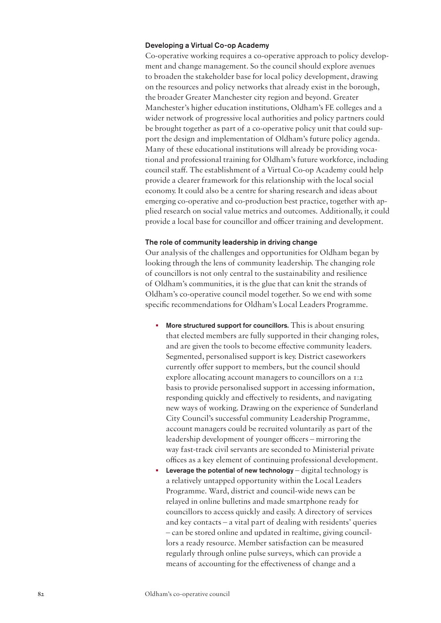# Developing a Virtual Co-op Academy

Co-operative working requires a co-operative approach to policy development and change management. So the council should explore avenues to broaden the stakeholder base for local policy development, drawing on the resources and policy networks that already exist in the borough, the broader Greater Manchester city region and beyond. Greater Manchester's higher education institutions, Oldham's FE colleges and a wider network of progressive local authorities and policy partners could be brought together as part of a co-operative policy unit that could support the design and implementation of Oldham's future policy agenda. Many of these educational institutions will already be providing vocational and professional training for Oldham's future workforce, including council staff. The establishment of a Virtual Co-op Academy could help provide a clearer framework for this relationship with the local social economy. It could also be a centre for sharing research and ideas about emerging co-operative and co-production best practice, together with applied research on social value metrics and outcomes. Additionally, it could provide a local base for councillor and officer training and development.

#### The role of community leadership in driving change

Our analysis of the challenges and opportunities for Oldham began by looking through the lens of community leadership. The changing role of councillors is not only central to the sustainability and resilience of Oldham's communities, it is the glue that can knit the strands of Oldham's co-operative council model together. So we end with some specific recommendations for Oldham's Local Leaders Programme.

- More structured support for councillors. This is about ensuring that elected members are fully supported in their changing roles, and are given the tools to become effective community leaders. Segmented, personalised support is key. District caseworkers currently offer support to members, but the council should explore allocating account managers to councillors on a 1:2 basis to provide personalised support in accessing information, responding quickly and effectively to residents, and navigating new ways of working. Drawing on the experience of Sunderland City Council's successful community Leadership Programme, account managers could be recruited voluntarily as part of the leadership development of younger officers – mirroring the way fast-track civil servants are seconded to Ministerial private offices as a key element of continuing professional development.
- **Leverage the potential of new technology** digital technology is a relatively untapped opportunity within the Local Leaders Programme. Ward, district and council-wide news can be relayed in online bulletins and made smartphone ready for councillors to access quickly and easily. A directory of services and key contacts – a vital part of dealing with residents' queries – can be stored online and updated in realtime, giving councillors a ready resource. Member satisfaction can be measured regularly through online pulse surveys, which can provide a means of accounting for the effectiveness of change and a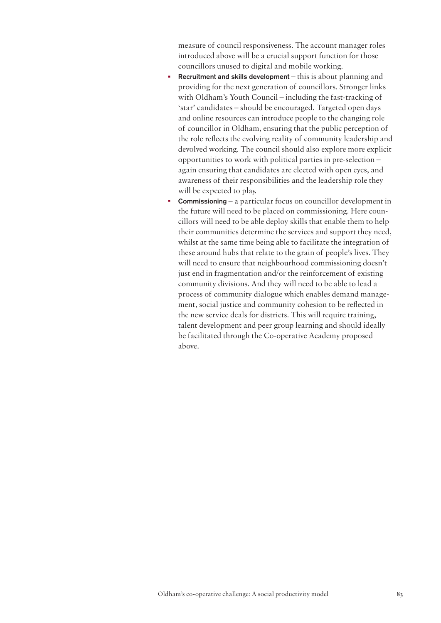measure of council responsiveness. The account manager roles introduced above will be a crucial support function for those councillors unused to digital and mobile working.

- **Recruitment and skills development** this is about planning and providing for the next generation of councillors. Stronger links with Oldham's Youth Council – including the fast-tracking of 'star' candidates – should be encouraged. Targeted open days and online resources can introduce people to the changing role of councillor in Oldham, ensuring that the public perception of the role reflects the evolving reality of community leadership and devolved working. The council should also explore more explicit opportunities to work with political parties in pre-selection – again ensuring that candidates are elected with open eyes, and awareness of their responsibilities and the leadership role they will be expected to play.
- **Commissioning** a particular focus on councillor development in the future will need to be placed on commissioning. Here councillors will need to be able deploy skills that enable them to help their communities determine the services and support they need, whilst at the same time being able to facilitate the integration of these around hubs that relate to the grain of people's lives. They will need to ensure that neighbourhood commissioning doesn't just end in fragmentation and/or the reinforcement of existing community divisions. And they will need to be able to lead a process of community dialogue which enables demand management, social justice and community cohesion to be reflected in the new service deals for districts. This will require training, talent development and peer group learning and should ideally be facilitated through the Co-operative Academy proposed above.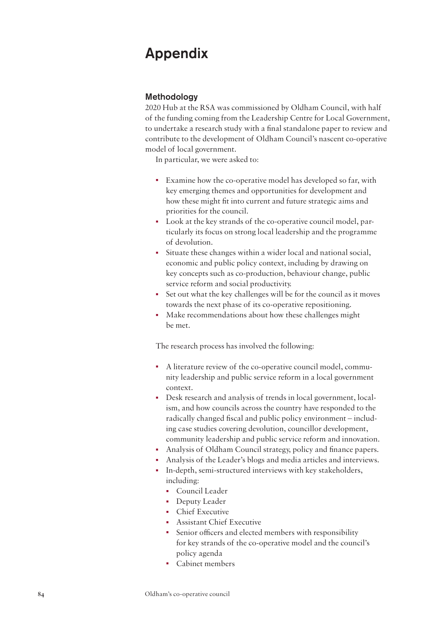# Appendix

# Methodology

2020 Hub at the RSA was commissioned by Oldham Council, with half of the funding coming from the Leadership Centre for Local Government, to undertake a research study with a final standalone paper to review and contribute to the development of Oldham Council's nascent co-operative model of local government.

In particular, we were asked to:

- Examine how the co-operative model has developed so far, with key emerging themes and opportunities for development and how these might fit into current and future strategic aims and priorities for the council.
- Look at the key strands of the co-operative council model, particularly its focus on strong local leadership and the programme of devolution.
- Situate these changes within a wider local and national social, economic and public policy context, including by drawing on key concepts such as co-production, behaviour change, public service reform and social productivity.
- Set out what the key challenges will be for the council as it moves towards the next phase of its co-operative repositioning.
- Make recommendations about how these challenges might be met.

The research process has involved the following:

- A literature review of the co-operative council model, community leadership and public service reform in a local government context.
- Desk research and analysis of trends in local government, localism, and how councils across the country have responded to the radically changed fiscal and public policy environment – including case studies covering devolution, councillor development, community leadership and public service reform and innovation.
- Analysis of Oldham Council strategy, policy and finance papers.
- Analysis of the Leader's blogs and media articles and interviews.
- In-depth, semi-structured interviews with key stakeholders, including:
	- Council Leader
	- Deputy Leader
	- Chief Executive
	- Assistant Chief Executive
	- Senior officers and elected members with responsibility for key strands of the co-operative model and the council's policy agenda
	- Cabinet members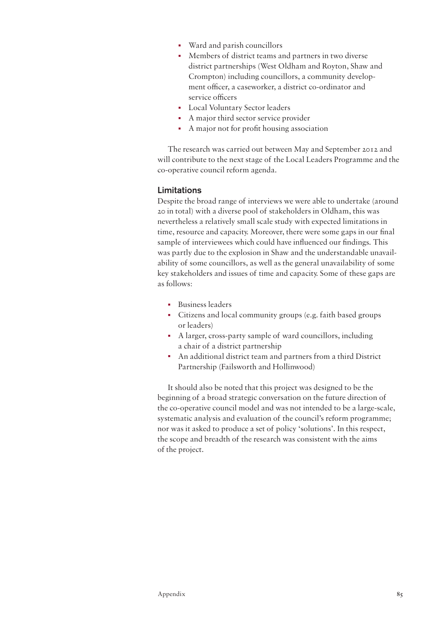- Ward and parish councillors
- Members of district teams and partners in two diverse district partnerships (West Oldham and Royton, Shaw and Crompton) including councillors, a community development officer, a caseworker, a district co-ordinator and service officers
- Local Voluntary Sector leaders
- A major third sector service provider
- A major not for profit housing association

The research was carried out between May and September 2012 and will contribute to the next stage of the Local Leaders Programme and the co-operative council reform agenda.

# Limitations

Despite the broad range of interviews we were able to undertake (around 20 in total) with a diverse pool of stakeholders in Oldham, this was nevertheless a relatively small scale study with expected limitations in time, resource and capacity. Moreover, there were some gaps in our final sample of interviewees which could have influenced our findings. This was partly due to the explosion in Shaw and the understandable unavailability of some councillors, as well as the general unavailability of some key stakeholders and issues of time and capacity. Some of these gaps are as follows:

- Business leaders
- Citizens and local community groups (e.g. faith based groups or leaders)
- A larger, cross-party sample of ward councillors, including a chair of a district partnership
- An additional district team and partners from a third District Partnership (Failsworth and Hollinwood)

It should also be noted that this project was designed to be the beginning of a broad strategic conversation on the future direction of the co-operative council model and was not intended to be a large-scale, systematic analysis and evaluation of the council's reform programme; nor was it asked to produce a set of policy 'solutions'. In this respect, the scope and breadth of the research was consistent with the aims of the project.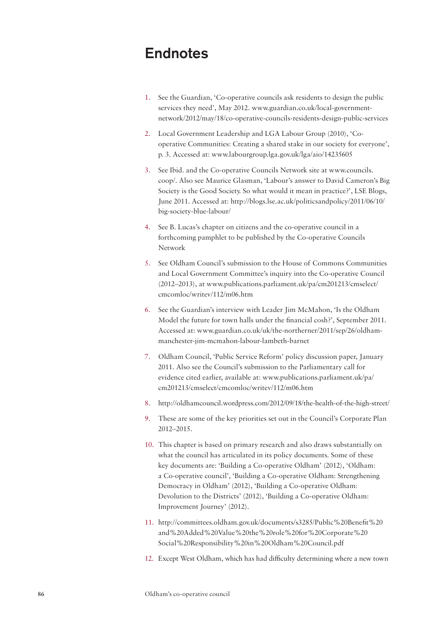# Endnotes

- 1. See the Guardian, 'Co-operative councils ask residents to design the public services they need', May 2012. [www.guardian.co.uk/local-government](www.guardian.co.uk/local-government-network/2012/may/18/co)[network/2012/may/18/co](www.guardian.co.uk/local-government-network/2012/may/18/co)-operative-councils-residents-design-public-services
- 2. Local Government Leadership and LGA Labour Group (2010), 'Cooperative Communities: Creating a shared stake in our society for everyone', p. 3. Accessed at: [www.labourgroup.lga.gov.uk/lga/aio/](www.labourgroup.lga.gov.uk/lga/aio)14235605
- 3. See Ibid. and the Co-operative Councils Network site at [www.councils.](www.councils.coop) [coop/](www.councils.coop). Also see Maurice Glasman, 'Labour's answer to David Cameron's Big Society is the Good Society. So what would it mean in practice?', LSE Blogs, June 2011. Accessed at: [http://blogs.lse.ac.uk/politicsandpolicy/2011/06/10/](http://blogs.lse.ac.uk/politicsandpolicy/2011/06/10/big) [big](http://blogs.lse.ac.uk/politicsandpolicy/2011/06/10/big)-society-blue-labour/
- 4. See B. Lucas's chapter on citizens and the co-operative council in a forthcoming pamphlet to be published by the Co-operative Councils Network
- 5. See Oldham Council's submission to the House of Commons Communities and Local Government Committee's inquiry into the Co-operative Council (2012–2013), at [www.publications.parliament.uk/pa/cm201213/cmselect/](www.publications.parliament.uk/pa/cm201213/cmselect/cmcomloc/writev/112/m06.htm) [cmcomloc/writev/112/m06.htm](www.publications.parliament.uk/pa/cm201213/cmselect/cmcomloc/writev/112/m06.htm)
- 6. See the Guardian's interview with Leader Jim McMahon, 'Is the Oldham Model the future for town halls under the financial cosh?', September 2011. Accessed at: <www.guardian.co.uk/uk/the-northerner/2011/sep/26/oldham>manchester-jim-mcmahon-labour-lambeth-barnet
- 7. Oldham Council, 'Public Service Reform' policy discussion paper, January 2011. Also see the Council's submission to the Parliamentary call for evidence cited earlier, available at: [www.publications.parliament.uk/pa/](www.publications.parliament.uk/pa/cm201213/cmselect/cmcomloc/writev/112/m06.htm) [cm201213/cmselect/cmcomloc/writev/112/m06.htm](www.publications.parliament.uk/pa/cm201213/cmselect/cmcomloc/writev/112/m06.htm)
- 8. <http://oldhamcouncil.wordpress.com/2012/09/18/the>-health-of-the-high-street/
- 9. These are some of the key priorities set out in the Council's Corporate Plan 2012–2015.
- 10. This chapter is based on primary research and also draws substantially on what the council has articulated in its policy documents. Some of these key documents are: 'Building a Co-operative Oldham' (2012), 'Oldham: a Co-operative council', 'Building a Co-operative Oldham: Strengthening Democracy in Oldham' (2012), 'Building a Co-operative Oldham: Devolution to the Districts' (2012), 'Building a Co-operative Oldham: Improvement Journey' (2012).
- 11. <http://committees.oldham.gov.uk/documents/s3285/Public>%20Benefit%20 and%20Added%20Value%20the%20role%20for%20Corporate%20 Social%20Responsibility%20in%20Oldham%<20Council.pdf>
- 12. Except West Oldham, which has had difficulty determining where a new town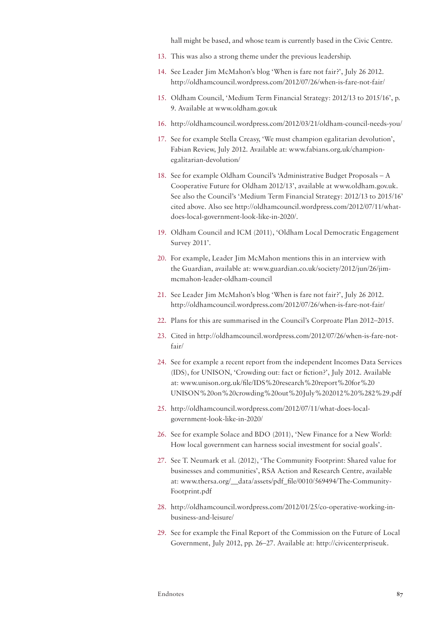hall might be based, and whose team is currently based in the Civic Centre.

- 13. This was also a strong theme under the previous leadership.
- 14. See Leader Jim McMahon's blog 'When is fare not fair?', July 26 2012. <http://oldhamcouncil.wordpress.com/2012/07/26/when>-is-fare-not-fair/
- 15. Oldham Council, 'Medium Term Financial Strategy: 2012/13 to 2015/16', p. 9. Available at <www.oldham.gov.uk>
- 16. [http://oldhamcouncil.wordpress.com/2012/03/21/oldham-](http://oldhamcouncil.wordpress.com/2012/03/21/oldham)council-needs-you/
- 17. See for example Stella Creasy, 'We must champion egalitarian devolution', Fabian Review, July 2012. Available at: [www.fabians.org.uk/champion](http://www.fabians.org.uk/champion-egalitarian-devolution/%20%20)[egalitarian-devolution/](http://www.fabians.org.uk/champion-egalitarian-devolution/%20%20)
- 18. See for example Oldham Council's 'Administrative Budget Proposals A Cooperative Future for Oldham 2012/13', available at [www.oldham.gov.uk.](www.oldham.gov.uk) See also the Council's 'Medium Term Financial Strategy: 2012/13 to 2015/16' cited above. Also see <http://oldhamcouncil.wordpress.com/2012/07/11/what>does-local-government-look-like-in-2020/.
- 19. Oldham Council and ICM (2011), 'Oldham Local Democratic Engagement Survey 2011'.
- 20. For example, Leader Jim McMahon mentions this in an interview with the Guardian, available at: [www.guardian.co.uk/society/2012/jun/26/jim](www.guardian.co.uk/society/2012/jun/26/jim-mcmahon-leader-oldham-council)mcmahon-leader-oldham-council
- 21. See Leader Jim McMahon's blog 'When is fare not fair?', July 26 2012. <http://oldhamcouncil.wordpress.com/2012/07/26/when>-is-fare-not-fair/
- 22. Plans for this are summarised in the Council's Corproate Plan 2012–2015.
- 23. Cited in [http://oldhamcouncil.wordpress.com/2012/07/26/when-](http://oldhamcouncil.wordpress.com/2012/07/26/when)is-fare-notfair/
- 24. See for example a recent report from the independent Incomes Data Services (IDS), for UNISON, 'Crowding out: fact or fiction?', July 2012. Available at: [www.unison.org.uk/file/IDS](www.unison.org.uk/file/IDS%20research%20report%20for%20UNISON%20on%20crowding%20out%20July%202012%20%282%29.pdf)%20research%20report%20for%20 UNISON%20on%20crowding%20out%20July%202012%20%282[%29.pdf](29.pdf)
- 25. [http://oldhamcouncil.wordpress.com/2012/07/11/what-](http://oldhamcouncil.wordpress.com/2012/07/11/what)does-localgovernment-look-like-in-2020/
- 26. See for example Solace and BDO (2011), 'New Finance for a New World: How local government can harness social investment for social goals'.
- 27. See T. Neumark et al. (2012), 'The Community Footprint: Shared value for businesses and communities', RSA Action and Research Centre, available at: [www.thersa.org/\\_\\_data/assets/pdf\\_file/0010/569494/The-Community-](www.thersa.org/__data/assets/pdf_file/0010/569494/The-Community-Footprint.pdf)[Footprint.pdf](www.thersa.org/__data/assets/pdf_file/0010/569494/The-Community-Footprint.pdf)
- 28. <http://oldhamcouncil.wordpress.com/2012/01/25/co>-operative-working-inbusiness-and-leisure/
- 29. See for example the Final Report of the Commission on the Future of Local Government, July 2012, pp. 26–27. Available at: [http://civicenterpriseuk.](http://civicenterpriseuk.files.wordpress.com/2012/07/final-commission-on-the-future-of-local-government-electronic.pdf)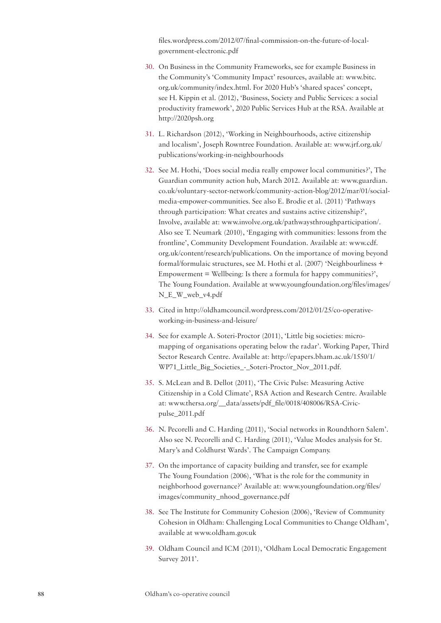[files.wordpress.com/2012/07/final-commission-on-the-future-of-local](http://civicenterpriseuk.files.wordpress.com/2012/07/final-commission-on-the-future-of-local-government-electronic.pdf)[government-electronic.pdf](http://civicenterpriseuk.files.wordpress.com/2012/07/final-commission-on-the-future-of-local-government-electronic.pdf)

- 30. On Business in the Community Frameworks, see for example Business in the Community's 'Community Impact' resources, available at: [www.bitc.](www.bitc.org.uk/community/index.html) [org.uk/community/index.html.](www.bitc.org.uk/community/index.html) For 2020 Hub's 'shared spaces' concept, see H. Kippin et al. (2012), 'Business, Society and Public Services: a social productivity framework', 2020 Public Services Hub at the RSA. Available at <http://2020psh.org>
- 31. L. Richardson (2012), 'Working in Neighbourhoods, active citizenship and localism', Joseph Rowntree Foundation. Available at: [www.jrf.org.uk/](www.jrf.org.uk/publications/working) [publications/working](www.jrf.org.uk/publications/working)-in-neighbourhoods
- 32. See M. Hothi, 'Does social media really empower local communities?', The Guardian community action hub, March 2012. Available at: [www.guardian.](www.guardian.co.uk/voluntary-sector-network/community-action-blog/2012/mar/01/social) [co.uk/voluntary-sector-network/community-action-blog/2012/mar/01/social](www.guardian.co.uk/voluntary-sector-network/community-action-blog/2012/mar/01/social)media-empower-communities. See also E. Brodie et al. (2011) 'Pathways through participation: What creates and sustains active citizenship?', Involve, available at: [www.involve.org.uk/pathwaysthroughparticipation/](www.involve.org.uk/pathwaysthroughparticipation). Also see T. Neumark (2010), 'Engaging with communities: lessons from the frontline', Community Development Foundation. Available at: [www.cdf.](www.cdf.org.uk/content/research/publications) [org.uk/content/research/publications](www.cdf.org.uk/content/research/publications). On the importance of moving beyond formal/formulaic structures, see M. Hothi et al. (2007) 'Neighbourliness + Empowerment = Wellbeing: Is there a formula for happy communities?', The Young Foundation. Available at [www.youngfoundation.org/files/images/](www.youngfoundation.org/files/images/N_E_W_web_v4.pdf) [N\\_E\\_W\\_web\\_v4.pdf](www.youngfoundation.org/files/images/N_E_W_web_v4.pdf)
- 33. Cited in [http://oldhamcouncil.wordpress.com/2012/01/25/co-](http://oldhamcouncil.wordpress.com/2012/01/25/co)operativeworking-in-business-and-leisure/
- 34. See for example A. Soteri-Proctor (2011), 'Little big societies: micromapping of organisations operating below the radar'. Working Paper, Third Sector Research Centre. Available at: [http://epapers.bham.ac.uk/1550/1/](http://epapers.bham.ac.uk/1550/1/WP71_Little_Big_Societies_-_Soteri-Proctor_Nov_2011.pdf) [WP71\\_Little\\_Big\\_Societies\\_-\\_Soteri-Proctor\\_Nov\\_2011.pdf](http://epapers.bham.ac.uk/1550/1/WP71_Little_Big_Societies_-_Soteri-Proctor_Nov_2011.pdf).
- 35. S. McLean and B. Dellot (2011), 'The Civic Pulse: Measuring Active Citizenship in a Cold Climate', RSA Action and Research Centre. Available at: [www.thersa.org/\\_\\_data/assets/pdf\\_file/0018/408006/RSA-Civic](www.thersa.org/__data/assets/pdf_file/0018/408006/RSA-Civic-pulse_2011.pdf)[pulse\\_2011.pdf](www.thersa.org/__data/assets/pdf_file/0018/408006/RSA-Civic-pulse_2011.pdf)
- 36. N. Pecorelli and C. Harding (2011), 'Social networks in Roundthorn Salem'. Also see N. Pecorelli and C. Harding (2011), 'Value Modes analysis for St. Mary's and Coldhurst Wards'. The Campaign Company.
- 37. On the importance of capacity building and transfer, see for example The Young Foundation (2006), 'What is the role for the community in neighborhood governance?' Available at: [www.youngfoundation.org/files/](www.youngfoundation.org/files/images/community_nhood_governance.pdf) [images/community\\_nhood\\_governance.pdf](www.youngfoundation.org/files/images/community_nhood_governance.pdf)
- 38. See The Institute for Community Cohesion (2006), 'Review of Community Cohesion in Oldham: Challenging Local Communities to Change Oldham', available at<www.oldham.gov.uk>
- 39. Oldham Council and ICM (2011), 'Oldham Local Democratic Engagement Survey 2011'.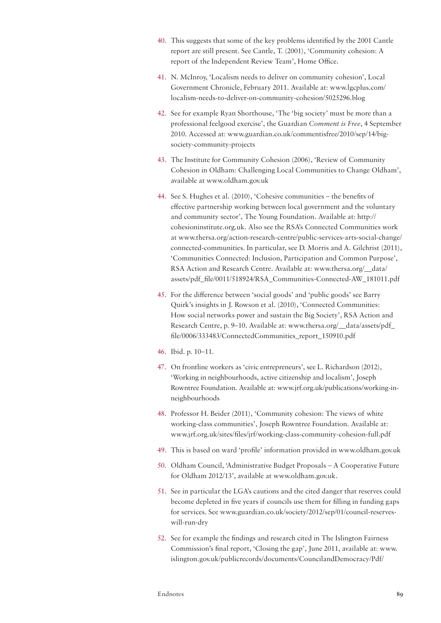- 40. This suggests that some of the key problems identified by the 2001 Cantle report are still present. See Cantle, T. (2001), 'Community cohesion: A report of the Independent Review Team', Home Office.
- 41. N. McInroy, 'Localism needs to deliver on community cohesion', Local Government Chronicle, February 2011. Available at: [www.lgcplus.com/](www.lgcplus.com/localism-needs-to-deliver-on-community-cohesion/5025296.blog) [localism-needs-to-deliver-on-community-cohesion/5025296.blog](www.lgcplus.com/localism-needs-to-deliver-on-community-cohesion/5025296.blog)
- 42. See for example Ryan Shorthouse, 'The 'big society' must be more than a professional feelgood exercise', the Guardian *Comment is Free*, 4 September 2010. Accessed at:<www.guardian.co.uk/commentisfree/2010/sep/14/big>society-community-projects
- 43. The Institute for Community Cohesion (2006), 'Review of Community Cohesion in Oldham: Challenging Local Communities to Change Oldham', available at <www.oldham.gov.uk>
- 44. See S. Hughes et al. (2010), 'Cohesive communities the benefits of effective partnership working between local government and the voluntary and community sector', The Young Foundation. Available at: [http://](http://cohesioninstitute.org.uk) [cohesioninstitute.org.uk](http://cohesioninstitute.org.uk). Also see the RSA's Connected Communities work at [www.thersa.org/action-research-centre/public-services-arts-social-change/](www.thersa.org/action-research-centre/public-services-arts-social-change/connected) [connected](www.thersa.org/action-research-centre/public-services-arts-social-change/connected)-communities. In particular, see D. Morris and A. Gilchrist (2011), 'Communities Connected: Inclusion, Participation and Common Purpose', RSA Action and Research Centre. Available at: [www.thersa.org/\\_\\_data/](www.thersa.org/__data/assets/pdf_file/0011/518924/RSA_Communities-Connected-AW_181011.pdf) [assets/pdf\\_file/0011/518924/RSA\\_Communities-Connected-AW\\_181011.pdf](www.thersa.org/__data/assets/pdf_file/0011/518924/RSA_Communities-Connected-AW_181011.pdf)
- 45. For the difference between 'social goods' and 'public goods' see Barry Quirk's insights in J. Rowson et al. (2010), 'Connected Communities: How social networks power and sustain the Big Society', RSA Action and Research Centre, p. 9–10. Available at: [www.thersa.org/\\_\\_data/assets/pdf\\_](www.thersa.org/__data/assets/pdf_file/0006/333483/ConnectedCommunities_report_150910.pdf) [file/0006/333483/ConnectedCommunities\\_report\\_150910.pdf](www.thersa.org/__data/assets/pdf_file/0006/333483/ConnectedCommunities_report_150910.pdf)
- 46. Ibid. p. 10–11.
- 47. On frontline workers as 'civic entrepreneurs', see L. Richardson (2012), 'Working in neighbourhoods, active citizenship and localism', Joseph Rowntree Foundation. Available at:<www.jrf.org.uk/publications/working>-inneighbourhoods
- 48. Professor H. Beider (2011), 'Community cohesion: The views of white working-class communities', Joseph Rowntree Foundation. Available at: <www.jrf.org.uk/sites/files/jrf/working-class-community-cohesion-full.pdf>
- 49. This is based on ward 'profile' information provided in<www.oldham.gov.uk>
- 50. Oldham Council, 'Administrative Budget Proposals A Cooperative Future for Oldham 2012/13', available at<www.oldham.gov.uk>.
- 51. See in particular the LGA's cautions and the cited danger that reserves could become depleted in five years if councils use them for filling in funding gaps for services. See<www.guardian.co.uk/society/2012/sep/01/council>-reserveswill-run-dry
- 52. See for example the findings and research cited in The Islington Fairness Commission's final report, 'Closing the gap', June 2011, available at: [www.](www.islington.gov.uk/publicrecords/documents/CouncilandDemocracy/Pdf/fairness_commission/IFC_final_report_closing_the_gap.pdf) [islington.gov.uk/publicrecords/documents/CouncilandDemocracy/Pdf/](www.islington.gov.uk/publicrecords/documents/CouncilandDemocracy/Pdf/fairness_commission/IFC_final_report_closing_the_gap.pdf)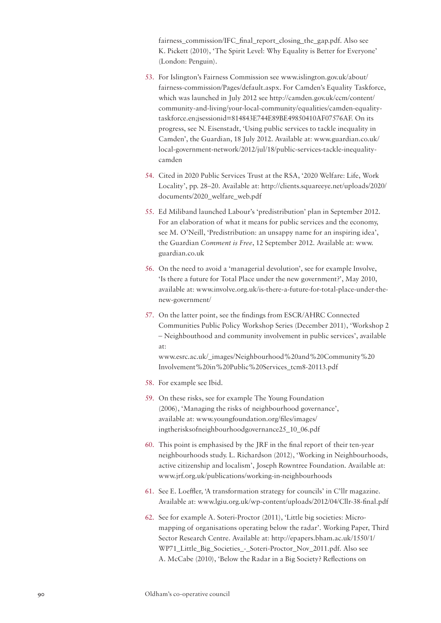[fairness\\_commission/IFC\\_final\\_report\\_closing\\_the\\_gap.pdf.](www.islington.gov.uk/publicrecords/documents/CouncilandDemocracy/Pdf/fairness_commission/IFC_final_report_closing_the_gap.pdf) Also see K. Pickett (2010), 'The Spirit Level: Why Equality is Better for Everyone' (London: Penguin).

- 53. For Islington's Fairness Commission see [www.islington.gov.uk/about/](www.islington.gov.uk/about/fairness-commission/Pages/default.aspx) [fairness-commission/Pages/default.aspx](www.islington.gov.uk/about/fairness-commission/Pages/default.aspx). For Camden's Equality Taskforce, which was launched in July 2012 see [http://camden.gov.uk/ccm/content/](http://camden.gov.uk/ccm/content/community-and-living/your-local-community/equalities/camden-equality-taskforce.en) [community-and-living/your-local-community/equalities/camden-equality](http://camden.gov.uk/ccm/content/community-and-living/your-local-community/equalities/camden-equality-taskforce.en)[taskforce.en;](http://camden.gov.uk/ccm/content/community-and-living/your-local-community/equalities/camden-equality-taskforce.en)jsessionid=814843E744E89BE49850410AF07576AF. On its progress, see N. Eisenstadt, 'Using public services to tackle inequality in Camden', the Guardian, 18 July 2012. Available at: [www.guardian.co.uk/](www.guardian.co.uk/local-government-network/2012/jul/18/public) [local-government-network/2012/jul/18/public-](www.guardian.co.uk/local-government-network/2012/jul/18/public)services-tackle-inequalitycamden
- 54. Cited in 2020 Public Services Trust at the RSA, '2020 Welfare: Life, Work Locality', pp. 28–20. Available at: [http://clients.squareeye.net/uploads/2020/](http://clients.squareeye.net/uploads/2020/documents/2020_welfare_web.pdf) [documents/2020\\_welfare\\_web.pdf](http://clients.squareeye.net/uploads/2020/documents/2020_welfare_web.pdf)
- 55. Ed Miliband launched Labour's 'predistribution' plan in September 2012. For an elaboration of what it means for public services and the economy, see M. O'Neill, 'Predistribution: an unsappy name for an inspiring idea', the Guardian *Comment is Free*, 12 September 2012. Available at: [www.](www.guardian.co.uk) [guardian.co.uk](www.guardian.co.uk)
- 56. On the need to avoid a 'managerial devolution', see for example Involve, 'Is there a future for Total Place under the new government?', May 2010, available at:<www.involve.org.uk/is>-there-a-future-for-total-place-under-thenew-government/
- 57. On the latter point, see the findings from ESCR/AHRC Connected Communities Public Policy Workshop Series (December 2011), 'Workshop 2 – Neighbouthood and community involvement in public services', available at:

[www.esrc.ac.uk/\\_images/Neighbourhood%](www.esrc.ac.uk/_images/Neighbourhood)20and%20Community%20 Involvement%20in%20Public[%20Services\\_tcm8-20113.pdf](20Services_tcm8-20113.pdf)

- 58. For example see Ibid.
- 59. On these risks, see for example The Young Foundation (2006), 'Managing the risks of neighbourhood governance', available at: [www.youngfoundation.org/files/images/](www.youngfoundation.org/files/images/ingtherisksofneighbourhoodgovernance25_10_06.pdf) [ingtherisksofneighbourhoodgovernance25\\_10\\_06.pdf](www.youngfoundation.org/files/images/ingtherisksofneighbourhoodgovernance25_10_06.pdf)
- 60. This point is emphasised by the JRF in the final report of their ten-year neighbourhoods study. L. Richardson (2012), 'Working in Neighbourhoods, active citizenship and localism', Joseph Rowntree Foundation. Available at: [www.jrf.org.uk/publications/working-](www.jrf.org.uk/publications/working)in-neighbourhoods
- 61. See E. Loeffler, 'A transformation strategy for councils' in C'llr magazine. Available at: <www.lgiu.org.uk/wp-content/uploads/2012/04/Cllr-38-final.pdf>
- 62. See for example A. Soteri-Proctor (2011), 'Little big societies: Micromapping of organisations operating below the radar'. Working Paper, Third Sector Research Centre. Available at: [http://epapers.bham.ac.uk/1550/1/](http://epapers.bham.ac.uk/1550/1/WP71_Little_Big_Societies_-_Soteri-Proctor_Nov_2011.pdf) [WP71\\_Little\\_Big\\_Societies\\_-\\_Soteri-Proctor\\_Nov\\_2011.pdf](http://epapers.bham.ac.uk/1550/1/WP71_Little_Big_Societies_-_Soteri-Proctor_Nov_2011.pdf). Also see A. McCabe (2010), 'Below the Radar in a Big Society? Reflections on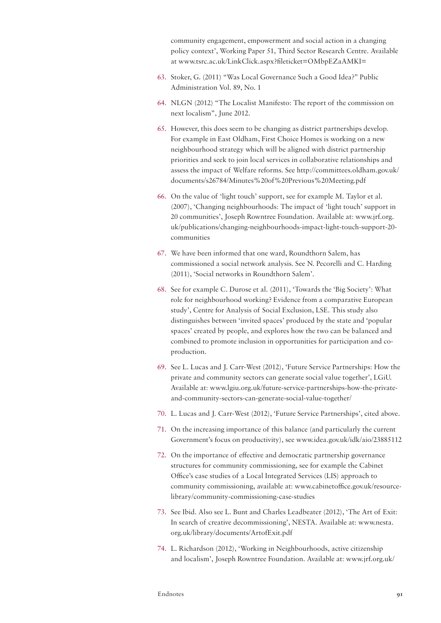community engagement, empowerment and social action in a changing policy context', Working Paper 51, Third Sector Research Centre. Available at<www.tsrc.ac.uk/LinkClick.aspx>?fileticket=OMbpEZaAMKI=

- 63. Stoker, G. (2011) "Was Local Governance Such a Good Idea?" Public Administration Vol. 89, No. 1
- 64. NLGN (2012) "The Localist Manifesto: The report of the commission on next localism", June 2012.
- 65. However, this does seem to be changing as district partnerships develop. For example in East Oldham, First Choice Homes is working on a new neighbourhood strategy which will be aligned with district partnership priorities and seek to join local services in collaborative relationships and assess the impact of Welfare reforms. See [http://committees.oldham.gov.uk/](http://committees.oldham.gov.uk/documents/s26784/Minutes) [documents/s26784/Minutes%](http://committees.oldham.gov.uk/documents/s26784/Minutes)20of%20Previous%<20Meeting.pdf>
- 66. On the value of 'light touch' support, see for example M. Taylor et al. (2007), 'Changing neighbourhoods: The impact of 'light touch' support in 20 communities', Joseph Rowntree Foundation. Available at: [www.jrf.org.](www.jrf.org.uk/publications/changing) [uk/publications/changing](www.jrf.org.uk/publications/changing)-neighbourhoods-impact-light-touch-support-20 communities
- 67. We have been informed that one ward, Roundthorn Salem, has commissioned a social network analysis. See N. Pecorelli and C. Harding (2011), 'Social networks in Roundthorn Salem'.
- 68. See for example C. Durose et al. (2011), 'Towards the 'Big Society': What role for neighbourhood working? Evidence from a comparative European study', Centre for Analysis of Social Exclusion, LSE. This study also distinguishes between 'invited spaces' produced by the state and 'popular spaces' created by people, and explores how the two can be balanced and combined to promote inclusion in opportunities for participation and coproduction.
- 69. See L. Lucas and J. Carr-West (2012), 'Future Service Partnerships: How the private and community sectors can generate social value together', LGiU. Available at: [www.lgiu.org.uk/future-](www.lgiu.org.uk/future)service-partnerships-how-the-privateand-community-sectors-can-generate-social-value-together/
- 70. L. Lucas and J. Carr-West (2012), 'Future Service Partnerships', cited above.
- 71. On the increasing importance of this balance (and particularly the current Government's focus on productivity), see<www.idea.gov.uk/idk/aio>/23885112
- 72. On the importance of effective and democratic partnership governance structures for community commissioning, see for example the Cabinet Office's case studies of a Local Integrated Services (LIS) approach to community commissioning, available at: [www.cabinetoffice.gov.uk/resource](www.cabinetoffice.gov.uk/resource-library/community-commissioning-case-studies)[library/community](www.cabinetoffice.gov.uk/resource-library/community-commissioning-case-studies)-commissioning-case-studies
- 73. See Ibid. Also see L. Bunt and Charles Leadbeater (2012), 'The Art of Exit: In search of creative decommissioning', NESTA. Available at: [www.nesta.](www.nesta.org.uk/library/documents/ArtofExit.pdf) [org.uk/library/documents/ArtofExit.pdf](www.nesta.org.uk/library/documents/ArtofExit.pdf)
- 74. L. Richardson (2012), 'Working in Neighbourhoods, active citizenship and localism', Joseph Rowntree Foundation. Available at: [www.jrf.org.uk/](www.jrf.org.uk/publications/working)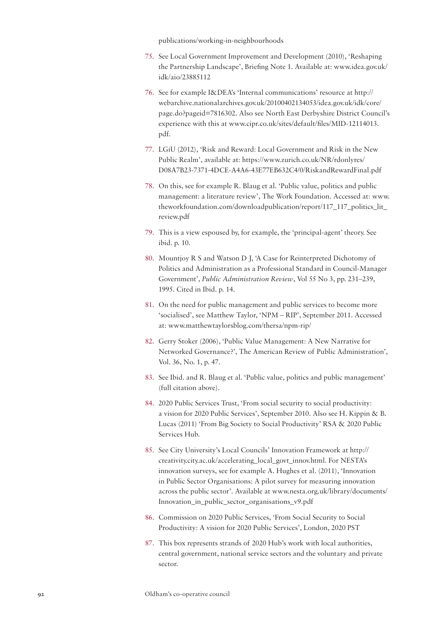[publications/working](www.jrf.org.uk/publications/working)-in-neighbourhoods

- 75. See Local Government Improvement and Development (2010), 'Reshaping the Partnership Landscape', Briefing Note 1. Available at: [www.idea.gov.uk/](www.idea.gov.uk/idk/aio) [idk/aio](www.idea.gov.uk/idk/aio)/23885112
- 76. See for example I&DEA's 'Internal communications' resource at [http://](http://webarchive.nationalarchives.gov.uk/20100402134053/idea.gov.uk/idk/core/page.do?pageid=7816302.) [webarchive.nationalarchives.gov.uk/20100402134053/idea.gov.uk/idk/core/](http://webarchive.nationalarchives.gov.uk/20100402134053/idea.gov.uk/idk/core/page.do?pageid=7816302.) [page.do?pageid=7816302.](http://webarchive.nationalarchives.gov.uk/20100402134053/idea.gov.uk/idk/core/page.do?pageid=7816302.) Also see North East Derbyshire District Council's experience with this at [www.cipr.co.uk/sites/default/files/MID-12114013.](www.cipr.co.uk/sites/default/files/MID-12114013.pdf) [pdf.](www.cipr.co.uk/sites/default/files/MID-12114013.pdf)
- 77. LGiU (2012), 'Risk and Reward: Local Government and Risk in the New Public Realm', available at: [https://www.zurich.co.uk/NR/rdonlyres/](https://www.zurich.co.uk/NR/rdonlyres/D08A7B23-7371-4DCE-A4A6-43E77EB632C4/0/RiskandRewardFinal.pdf) [D08A7B23-7371-4DCE-A4A6-43E77EB632C4/0/RiskandRewardFinal.pdf](https://www.zurich.co.uk/NR/rdonlyres/D08A7B23-7371-4DCE-A4A6-43E77EB632C4/0/RiskandRewardFinal.pdf)
- 78. On this, see for example R. Blaug et al. 'Public value, politics and public management: a literature review', The Work Foundation. Accessed at: [www.](www.theworkfoundation.com/downloadpublication/report/117_117_politics_lit_review.pdf) [theworkfoundation.com/downloadpublication/report/117\\_117\\_politics\\_lit\\_](www.theworkfoundation.com/downloadpublication/report/117_117_politics_lit_review.pdf) [review.pdf](www.theworkfoundation.com/downloadpublication/report/117_117_politics_lit_review.pdf)
- 79. This is a view espoused by, for example, the 'principal-agent' theory. See ibid. p. 10.
- 80. Mountjoy R S and Watson D J, 'A Case for Reinterpreted Dichotomy of Politics and Administration as a Professional Standard in Council-Manager Government', *Public Administration Review*, Vol 55 No 3, pp. 231–239, 1995. Cited in Ibid. p. 14.
- 81. On the need for public management and public services to become more 'socialised', see Matthew Taylor, 'NPM – RIP', September 2011. Accessed at:<www.matthewtaylorsblog.com/thersa/npm>-rip/
- 82. Gerry Stoker (2006), 'Public Value Management: A New Narrative for Networked Governance?', The American Review of Public Administration', Vol. 36, No. 1, p. 47.
- 83. See Ibid. and R. Blaug et al. 'Public value, politics and public management' (full citation above).
- 84. 2020 Public Services Trust, 'From social security to social productivity: a vision for 2020 Public Services', September 2010. Also see H. Kippin & B. Lucas (2011) 'From Big Society to Social Productivity' RSA & 2020 Public Services Hub.
- 85. See City University's Local Councils' Innovation Framework at [http://](http://creativity.city.ac.uk/accelerating_local_govt_innov.html) [creativity.city.ac.uk/accelerating\\_local\\_govt\\_innov.html.](http://creativity.city.ac.uk/accelerating_local_govt_innov.html) For NESTA's innovation surveys, see for example A. Hughes et al. (2011), 'Innovation in Public Sector Organisations: A pilot survey for measuring innovation across the public sector'. Available at [www.nesta.org.uk/library/documents/](www.nesta.org.uk/library/documents/Innovation_in_public_sector_organisations_v9.pdf) [Innovation\\_in\\_public\\_sector\\_organisations\\_v9.pdf](www.nesta.org.uk/library/documents/Innovation_in_public_sector_organisations_v9.pdf)
- 86. Commission on 2020 Public Services, 'From Social Security to Social Productivity: A vision for 2020 Public Services', London, 2020 PST
- 87. This box represents strands of 2020 Hub's work with local authorities, central government, national service sectors and the voluntary and private sector.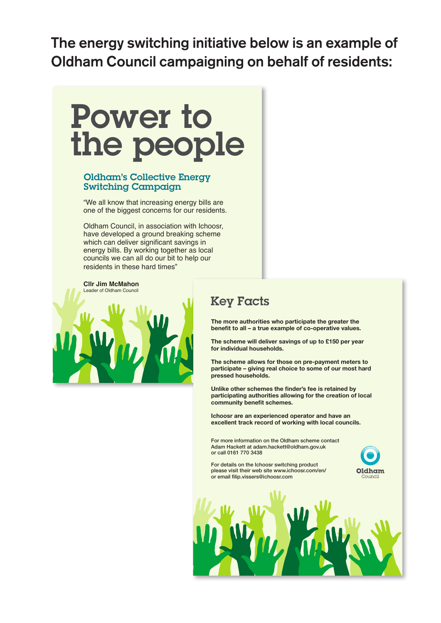The energy switching initiative below is an example of Oldham Council campaigning on behalf of residents:



# Oldham's Collective Energy Switching Campaign

"We all know that increasing energy bills are one of the biggest concerns for our residents.

Oldham Council, in association with Ichoosr, have developed a ground breaking scheme which can deliver significant savings in energy bills. By working together as local councils we can all do our bit to help our residents in these hard times"

**Cllr Jim McMahon** Leader of Oldham Council



# Key Facts

**The more authorities who participate the greater the benefit to all – a true example of co-operative values.**

**The scheme will deliver savings of up to £150 per year for individual households.**

**The scheme allows for those on pre-payment meters to participate – giving real choice to some of our most hard pressed households.**

**Unlike other schemes the finder's fee is retained by participating authorities allowing for the creation of local community benefit schemes.**

**Ichoosr are an experienced operator and have an excellent track record of working with local councils.**

For more information on the Oldham scheme contact Adam Hackett at adam.hackett@oldham.gov.uk or call 0161 770 3438

For details on the Ichoosr switching product please visit their web site www.ichoosr.com/en/ or email filip.vissers@ichoosr.com